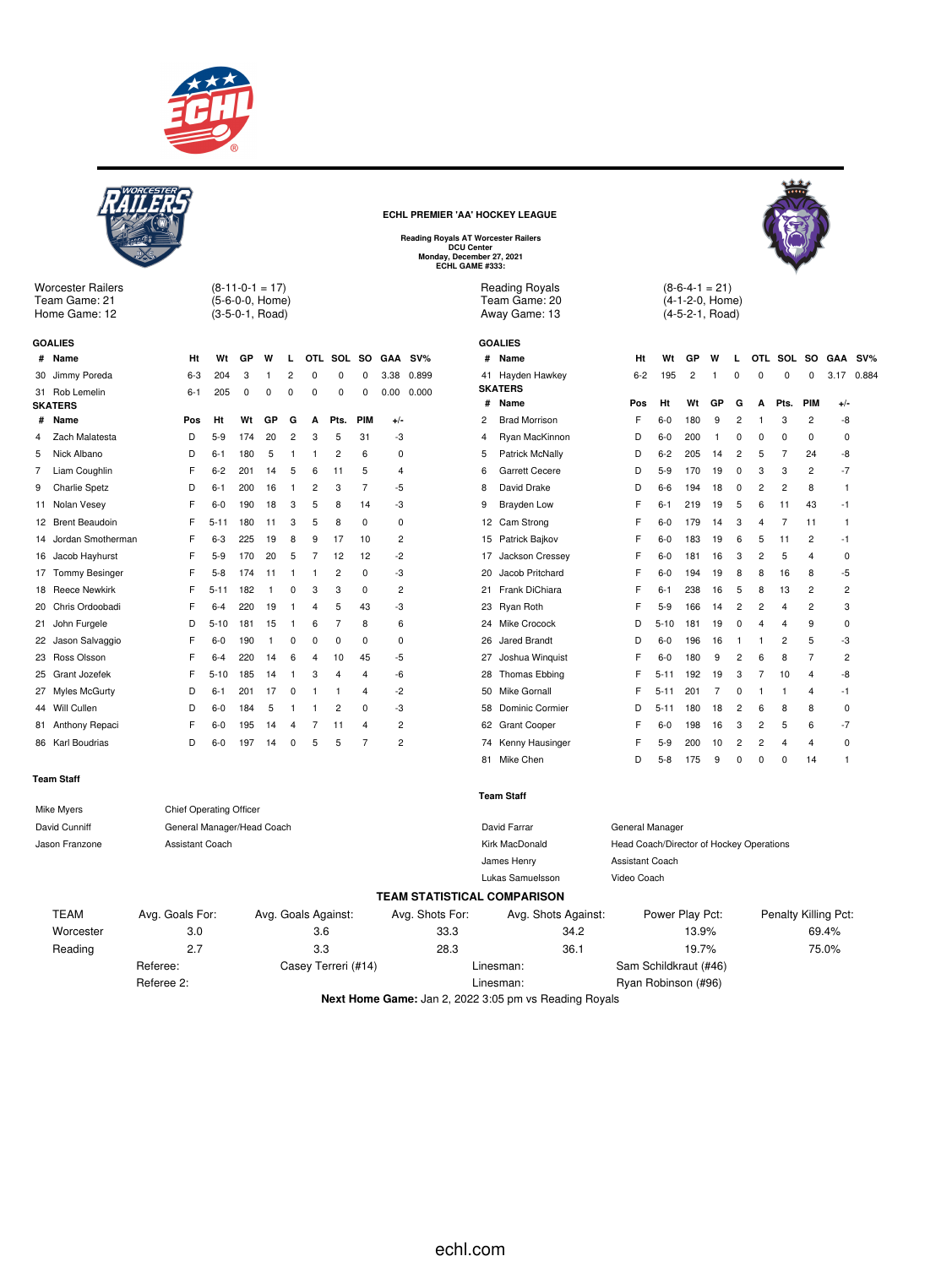

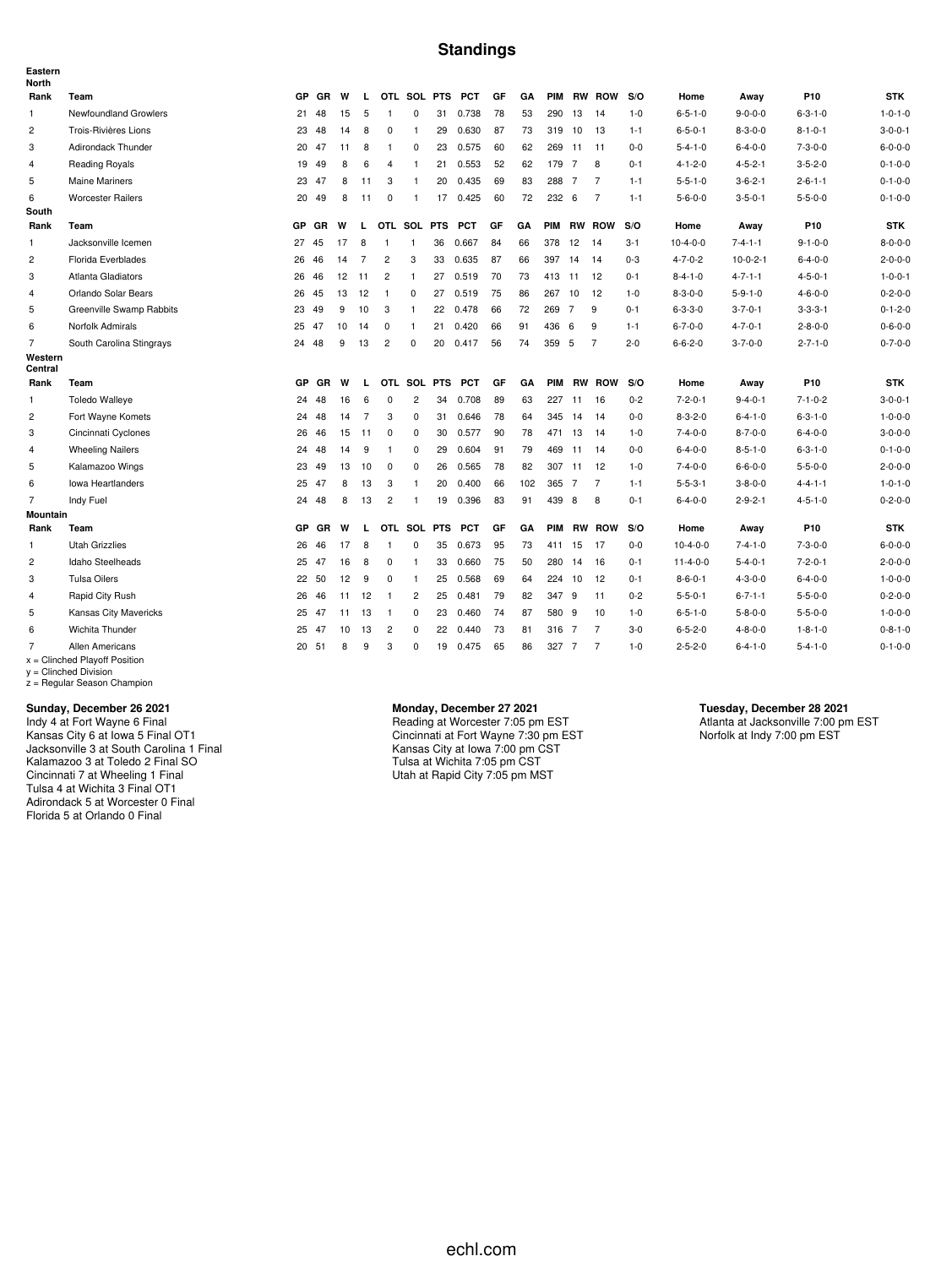#### **Standings**

| Eastern<br>North   |                                                            |           |           |    |                |                |                         |            |            |    |     |            |                |                |         |                  |                 |                 |                 |
|--------------------|------------------------------------------------------------|-----------|-----------|----|----------------|----------------|-------------------------|------------|------------|----|-----|------------|----------------|----------------|---------|------------------|-----------------|-----------------|-----------------|
| Rank               | Team                                                       | <b>GP</b> | <b>GR</b> | W  | L.             |                | OTL SOL PTS             |            | <b>PCT</b> | GF | GA  | <b>PIM</b> |                | <b>RW ROW</b>  | S/O     | Home             | Away            | P <sub>10</sub> | <b>STK</b>      |
| $\mathbf{1}$       | Newfoundland Growlers                                      | 21        | 48        | 15 | 5              | $\overline{1}$ | $\mathbf 0$             | 31         | 0.738      | 78 | 53  | 290        | -13            | 14             | $1 - 0$ | $6 - 5 - 1 - 0$  | $9 - 0 - 0 - 0$ | $6 - 3 - 1 - 0$ | $1 - 0 - 1 - 0$ |
| $\overline{c}$     | Trois-Rivières Lions                                       | 23        | 48        | 14 | 8              | $\mathbf 0$    | $\overline{1}$          | 29         | 0.630      | 87 | 73  |            | 319 10         | 13             | $1 - 1$ | $6 - 5 - 0 - 1$  | $8 - 3 - 0 - 0$ | $8 - 1 - 0 - 1$ | $3 - 0 - 0 - 1$ |
| 3                  | <b>Adirondack Thunder</b>                                  | 20        | 47        | 11 | 8              | $\overline{1}$ | $\mathbf 0$             | 23         | 0.575      | 60 | 62  |            | 269 11         | 11             | $0 - 0$ | $5 - 4 - 1 - 0$  | $6 - 4 - 0 - 0$ | $7 - 3 - 0 - 0$ | $6 - 0 - 0 - 0$ |
| $\overline{4}$     | <b>Reading Royals</b>                                      | 19        | 49        | 8  | 6              | 4              | $\mathbf{1}$            | 21         | 0.553      | 52 | 62  | 179 7      |                | 8              | $0 - 1$ | $4 - 1 - 2 - 0$  | $4 - 5 - 2 - 1$ | $3 - 5 - 2 - 0$ | $0 - 1 - 0 - 0$ |
| 5                  | <b>Maine Mariners</b>                                      | 23        | 47        | 8  | 11             | 3              | $\mathbf{1}$            | 20         | 0.435      | 69 | 83  | 288 7      |                | $\overline{7}$ | $1 - 1$ | $5 - 5 - 1 - 0$  | $3 - 6 - 2 - 1$ | $2 - 6 - 1 - 1$ | $0 - 1 - 0 - 0$ |
| 6                  | <b>Worcester Railers</b>                                   | 20        | 49        | 8  | 11             | $^{\circ}$     | $\mathbf{1}$            | 17         | 0.425      | 60 | 72  | 232 6      |                | $\overline{7}$ | $1 - 1$ | $5 - 6 - 0 - 0$  | $3 - 5 - 0 - 1$ | $5 - 5 - 0 - 0$ | $0 - 1 - 0 - 0$ |
| South              |                                                            |           |           |    |                |                |                         |            |            |    |     |            |                |                |         |                  |                 |                 |                 |
| Rank               | Team                                                       | <b>GP</b> | GR        | W  | L              |                | OTL SOL PTS             |            | <b>PCT</b> | GF | GA  | <b>PIM</b> |                | <b>RW ROW</b>  | S/O     | Home             | Away            | P <sub>10</sub> | <b>STK</b>      |
| 1                  | Jacksonville Icemen                                        | 27        | 45        | 17 | 8              | $\mathbf{1}$   | $\overline{1}$          | 36         | 0.667      | 84 | 66  | 378        | 12             | 14             | $3 - 1$ | $10-4-0-0$       | $7 - 4 - 1 - 1$ | $9 - 1 - 0 - 0$ | $8 - 0 - 0 - 0$ |
| $\overline{c}$     | Florida Everblades                                         | 26        | 46        | 14 | $\overline{7}$ | $\overline{2}$ | 3                       | 33         | 0.635      | 87 | 66  | 397        | 14             | 14             | $0 - 3$ | $4 - 7 - 0 - 2$  | $10-0-2-1$      | $6 - 4 - 0 - 0$ | $2 - 0 - 0 - 0$ |
| 3                  | Atlanta Gladiators                                         | 26        | 46        | 12 | 11             | $\overline{2}$ | $\overline{1}$          | 27         | 0.519      | 70 | 73  | 413        | 11             | 12             | $0 - 1$ | $8 - 4 - 1 - 0$  | $4 - 7 - 1 - 1$ | $4 - 5 - 0 - 1$ | $1 - 0 - 0 - 1$ |
| $\overline{4}$     | Orlando Solar Bears                                        | 26        | 45        | 13 | 12             | $\overline{1}$ | $\mathbf 0$             | 27         | 0.519      | 75 | 86  | 267        | 10             | 12             | $1 - 0$ | $8 - 3 - 0 - 0$  | $5 - 9 - 1 - 0$ | $4 - 6 - 0 - 0$ | $0 - 2 - 0 - 0$ |
| 5                  | Greenville Swamp Rabbits                                   | 23        | 49        | 9  | 10             | 3              | $\overline{1}$          | 22         | 0.478      | 66 | 72  | 269        | $\overline{7}$ | 9              | $0 - 1$ | $6 - 3 - 3 - 0$  | $3 - 7 - 0 - 1$ | $3 - 3 - 3 - 1$ | $0 - 1 - 2 - 0$ |
| 6                  | Norfolk Admirals                                           | 25 47     |           | 10 | 14             | 0              | $\overline{1}$          | 21         | 0.420      | 66 | 91  | 436        | 6              | 9              | $1 - 1$ | $6 - 7 - 0 - 0$  | $4 - 7 - 0 - 1$ | $2 - 8 - 0 - 0$ | $0 - 6 - 0 - 0$ |
| $\overline{7}$     | South Carolina Stingrays                                   |           | 24 48     | 9  | 13             | $\overline{2}$ | $\mathbf 0$             | 20         | 0.417      | 56 | 74  | 359 5      |                | $\overline{7}$ | $2 - 0$ | $6 - 6 - 2 - 0$  | $3 - 7 - 0 - 0$ | $2 - 7 - 1 - 0$ | $0 - 7 - 0 - 0$ |
| Western<br>Central |                                                            |           |           |    |                |                |                         |            |            |    |     |            |                |                |         |                  |                 |                 |                 |
| Rank               | Team                                                       | GP        | <b>GR</b> | W  | L              |                | OTL SOL                 | <b>PTS</b> | <b>PCT</b> | GF | GA  | <b>PIM</b> |                | <b>RW ROW</b>  | S/O     | Home             | Away            | P <sub>10</sub> | <b>STK</b>      |
| $\mathbf{1}$       | <b>Toledo Walleye</b>                                      | 24        | 48        | 16 | 6              | $\Omega$       | $\overline{c}$          | 34         | 0.708      | 89 | 63  |            | 227 11         | 16             | $0 - 2$ | $7 - 2 - 0 - 1$  | $9 - 4 - 0 - 1$ | $7 - 1 - 0 - 2$ | $3 - 0 - 0 - 1$ |
| $\overline{c}$     | Fort Wayne Komets                                          | 24        | 48        | 14 | $\overline{7}$ | 3              | 0                       | 31         | 0.646      | 78 | 64  |            | 345 14         | 14             | $0-0$   | $8 - 3 - 2 - 0$  | $6 - 4 - 1 - 0$ | $6 - 3 - 1 - 0$ | $1 - 0 - 0 - 0$ |
| 3                  | Cincinnati Cyclones                                        | 26        | 46        | 15 | 11             | $\mathbf 0$    | 0                       | 30         | 0.577      | 90 | 78  |            | 471 13         | 14             | $1 - 0$ | $7 - 4 - 0 - 0$  | $8 - 7 - 0 - 0$ | $6 - 4 - 0 - 0$ | $3 - 0 - 0 - 0$ |
| $\overline{4}$     | <b>Wheeling Nailers</b>                                    | 24        | 48        | 14 | 9              | -1             | 0                       | 29         | 0.604      | 91 | 79  |            | 469 11         | 14             | $0-0$   | $6 - 4 - 0 - 0$  | $8 - 5 - 1 - 0$ | $6 - 3 - 1 - 0$ | $0 - 1 - 0 - 0$ |
| 5                  | Kalamazoo Wings                                            | 23        | 49        | 13 | 10             | $^{\circ}$     | 0                       | 26         | 0.565      | 78 | 82  | 307 11     |                | 12             | $1 - 0$ | $7 - 4 - 0 - 0$  | $6 - 6 - 0 - 0$ | $5 - 5 - 0 - 0$ | $2 - 0 - 0 - 0$ |
| 6                  | <b>Iowa Heartlanders</b>                                   | 25        | 47        | 8  | 13             | 3              | $\mathbf{1}$            | 20         | 0.400      | 66 | 102 | 365 7      |                | $\overline{7}$ | $1 - 1$ | $5 - 5 - 3 - 1$  | $3 - 8 - 0 - 0$ | $4 - 4 - 1 - 1$ | $1 - 0 - 1 - 0$ |
| $\overline{7}$     | Indy Fuel                                                  | 24        | 48        | 8  | 13             | $\overline{c}$ | $\mathbf{1}$            | 19         | 0.396      | 83 | 91  | 439 8      |                | 8              | $0 - 1$ | $6 - 4 - 0 - 0$  | $2 - 9 - 2 - 1$ | $4 - 5 - 1 - 0$ | $0 - 2 - 0 - 0$ |
| <b>Mountain</b>    |                                                            |           |           |    |                |                |                         |            |            |    |     |            |                |                |         |                  |                 |                 |                 |
| Rank               | Team                                                       | GP        | GR        | W  | L              |                | OTL SOL PTS             |            | <b>PCT</b> | GF | GA  | <b>PIM</b> |                | <b>RW ROW</b>  | S/O     | Home             | Away            | P10             | <b>STK</b>      |
| $\mathbf{1}$       | <b>Utah Grizzlies</b>                                      | 26        | 46        | 17 | 8              | $\overline{1}$ | $\mathbf 0$             | 35         | 0.673      | 95 | 73  | 411        | 15             | 17             | $0 - 0$ | $10-4-0-0$       | $7 - 4 - 1 - 0$ | $7 - 3 - 0 - 0$ | $6 - 0 - 0 - 0$ |
| $\overline{c}$     | Idaho Steelheads                                           | 25        | 47        | 16 | 8              | 0              | $\mathbf{1}$            | 33         | 0.660      | 75 | 50  | 280        | 14             | 16             | $0 - 1$ | $11 - 4 - 0 - 0$ | $5 - 4 - 0 - 1$ | $7 - 2 - 0 - 1$ | $2 - 0 - 0 - 0$ |
| 3                  | <b>Tulsa Oilers</b>                                        | 22        | 50        | 12 | 9              | $\mathbf 0$    | $\overline{1}$          | 25         | 0.568      | 69 | 64  | 224        | 10             | 12             | $0 - 1$ | $8 - 6 - 0 - 1$  | $4 - 3 - 0 - 0$ | $6 - 4 - 0 - 0$ | $1 - 0 - 0 - 0$ |
| $\overline{4}$     | Rapid City Rush                                            | 26        | 46        | 11 | 12             | $\overline{1}$ | $\overline{\mathbf{c}}$ | 25         | 0.481      | 79 | 82  | 347 9      |                | 11             | $0 - 2$ | $5 - 5 - 0 - 1$  | $6 - 7 - 1 - 1$ | $5 - 5 - 0 - 0$ | $0 - 2 - 0 - 0$ |
| 5                  | Kansas City Mavericks                                      | 25        | 47        | 11 | 13             | $\mathbf{1}$   | 0                       | 23         | 0.460      | 74 | 87  | 580 9      |                | 10             | $1 - 0$ | $6 - 5 - 1 - 0$  | $5 - 8 - 0 - 0$ | $5 - 5 - 0 - 0$ | $1 - 0 - 0 - 0$ |
| 6                  | Wichita Thunder                                            | 25        | 47        | 10 | 13             | $\overline{c}$ | 0                       | 22         | 0.440      | 73 | 81  | 316 7      |                | $\overline{7}$ | $3-0$   | $6 - 5 - 2 - 0$  | $4 - 8 - 0 - 0$ | $1 - 8 - 1 - 0$ | $0 - 8 - 1 - 0$ |
| $\overline{7}$     | Allen Americans                                            |           | 20 51     | 8  | 9              | 3              | 0                       | 19         | 0.475      | 65 | 86  | 327 7      |                | $\overline{7}$ | $1 - 0$ | $2 - 5 - 2 - 0$  | $6 - 4 - 1 - 0$ | $5 - 4 - 1 - 0$ | $0 - 1 - 0 - 0$ |
|                    | $x =$ Clinched Playoff Position<br>$v =$ Clinched Division |           |           |    |                |                |                         |            |            |    |     |            |                |                |         |                  |                 |                 |                 |

y = Clinched Division z = Regular Season Champion

#### **Sunday, December 26 2021**

Indy 4 at Fort Wayne 6 Final Kansas City 6 at Iowa 5 Final OT1 Jacksonville 3 at South Carolina 1 Final Kalamazoo 3 at Toledo 2 Final SO Cincinnati 7 at Wheeling 1 Final Tulsa 4 at Wichita 3 Final OT1 Adirondack 5 at Worcester 0 Final Florida 5 at Orlando 0 Final

**Monday, December 27 2021** Reading at Worcester 7:05 pm EST Cincinnati at Fort Wayne 7:30 pm EST Kansas City at Iowa 7:00 pm CST Tulsa at Wichita 7:05 pm CST Utah at Rapid City 7:05 pm MST

**Tuesday, December 28 2021** Atlanta at Jacksonville 7:00 pm EST Norfolk at Indy 7:00 pm EST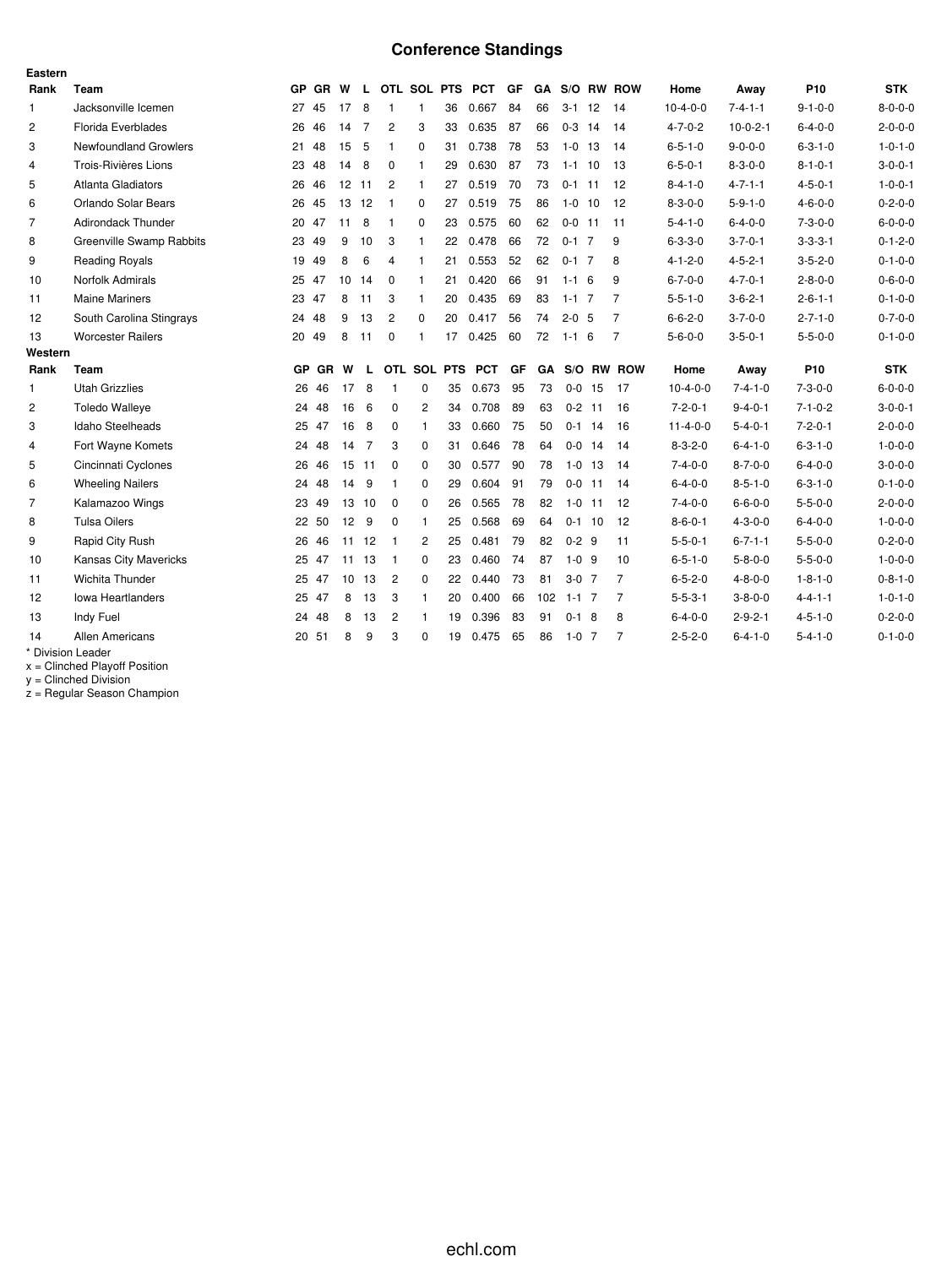# **Conference Standings**

| Eastern        |                              |       |         |       |       |                |              |             |                 |    |           |             |            |                |                  |                 |                 |                 |
|----------------|------------------------------|-------|---------|-------|-------|----------------|--------------|-------------|-----------------|----|-----------|-------------|------------|----------------|------------------|-----------------|-----------------|-----------------|
| Rank           | Team                         |       | GP GR W |       | L.    |                |              |             | OTL SOL PTS PCT | GF |           |             |            | GA S/O RW ROW  | Home             | Away            | P <sub>10</sub> | <b>STK</b>      |
| $\mathbf{1}$   | Jacksonville Icemen          | 27 45 |         | 17    | 8     | $\mathbf{1}$   | $\mathbf{1}$ | 36          | 0.667           | 84 | 66        | $3 - 1$     | 12         | 14             | $10-4-0-0$       | $7 - 4 - 1 - 1$ | $9 - 1 - 0 - 0$ | $8 - 0 - 0 - 0$ |
| $\overline{c}$ | <b>Florida Everblades</b>    | 26    | 46      | 14    | 7     | $\overline{c}$ | 3            | 33          | 0.635           | 87 | 66        | $0-3$ 14    |            | 14             | $4 - 7 - 0 - 2$  | $10-0-2-1$      | $6 - 4 - 0 - 0$ | $2 - 0 - 0 - 0$ |
| 3              | <b>Newfoundland Growlers</b> | 21    | 48      | 15    | -5    | $\mathbf{1}$   | 0            | 31          | 0.738           | 78 | 53        | $1 - 0$     | 13         | 14             | $6 - 5 - 1 - 0$  | $9 - 0 - 0 - 0$ | $6 - 3 - 1 - 0$ | $1 - 0 - 1 - 0$ |
| $\overline{4}$ | Trois-Rivières Lions         | 23    | 48      | 14    | 8     | 0              | $\mathbf{1}$ | 29          | 0.630           | 87 | 73        | $1 - 1$ 10  |            | -13            | $6 - 5 - 0 - 1$  | $8 - 3 - 0 - 0$ | $8 - 1 - 0 - 1$ | $3 - 0 - 0 - 1$ |
| 5              | <b>Atlanta Gladiators</b>    | 26    | 46      | 12    | 11    | 2              | $\mathbf{1}$ | 27          | 0.519           | 70 | 73        | $0-1$ 11    |            | 12             | $8 - 4 - 1 - 0$  | $4 - 7 - 1 - 1$ | $4 - 5 - 0 - 1$ | $1 - 0 - 0 - 1$ |
| 6              | Orlando Solar Bears          | 26    | 45      | 13 12 |       | $\mathbf{1}$   | 0            | 27          | 0.519           | 75 | 86        | $1 - 0$     | 10         | -12            | $8 - 3 - 0 - 0$  | $5 - 9 - 1 - 0$ | $4 - 6 - 0 - 0$ | $0 - 2 - 0 - 0$ |
| $\overline{7}$ | <b>Adirondack Thunder</b>    | 20 47 |         | 11    | 8     | -1             | 0            | 23          | 0.575           | 60 | 62        | $0 - 0$ 11  |            | 11             | $5 - 4 - 1 - 0$  | $6 - 4 - 0 - 0$ | $7 - 3 - 0 - 0$ | $6 - 0 - 0 - 0$ |
| 8              | Greenville Swamp Rabbits     | 23    | 49      | 9     | 10    | 3              | $\mathbf{1}$ | 22          | 0.478           | 66 | 72        | $0 - 1$     | 7          | 9              | $6 - 3 - 3 - 0$  | $3 - 7 - 0 - 1$ | $3 - 3 - 3 - 1$ | $0 - 1 - 2 - 0$ |
| 9              | <b>Reading Royals</b>        | 19 49 |         | 8     | 6     | $\overline{4}$ | $\mathbf{1}$ | 21          | 0.553           | 52 | 62        | $0 - 1$ 7   |            | 8              | $4 - 1 - 2 - 0$  | $4 - 5 - 2 - 1$ | $3 - 5 - 2 - 0$ | $0 - 1 - 0 - 0$ |
| 10             | Norfolk Admirals             | 25 47 |         | 10    | 14    | $\mathbf 0$    | $\mathbf{1}$ | 21          | 0.420           | 66 | 91        | $1 - 1 = 6$ |            | 9              | $6 - 7 - 0 - 0$  | $4 - 7 - 0 - 1$ | $2 - 8 - 0 - 0$ | $0 - 6 - 0 - 0$ |
| 11             | <b>Maine Mariners</b>        | 23 47 |         | 8     | 11    | 3              | $\mathbf{1}$ | 20          | 0.435           | 69 | 83        | $1 - 1$ 7   |            | $\overline{7}$ | $5 - 5 - 1 - 0$  | $3 - 6 - 2 - 1$ | $2 - 6 - 1 - 1$ | $0 - 1 - 0 - 0$ |
| 12             | South Carolina Stingrays     | 24 48 |         | 9     | 13    | $\overline{c}$ | 0            | 20          | 0.417           | 56 | 74        | $2 - 0$ 5   |            | $\overline{7}$ | $6 - 6 - 2 - 0$  | $3 - 7 - 0 - 0$ | $2 - 7 - 1 - 0$ | $0 - 7 - 0 - 0$ |
| 13             | <b>Worcester Railers</b>     | 20    | 49      | 8     | 11    | $\mathbf 0$    | $\mathbf{1}$ | 17          | 0.425           | 60 | 72        | $1 - 1 = 6$ |            | $\overline{7}$ | $5 - 6 - 0 - 0$  | $3 - 5 - 0 - 1$ | $5 - 5 - 0 - 0$ | $0 - 1 - 0 - 0$ |
| Western        |                              |       |         |       |       |                |              |             |                 |    |           |             |            |                |                  |                 |                 |                 |
| Rank           | Team                         |       | GP GR   | W     | L     |                |              | OTL SOL PTS | <b>PCT</b>      | GF | <b>GA</b> |             |            | S/O RW ROW     | Home             | Away            | P <sub>10</sub> | <b>STK</b>      |
| $\mathbf{1}$   | <b>Utah Grizzlies</b>        | 26    | 46      | 17    | 8     | -1             | 0            | 35          | 0.673           | 95 | 73        |             | $0 - 0$ 15 | 17             | $10-4-0-0$       | $7 - 4 - 1 - 0$ | $7 - 3 - 0 - 0$ | $6 - 0 - 0 - 0$ |
| 2              | <b>Toledo Walleye</b>        | 24    | 48      | 16    | 6     | $\mathbf 0$    | 2            | 34          | 0.708           | 89 | 63        |             | $0 - 2$ 11 | 16             | $7 - 2 - 0 - 1$  | $9 - 4 - 0 - 1$ | $7 - 1 - 0 - 2$ | $3 - 0 - 0 - 1$ |
| 3              | Idaho Steelheads             | 25    | 47      | 16    | 8     | $\Omega$       | $\mathbf{1}$ | 33          | 0.660           | 75 | 50        |             | $0-1$ 14   | -16            | $11 - 4 - 0 - 0$ | $5 - 4 - 0 - 1$ | $7 - 2 - 0 - 1$ | $2 - 0 - 0 - 0$ |
| $\overline{4}$ | Fort Wayne Komets            | 24    | 48      | 14    | 7     | 3              | 0            | 31          | 0.646           | 78 | 64        | $0-0$       | 14         | 14             | $8 - 3 - 2 - 0$  | $6 - 4 - 1 - 0$ | $6 - 3 - 1 - 0$ | $1 - 0 - 0 - 0$ |
| 5              | Cincinnati Cyclones          | 26    | 46      |       | 15 11 | 0              | 0            | 30          | 0.577           | 90 | 78        | $1 - 0$     | 13         | -14            | $7 - 4 - 0 - 0$  | $8 - 7 - 0 - 0$ | $6 - 4 - 0 - 0$ | $3 - 0 - 0 - 0$ |
| 6              | <b>Wheeling Nailers</b>      |       | 24 48   | 14    | -9    | $\mathbf{1}$   | 0            | 29          | 0.604           | 91 | 79        | $0 - 0$     | 11         | 14             | $6 - 4 - 0 - 0$  | $8 - 5 - 1 - 0$ | $6 - 3 - 1 - 0$ | $0 - 1 - 0 - 0$ |
| $\overline{7}$ | Kalamazoo Wings              | 23    | 49      |       | 13 10 | $\mathbf 0$    | $\Omega$     | 26          | 0.565           | 78 | 82        | $1 - 0$     | -11        | 12             | $7 - 4 - 0 - 0$  | $6 - 6 - 0 - 0$ | $5 - 5 - 0 - 0$ | $2 - 0 - 0 - 0$ |
| 8              | <b>Tulsa Oilers</b>          |       | 22 50   | 12    | -9    | $\mathbf 0$    | $\mathbf{1}$ | 25          | 0.568           | 69 | 64        |             | $0-1$ 10   | -12            | $8 - 6 - 0 - 1$  | $4 - 3 - 0 - 0$ | $6 - 4 - 0 - 0$ | $1 - 0 - 0 - 0$ |
| 9              | Rapid City Rush              | 26    | 46      | 11    | 12    | $\mathbf{1}$   | 2            | 25          | 0.481           | 79 | 82        | $0 - 2$ 9   |            | 11             | $5 - 5 - 0 - 1$  | $6 - 7 - 1 - 1$ | $5 - 5 - 0 - 0$ | $0 - 2 - 0 - 0$ |
| 10             | Kansas City Mavericks        | 25    | 47      |       | 11 13 | $\mathbf{1}$   | 0            | 23          | 0.460           | 74 | 87        | $1 - 0$ 9   |            | 10             | $6 - 5 - 1 - 0$  | $5 - 8 - 0 - 0$ | $5 - 5 - 0 - 0$ | $1 - 0 - 0 - 0$ |
| 11             | Wichita Thunder              | 25    | 47      | 10    | 13    | $\overline{c}$ | $\Omega$     | 22          | 0.440           | 73 | 81        | $3-0$ 7     |            | $\overline{7}$ | $6 - 5 - 2 - 0$  | $4 - 8 - 0 - 0$ | $1 - 8 - 1 - 0$ | $0 - 8 - 1 - 0$ |
| 12             | <b>Iowa Heartlanders</b>     | 25    | 47      | 8     | 13    | 3              | $\mathbf{1}$ | 20          | 0.400           | 66 | 102       | $1 - 1$ 7   |            | 7              | $5 - 5 - 3 - 1$  | $3 - 8 - 0 - 0$ | $4 - 4 - 1 - 1$ | $1 - 0 - 1 - 0$ |
| 13             | Indy Fuel                    | 24    | 48      | 8     | 13    | $\overline{c}$ | $\mathbf{1}$ | 19          | 0.396           | 83 | 91        | $0-1$ 8     |            | 8              | $6 - 4 - 0 - 0$  | $2 - 9 - 2 - 1$ | $4 - 5 - 1 - 0$ | $0 - 2 - 0 - 0$ |
| 14             | <b>Allen Americans</b>       |       | 20 51   | 8     | 9     | 3              | $\Omega$     | 19          | 0.475           | 65 | 86        | $1-0$ 7     |            | 7              | $2 - 5 - 2 - 0$  | $6 - 4 - 1 - 0$ | $5 - 4 - 1 - 0$ | $0 - 1 - 0 - 0$ |
|                | * Division Leader            |       |         |       |       |                |              |             |                 |    |           |             |            |                |                  |                 |                 |                 |

x = Clinched Playoff Position

y = Clinched Division

z = Regular Season Champion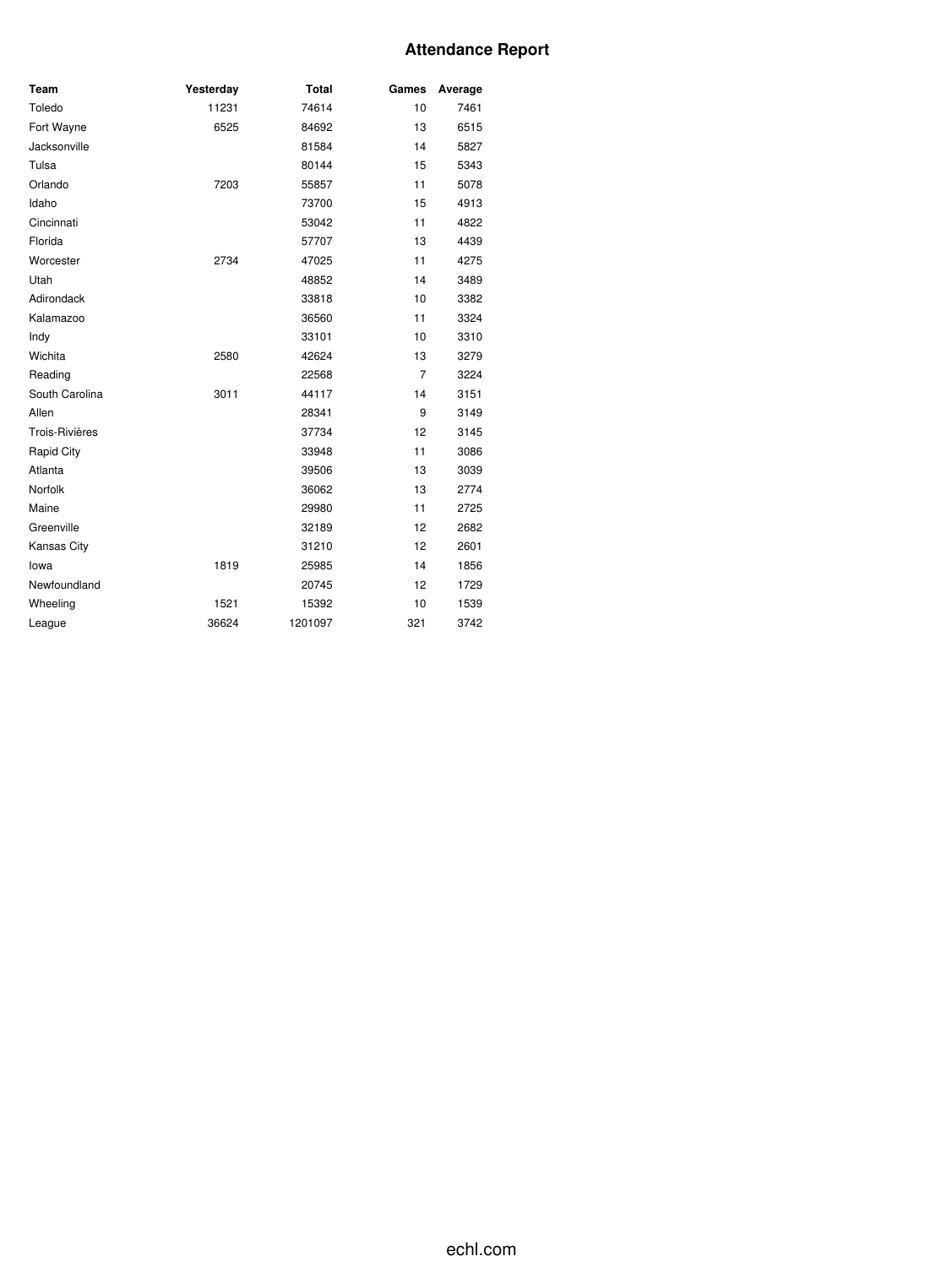## **Attendance Report**

| Team           | Yesterday | <b>Total</b> | Games          | Average |
|----------------|-----------|--------------|----------------|---------|
| Toledo         | 11231     | 74614        | 10             | 7461    |
| Fort Wayne     | 6525      | 84692        | 13             | 6515    |
| Jacksonville   |           | 81584        | 14             | 5827    |
| Tulsa          |           | 80144        | 15             | 5343    |
| Orlando        | 7203      | 55857        | 11             | 5078    |
| Idaho          |           | 73700        | 15             | 4913    |
| Cincinnati     |           | 53042        | 11             | 4822    |
| Florida        |           | 57707        | 13             | 4439    |
| Worcester      | 2734      | 47025        | 11             | 4275    |
| Utah           |           | 48852        | 14             | 3489    |
| Adirondack     |           | 33818        | 10             | 3382    |
| Kalamazoo      |           | 36560        | 11             | 3324    |
| Indy           |           | 33101        | 10             | 3310    |
| Wichita        | 2580      | 42624        | 13             | 3279    |
| Reading        |           | 22568        | $\overline{7}$ | 3224    |
| South Carolina | 3011      | 44117        | 14             | 3151    |
| Allen          |           | 28341        | 9              | 3149    |
| Trois-Rivières |           | 37734        | 12             | 3145    |
| Rapid City     |           | 33948        | 11             | 3086    |
| Atlanta        |           | 39506        | 13             | 3039    |
| Norfolk        |           | 36062        | 13             | 2774    |
| Maine          |           | 29980        | 11             | 2725    |
| Greenville     |           | 32189        | 12             | 2682    |
| Kansas City    |           | 31210        | 12             | 2601    |
| lowa           | 1819      | 25985        | 14             | 1856    |
| Newfoundland   |           | 20745        | 12             | 1729    |
| Wheeling       | 1521      | 15392        | 10             | 1539    |
| League         | 36624     | 1201097      | 321            | 3742    |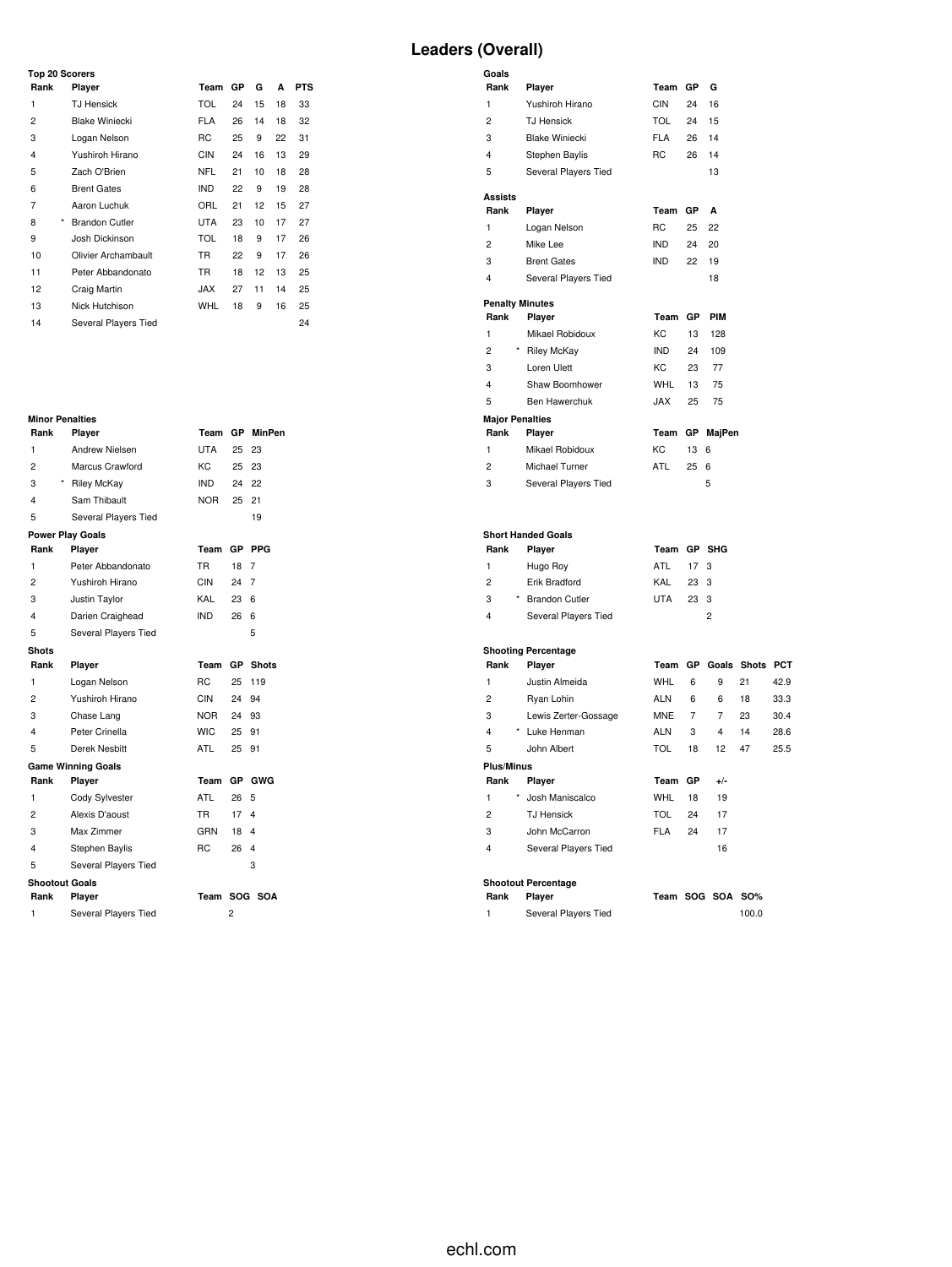# **Leaders (Overall)**

|        | <b>Top 20 Scorers</b> |            |    |    |    |            |  |  |
|--------|-----------------------|------------|----|----|----|------------|--|--|
| Rank   | Player                | Team       | GP | G  | A  | <b>PTS</b> |  |  |
| 1      | <b>TJ Hensick</b>     | <b>TOL</b> | 24 | 15 | 18 | 33         |  |  |
| 2      | <b>Blake Winiecki</b> | <b>FLA</b> | 26 | 14 | 18 | 32         |  |  |
| 3      | Logan Nelson          | <b>RC</b>  | 25 | 9  | 22 | 31         |  |  |
| 4      | Yushiroh Hirano       | <b>CIN</b> | 24 | 16 | 13 | 29         |  |  |
| 5      | Zach O'Brien          | <b>NFL</b> | 21 | 10 | 18 | 28         |  |  |
| 6      | <b>Brent Gates</b>    | <b>IND</b> | 22 | 9  | 19 | 28         |  |  |
| 7      | Aaron Luchuk          | ORL        | 21 | 12 | 15 | 27         |  |  |
| *<br>8 | <b>Brandon Cutler</b> | <b>UTA</b> | 23 | 10 | 17 | 27         |  |  |
| 9      | Josh Dickinson        | <b>TOL</b> | 18 | 9  | 17 | 26         |  |  |
| 10     | Olivier Archambault   | <b>TR</b>  | 22 | 9  | 17 | 26         |  |  |
| 11     | Peter Abbandonato     | <b>TR</b>  | 18 | 12 | 13 | 25         |  |  |
| 12     | Craig Martin          | <b>JAX</b> | 27 | 11 | 14 | 25         |  |  |
| 13     | Nick Hutchison        | <b>WHL</b> | 18 | 9  | 16 | 25         |  |  |
| 14     | Several Players Tied  |            |    |    |    | 24         |  |  |

| <b>Minor Penalties</b> |  |
|------------------------|--|
|                        |  |

| Rank                  | Player                    | Team           | GР    | MinPen       |
|-----------------------|---------------------------|----------------|-------|--------------|
| 1                     | <b>Andrew Nielsen</b>     | <b>UTA</b>     | 25    | 23           |
| $\overline{c}$        | Marcus Crawford           | KC             | 25    | 23           |
| 3                     | <b>Riley McKay</b>        | <b>IND</b>     | 24    | 22           |
| 4                     | Sam Thibault              | NOR.           | 25    | 21           |
| 5                     | Several Players Tied      |                |       | 19           |
|                       | <b>Power Play Goals</b>   |                |       |              |
| Rank                  | Player                    | Team           |       | GP PPG       |
| 1                     | Peter Abbandonato         | TR.            | 18    | 7            |
| 2                     | Yushiroh Hirano           | CIN            | 24 7  |              |
| 3                     | Justin Taylor             | KAL            | 23    | 6            |
| 4                     | Darien Craighead          | <b>IND</b>     | 26    | 6            |
| 5                     | Several Players Tied      |                |       | 5            |
| <b>Shots</b>          |                           |                |       |              |
| Rank                  | Player                    | Team           | GP    | <b>Shots</b> |
| 1                     | Logan Nelson              | RC.            | 25    | 119          |
| 2                     | Yushiroh Hirano           | CIN            | 24    | 94           |
| 3                     | Chase Lang                | NOR            | 24 93 |              |
| 4                     | Peter Crinella            | WIC.           | 25    | 91           |
|                       |                           |                |       |              |
| 5                     | Derek Nesbitt             | <b>ATL</b>     | 25    | 91           |
|                       | <b>Game Winning Goals</b> |                |       |              |
| Rank                  | Player                    | Team           |       | GP GWG       |
| 1                     | Cody Sylvester            | ATL            | 26    | 5            |
| 2                     | Alexis D'aoust            | TR.            | 17    | 4            |
| 3                     | Max Zimmer                | GRN            | 18    | 4            |
| 4                     | Stephen Baylis            | R <sub>C</sub> | 26    | 4            |
| 5                     | Several Players Tied      |                |       | 3            |
| <b>Shootout Goals</b> |                           |                |       |              |
| Rank                  | Player                    | Team           |       | SOG SOA      |
| 1                     | Several Players Tied      |                | 2     |              |

| Goals                   |                                      |             |                |                         |    |      |
|-------------------------|--------------------------------------|-------------|----------------|-------------------------|----|------|
| Rank                    | Player                               | Team        | GP             | G                       |    |      |
| $\mathbf{1}$            | Yushiroh Hirano                      | <b>CIN</b>  | 24             | 16                      |    |      |
| $\overline{2}$          | <b>TJ Hensick</b>                    | <b>TOL</b>  | 24             | 15                      |    |      |
| 3                       | <b>Blake Winiecki</b>                | <b>FLA</b>  | 26             | 14                      |    |      |
| 4                       | Stephen Baylis                       | <b>RC</b>   | 26             | 14                      |    |      |
| 5                       | Several Players Tied                 |             |                | 13                      |    |      |
| <b>Assists</b>          |                                      |             |                |                         |    |      |
| Rank                    | Player                               | Team        | GP             | A                       |    |      |
| $\mathbf{1}$            | Logan Nelson                         | RC          | 25             | 22                      |    |      |
| $\overline{2}$          | Mike Lee                             | <b>IND</b>  | 24             | 20                      |    |      |
| 3                       | <b>Brent Gates</b>                   | <b>IND</b>  | 22             | 19                      |    |      |
| $\overline{4}$          | Several Players Tied                 |             |                | 18                      |    |      |
| <b>Penalty Minutes</b>  |                                      |             |                |                         |    |      |
| Rank                    | Player                               | Team        | GP             | PIM                     |    |      |
| $\mathbf{1}$            | Mikael Robidoux                      | KC          | 13             | 128                     |    |      |
| $\overline{2}$          | * Riley McKay                        | <b>IND</b>  | 24             | 109                     |    |      |
| 3                       | Loren Ulett                          | KC          | 23             | 77                      |    |      |
| 4                       | Shaw Boomhower                       | <b>WHL</b>  | 13             | 75                      |    |      |
| 5                       | Ben Hawerchuk                        | <b>JAX</b>  | 25             | 75                      |    |      |
| <b>Major Penalties</b>  |                                      |             |                |                         |    |      |
| Rank                    | Player                               | Team        | GР             | MajPen                  |    |      |
| $\mathbf{1}$            | Mikael Robidoux                      | KC          | 13             | 6                       |    |      |
| $\overline{c}$          | Michael Turner                       | <b>ATL</b>  | 25             | 6                       |    |      |
| 3                       | Several Players Tied                 |             |                | 5                       |    |      |
|                         |                                      |             |                |                         |    |      |
|                         |                                      |             |                |                         |    |      |
|                         | <b>Short Handed Goals</b>            |             |                |                         |    |      |
| Rank                    | Player                               | Team GP SHG |                |                         |    |      |
| $\mathbf{1}$            | Hugo Roy                             | ATL         | 17             | 3                       |    |      |
| $\overline{2}$          | Erik Bradford                        | KAL         | 23             | 3                       |    |      |
| 3                       | * Brandon Cutler                     | <b>UTA</b>  | 23             | 3                       |    |      |
| 4                       | Several Players Tied                 |             |                | $\overline{c}$          |    |      |
|                         |                                      |             |                |                         |    |      |
| Rank                    | <b>Shooting Percentage</b><br>Player |             |                | Team GP Goals Shots PCT |    |      |
| 1                       | Justin Almeida                       | <b>WHL</b>  | 6              | 9                       | 21 | 42.9 |
| $\overline{2}$          | Ryan Lohin                           | <b>ALN</b>  | 6              | 6                       | 18 | 33.3 |
| 3                       | Lewis Zerter-Gossage                 | <b>MNE</b>  | $\overline{7}$ | $\overline{7}$          | 23 | 30.4 |
| $\overline{\mathbf{4}}$ | * Luke Henman                        | <b>ALN</b>  | 3              | 4                       | 14 | 28.6 |
| 5                       | John Albert                          | <b>TOL</b>  | 18             | 12                      | 47 | 25.5 |
| <b>Plus/Minus</b>       |                                      |             |                |                         |    |      |
| Rank                    | Player                               | Team GP     |                | $+/-$                   |    |      |
| $\mathbf{1}$            | Josh Maniscalco                      | <b>WHL</b>  | 18             | 19                      |    |      |
| $\overline{c}$          | <b>TJ Hensick</b>                    | <b>TOL</b>  | 24             | 17                      |    |      |
| 3                       | John McCarron                        | <b>FLA</b>  | 24             | 17                      |    |      |
| $\overline{4}$          | Several Players Tied                 |             |                | 16                      |    |      |
|                         |                                      |             |                |                         |    |      |

# **Shootout Percentage**

| Rank | <b>JIIUULUUL FEILEIILAYE</b><br><b>Plaver</b> |  | Team SOG SOA SO% |
|------|-----------------------------------------------|--|------------------|
|      | Several Players Tied                          |  | 100.0            |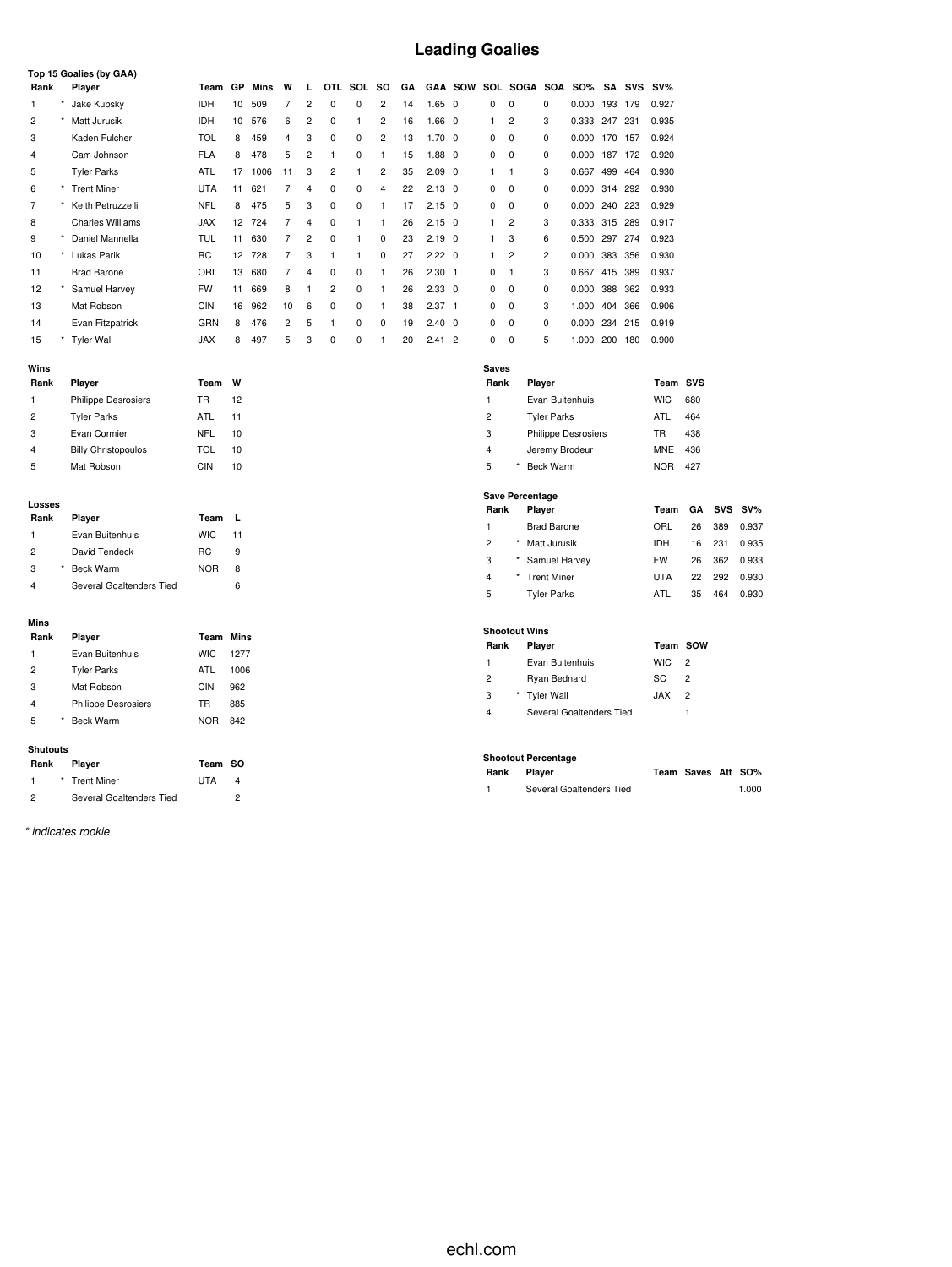# **Leading Goalies**

|      |            | Top 15 Goalies (by GAA)    |            |    |      |                |                |                |          |                |    |                   |                |                |             |                            |               |         |            |            |     |
|------|------------|----------------------------|------------|----|------|----------------|----------------|----------------|----------|----------------|----|-------------------|----------------|----------------|-------------|----------------------------|---------------|---------|------------|------------|-----|
| Rank |            | Player                     | Team       | GP | Mins | W              |                | <b>OTL</b>     | SOL      | <b>SO</b>      | GA |                   | <b>GAA SOW</b> |                |             | SOL SOGA SOA               | <b>SO%</b>    | SA      | <b>SVS</b> | $SV\%$     |     |
| 1.   |            | Jake Kupsky                | <b>IDH</b> | 10 | 509  | 7              | $\overline{2}$ | $\Omega$       | $\Omega$ | $\overline{2}$ | 14 | $1.65 \quad 0$    |                | 0              | $\mathbf 0$ | 0                          | 0.000         | 193 179 |            | 0.927      |     |
| 2    |            | Matt Jurusik               | <b>IDH</b> | 10 | 576  | 6              | 2              | $\Omega$       |          | 2              | 16 | $1.66 \quad 0$    |                | 1              | 2           | 3                          | 0.333         | 247 231 |            | 0.935      |     |
| 3    |            | Kaden Fulcher              | <b>TOL</b> | 8  | 459  | 4              | 3              | $\Omega$       | $\Omega$ | $\overline{2}$ | 13 | 1.70              | $\Omega$       | 0              | $\Omega$    | $\Omega$                   | 0.000         | 170     | 157        | 0.924      |     |
| 4    |            | Cam Johnson                | <b>FLA</b> | 8  | 478  | 5              | 2              |                | $\Omega$ | 1              | 15 | $1.88$ 0          |                | 0              | $\mathbf 0$ | 0                          | 0.000         |         | 187 172    | 0.920      |     |
| 5    |            | <b>Tyler Parks</b>         | <b>ATL</b> | 17 | 1006 | 11             | 3              | 2              |          | $\overline{2}$ | 35 | $2.09$ 0          |                | 1              | 1           | 3                          | 0.667         | 499 464 |            | 0.930      |     |
| 6    | $^{\star}$ | <b>Trent Miner</b>         | <b>UTA</b> | 11 | 621  | 7              | 4              | $\Omega$       | 0        | 4              | 22 | $2.13 \quad 0$    |                | 0              | $\mathbf 0$ | 0                          | 0.000         | 314 292 |            | 0.930      |     |
| 7    |            | Keith Petruzzelli          | <b>NFL</b> | 8  | 475  | 5              | 3              | 0              | 0        | 1              | 17 | $2.15 \quad 0$    |                | 0              | 0           | 0                          | 0.000         | 240 223 |            | 0.929      |     |
| 8    |            | <b>Charles Williams</b>    | <b>JAX</b> | 12 | 724  | 7              | 4              | 0              |          |                | 26 | $2.15 \quad 0$    |                | 1              | 2           | 3                          | 0.333         | 315 289 |            | 0.917      |     |
| 9    | $\star$    | Daniel Mannella            | TUL        | 11 | 630  | 7              | 2              | 0              | 1        | 0              | 23 | $2.19$ 0          |                | 1              | 3           | 6                          | 0.500         | 297 274 |            | 0.923      |     |
| 10   |            | Lukas Parik                | <b>RC</b>  | 12 | 728  | $\overline{7}$ | 3              |                | 1        | 0              | 27 | $2.22 \quad 0$    |                | 1              | 2           | 2                          | 0.000         | 383 356 |            | 0.930      |     |
| 11   |            | <b>Brad Barone</b>         | ORL        | 13 | 680  | 7              | $\overline{4}$ | 0              | 0        |                | 26 | $2.30 \quad 1$    |                | 0              | f.          | 3                          | 0.667         | 415 389 |            | 0.937      |     |
| 12   |            | Samuel Harvey              | <b>FW</b>  | 11 | 669  | 8              | 1              | $\overline{c}$ | 0        | 1              | 26 | $2.33 \quad 0$    |                | 0              | $\mathbf 0$ | 0                          | 0.000         |         | 388 362    | 0.933      |     |
| 13   |            | Mat Robson                 | <b>CIN</b> | 16 | 962  | 10             | 6              | $\Omega$       | $\Omega$ | 1              | 38 | 2.37 <sub>1</sub> |                | 0              | $\Omega$    | 3                          | 1.000         |         | 404 366    | 0.906      |     |
| 14   |            | Evan Fitzpatrick           | GRN        | 8  | 476  | $\overline{2}$ | 5              |                | 0        | $\Omega$       | 19 | $2.40 \quad 0$    |                | 0              | $\Omega$    | 0                          | 0.000 234 215 |         |            | 0.919      |     |
| 15   |            | <b>Tyler Wall</b>          | <b>JAX</b> | 8  | 497  | 5              | 3              | $\Omega$       | 0        |                | 20 | $2.41$ 2          |                | 0              | $\Omega$    | 5                          | 1.000         | 200     | 180        | 0.900      |     |
|      |            |                            |            |    |      |                |                |                |          |                |    |                   |                |                |             |                            |               |         |            |            |     |
| Wins |            |                            |            |    |      |                |                |                |          |                |    |                   |                | <b>Saves</b>   |             |                            |               |         |            |            |     |
| Rank |            | Player                     | Team       | W  |      |                |                |                |          |                |    |                   |                | Rank           |             | Player                     |               |         |            | Team SVS   |     |
| 1.   |            | <b>Philippe Desrosiers</b> | <b>TR</b>  | 12 |      |                |                |                |          |                |    |                   |                | 1              |             | Evan Buitenhuis            |               |         |            | <b>WIC</b> | 680 |
| 2    |            | <b>Tyler Parks</b>         | <b>ATL</b> | 11 |      |                |                |                |          |                |    |                   |                | $\overline{c}$ |             | <b>Tyler Parks</b>         |               |         |            | <b>ATL</b> | 464 |
| 3    |            | Evan Cormier               | <b>NFL</b> | 10 |      |                |                |                |          |                |    |                   |                | 3              |             | <b>Philippe Desrosiers</b> |               |         |            | <b>TR</b>  | 438 |

| 4 | <b>Billy Christopoulos</b> | TOL | 10 |
|---|----------------------------|-----|----|
|   |                            |     |    |
| 5 | Mat Robson                 | CIN | 10 |
|   |                            |     |    |
|   |                            |     |    |
|   | Losses                     |     |    |

| Rank           | Player                   | Team       | L  |
|----------------|--------------------------|------------|----|
| -1             | Evan Buitenhuis          | <b>WIC</b> | 11 |
| $\overline{2}$ | David Tendeck            | RC.        | 9  |
| 3              | Beck Warm                | <b>NOR</b> | 8  |
|                | Several Goaltenders Tied |            |    |

|  | ۰ |
|--|---|

| Rank           |   | Player                     | <b>Team Mins</b> |      |
|----------------|---|----------------------------|------------------|------|
| 1              |   | Evan Buitenhuis            | <b>WIC</b>       | 1277 |
| $\overline{2}$ |   | <b>Tyler Parks</b>         | ATL              | 1006 |
| 3              |   | Mat Robson                 | CIN              | 962  |
| 4              |   | <b>Philippe Desrosiers</b> | TR               | 885  |
| 5              | * | <b>Beck Warm</b>           | <b>NOR</b>       | 842  |
|                |   |                            |                  |      |

#### **Shutouts**

| Rank | <b>Player</b>            | Team SO    |   |
|------|--------------------------|------------|---|
|      | * Trent Miner            | <b>UTA</b> | 4 |
| 2    | Several Goaltenders Tied |            |   |

*\* indicates rookie*

| <b>Saves</b> |   |                            |            |     |
|--------------|---|----------------------------|------------|-----|
| Rank         |   | Player                     | Team SVS   |     |
| 1            |   | Evan Buitenhuis            | <b>WIC</b> | 680 |
| 2            |   | <b>Tyler Parks</b>         | ATL        | 464 |
| 3            |   | <b>Philippe Desrosiers</b> | TR         | 438 |
| 4            |   | Jeremy Brodeur             | <b>MNE</b> | 436 |
| 5            | * | <b>Beck Warm</b>           | <b>NOR</b> | 427 |
|              |   |                            |            |     |

#### **Save Percentage**

| Rank |         | Player             | Team       |    |     | GA SVS SV% |
|------|---------|--------------------|------------|----|-----|------------|
| 1    |         | <b>Brad Barone</b> | ORL        | 26 | 389 | 0.937      |
| 2    | $\star$ | Matt Jurusik       | IDH.       | 16 | 231 | 0.935      |
| 3    |         | * Samuel Harvey    | <b>FW</b>  | 26 | 362 | 0.933      |
| 4    |         | * Trent Miner      | <b>UTA</b> | 22 | 292 | 0.930      |
| 5    |         | <b>Tyler Parks</b> | ATL        | 35 | 464 | 0.930      |

#### **Shootout Wins**

| Rank | Player                   | Team SOW    |                |  |
|------|--------------------------|-------------|----------------|--|
| 1    | Evan Buitenhuis          | WIC.        | $\overline{2}$ |  |
| 2    | Ryan Bednard             | SC.         | $\mathcal{P}$  |  |
| 3    | * Tyler Wall             | <b>XAL.</b> | $\overline{2}$ |  |
| 4    | Several Goaltenders Tied |             |                |  |

#### **Shootout Percentage**

| Rank Player |                          | Team Saves Att SO% |       |
|-------------|--------------------------|--------------------|-------|
|             | Several Goaltenders Tied |                    | 1.000 |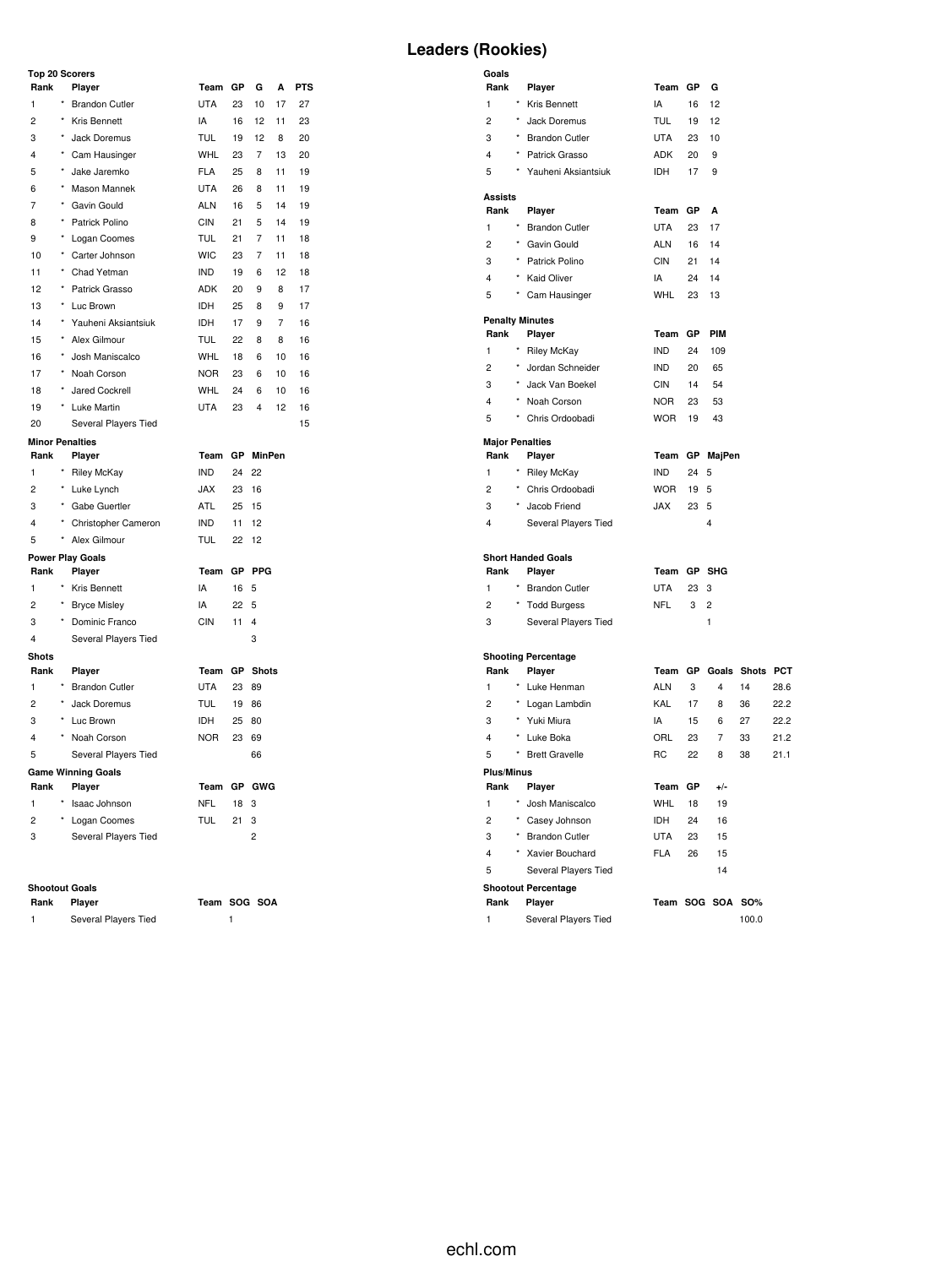#### **Top 20 Scorers**

| <b>Leaders (Rookies)</b> |  |
|--------------------------|--|
|--------------------------|--|

| Rank                   |          | Player                              | Team GP        |                 | G              | А  | <b>PTS</b> |
|------------------------|----------|-------------------------------------|----------------|-----------------|----------------|----|------------|
| 1                      | $\star$  | <b>Brandon Cutler</b>               | <b>UTA</b>     | 23              | 10             | 17 | 27         |
| $\overline{c}$         | $\star$  | Kris Bennett                        | IA             | 16              | 12             | 11 | 23         |
| 3                      | $^\star$ | Jack Doremus                        | <b>TUL</b>     | 19              | 12             | 8  | 20         |
| 4                      |          | * Cam Hausinger                     | <b>WHL</b>     | 23              | 7              | 13 | 20         |
| 5                      | $^\star$ | Jake Jaremko                        | <b>FLA</b>     | 25              | 8              | 11 | 19         |
| 6                      | $\star$  | Mason Mannek                        | <b>UTA</b>     | 26              | 8              | 11 | 19         |
| $\overline{7}$         |          | * Gavin Gould                       | ALN            | 16              | 5              | 14 | 19         |
| 8                      | $\star$  | Patrick Polino                      | <b>CIN</b>     | 21              | 5              | 14 | 19         |
| 9                      |          | Logan Coomes                        | <b>TUL</b>     | 21              | $\overline{7}$ | 11 | 18         |
| 10                     |          | * Carter Johnson                    | <b>WIC</b>     | 23              | 7              | 11 | 18         |
| 11                     | $^\star$ | Chad Yetman                         | IND            | 19              | 6              | 12 | 18         |
| 12                     |          | * Patrick Grasso                    | ADK            | 20              | 9              | 8  | 17         |
| 13                     | $\star$  | Luc Brown                           | IDH            | 25              | 8              | 9  | 17         |
| 14                     |          | * Yauheni Aksiantsiuk               | <b>IDH</b>     | 17              | 9              | 7  | 16         |
| 15                     | $\star$  | Alex Gilmour                        | TUL            | 22              | 8              | 8  | 16         |
| 16                     | $^\star$ | Josh Maniscalco                     | WHL            | 18              | 6              | 10 | 16         |
| 17                     | $^\star$ | Noah Corson                         | <b>NOR</b>     | 23              | 6              | 10 | 16         |
| 18                     | *        | Jared Cockrell                      | <b>WHL</b>     | 24              | 6              | 10 | 16         |
| 19                     |          | * Luke Martin                       | UTA            | 23              | 4              | 12 | 16         |
| 20                     |          | Several Players Tied                |                |                 |                |    | 15         |
| <b>Minor Penalties</b> |          |                                     |                |                 |                |    |            |
| Rank                   |          | Player                              | Team GP MinPen |                 |                |    |            |
| $\mathbf{1}$           | $^\star$ | Riley McKay                         | <b>IND</b>     | 24 22           |                |    |            |
| 2                      |          | * Luke Lynch                        | <b>JAX</b>     | 23              | 16             |    |            |
| 3                      |          | * Gabe Guertler                     | ATL            | 25              | 15             |    |            |
| 4                      |          | * Christopher Cameron               | IND            | 11              | 12             |    |            |
| 5                      |          | * Alex Gilmour                      | <b>TUL</b>     | 22              | 12             |    |            |
|                        |          | <b>Power Play Goals</b>             |                |                 |                |    |            |
| Rank                   |          | Player                              | Team GP PPG    |                 |                |    |            |
| $\mathbf{1}$           |          | * Kris Bennett                      | IA             | 16 5            |                |    |            |
| $\overline{2}$         | $^\star$ | <b>Bryce Misley</b>                 | IA             | 22 <sub>5</sub> |                |    |            |
| 3                      |          | Dominic Franco                      | <b>CIN</b>     | 11              | $\overline{4}$ |    |            |
| 4                      |          | Several Players Tied                |                |                 | 3              |    |            |
| <b>Shots</b>           |          |                                     |                |                 |                |    |            |
| Rank                   | $\star$  | Player                              | Team GP Shots  |                 |                |    |            |
| 1                      | $\star$  | <b>Brandon Cutler</b>               | <b>UTA</b>     | 23              | 89             |    |            |
| 2                      |          | Jack Doremus                        | <b>TUL</b>     | 19 86           |                |    |            |
| 3                      |          | * Luc Brown                         | <b>IDH</b>     | 25 80           |                |    |            |
| 4                      |          | Noah Corson                         | <b>NOR</b>     | 23              | 69             |    |            |
| 5                      |          | Several Players Tied                |                |                 | 66             |    |            |
| Rank                   |          | <b>Game Winning Goals</b><br>Player | Team GP GWG    |                 |                |    |            |
| 1                      |          | * Isaac Johnson                     | <b>NFL</b>     | 18              | 3              |    |            |
| 2                      |          | * Logan Coomes                      | TUL            | 21              | 3              |    |            |
| 3                      |          | Several Players Tied                |                |                 | $\overline{c}$ |    |            |
|                        |          |                                     |                |                 |                |    |            |
|                        |          |                                     |                |                 |                |    |            |

#### **Shootout Goals**

| Rank Player |                      | Team SOG SOA |  |
|-------------|----------------------|--------------|--|
|             | Several Players Tied |              |  |

| Goals                   |          |                            |            |    |                         |    |      |
|-------------------------|----------|----------------------------|------------|----|-------------------------|----|------|
| Rank                    |          | Player                     | Team       | GP | G                       |    |      |
| $\mathbf{1}$            |          | * Kris Bennett             | IA         | 16 | 12                      |    |      |
| $\overline{c}$          | $^\star$ | Jack Doremus               | TUL        | 19 | 12                      |    |      |
| 3                       |          | * Brandon Cutler           | <b>UTA</b> | 23 | 10                      |    |      |
| 4                       | $\star$  | Patrick Grasso             | <b>ADK</b> | 20 | 9                       |    |      |
| 5                       |          | * Yauheni Aksiantsiuk      | <b>IDH</b> | 17 | 9                       |    |      |
| <b>Assists</b>          |          |                            |            |    |                         |    |      |
| Rank                    |          | Player                     | Team       | GP | A                       |    |      |
| 1                       |          | * Brandon Cutler           | <b>UTA</b> | 23 | 17                      |    |      |
| $\overline{c}$          |          | * Gavin Gould              | <b>ALN</b> | 16 | 14                      |    |      |
| 3                       |          | * Patrick Polino           | <b>CIN</b> | 21 | 14                      |    |      |
| 4                       |          | * Kaid Oliver              | IA         | 24 | 14                      |    |      |
| 5                       |          | * Cam Hausinger            | <b>WHL</b> | 23 | 13                      |    |      |
|                         |          | <b>Penalty Minutes</b>     |            |    |                         |    |      |
| Rank                    |          | Player                     | Team       | GP | PIM                     |    |      |
| 1                       | $\star$  | <b>Riley McKay</b>         | <b>IND</b> | 24 | 109                     |    |      |
| $\overline{c}$          | $\star$  | Jordan Schneider           | <b>IND</b> | 20 | 65                      |    |      |
| 3                       | $\star$  | Jack Van Boekel            | <b>CIN</b> | 14 | 54                      |    |      |
| $\overline{\mathbf{4}}$ |          | * Noah Corson              | <b>NOR</b> | 23 | 53                      |    |      |
| 5                       |          | * Chris Ordoobadi          | <b>WOR</b> | 19 | 43                      |    |      |
| <b>Major Penalties</b>  |          |                            |            |    |                         |    |      |
| Rank                    | $\star$  | Player                     | Team       | GP | MajPen                  |    |      |
| 1                       |          | Riley McKay                | <b>IND</b> | 24 | 5                       |    |      |
| $\overline{c}$          |          | * Chris Ordoobadi          | <b>WOR</b> | 19 | 5                       |    |      |
| 3                       |          | Jacob Friend               | <b>JAX</b> | 23 | 5                       |    |      |
| 4                       |          | Several Players Tied       |            |    | 4                       |    |      |
|                         |          | <b>Short Handed Goals</b>  |            |    |                         |    |      |
| Rank                    |          | Player                     | Team       |    | GP SHG                  |    |      |
| 1                       |          | * Brandon Cutler           | <b>UTA</b> | 23 | 3                       |    |      |
| $\overline{c}$          |          | <b>Todd Burgess</b>        | <b>NFL</b> | 3  | $\overline{2}$          |    |      |
| 3                       |          | Several Players Tied       |            |    | 1                       |    |      |
|                         |          | <b>Shooting Percentage</b> |            |    |                         |    |      |
| Rank                    |          | Player                     | Team       |    | GP Goals Shots PCT      |    |      |
| $\mathbf{1}$            |          | * Luke Henman              | <b>ALN</b> | 3  | $\overline{\mathbf{4}}$ | 14 | 28.6 |
| $\overline{c}$          | ×        | Logan Lambdin              | KAL        | 17 | 8                       | 36 | 22.2 |
| 3                       |          | * Yuki Miura               | IA         | 15 | 6                       | 27 | 22.2 |
| 4                       |          | * Luke Boka                | ORL        | 23 | 7                       | 33 | 21.2 |
| 5                       |          | * Brett Gravelle           | <b>RC</b>  | 22 | 8                       | 38 | 21.1 |
| <b>Plus/Minus</b>       |          |                            |            |    |                         |    |      |
| Rank                    |          | Player                     | Team       | GP | $+/-$                   |    |      |
| 1                       |          | * Josh Maniscalco          | <b>WHL</b> | 18 | 19                      |    |      |
| $\overline{2}$          |          | * Casey Johnson            | <b>IDH</b> | 24 | 16                      |    |      |
| 3                       |          | * Brandon Cutler           | <b>UTA</b> | 23 | 15                      |    |      |
| $\overline{\mathbf{4}}$ | $\star$  | Xavier Bouchard            | <b>FLA</b> | 26 | 15                      |    |      |
| 5                       |          | Several Players Tied       |            |    | 14                      |    |      |

#### **Shootout Percentage**

| Rank | <b>Plaver</b>        | Team SOG SOA SO% |  |       |
|------|----------------------|------------------|--|-------|
|      | Several Players Tied |                  |  | 100.0 |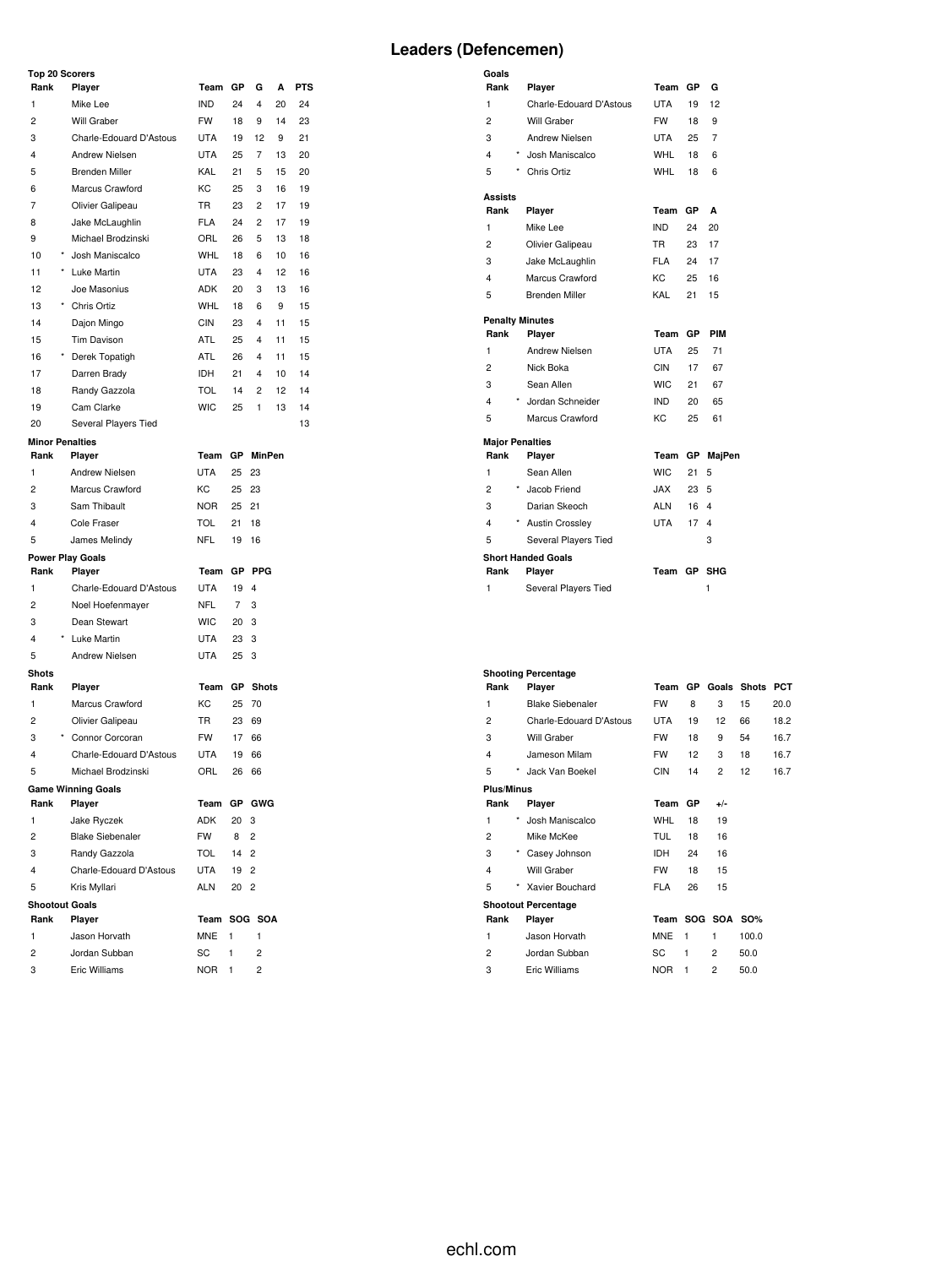#### **Top 20 Scorers**

|                | <b>Top 20 Scorers</b>           |            |              |                |    |     |
|----------------|---------------------------------|------------|--------------|----------------|----|-----|
| Rank           | Player                          | Team       | GР           | G              | А  | PTS |
| 1              | Mike Lee                        | <b>IND</b> | 24           | 4              | 20 | 24  |
| $\overline{2}$ | Will Graber                     | <b>FW</b>  | 18           | 9              | 14 | 23  |
| 3              | Charle-Edouard D'Astous         | <b>UTA</b> | 19           | 12             | 9  | 21  |
| 4              | Andrew Nielsen                  | <b>UTA</b> | 25           | 7              | 13 | 20  |
| 5              | <b>Brenden Miller</b>           | KAL        | 21           | 5              | 15 | 20  |
| 6              | Marcus Crawford                 | KC         | 25           | 3              | 16 | 19  |
| 7              | Olivier Galipeau                | <b>TR</b>  | 23           | 2              | 17 | 19  |
| 8              | Jake McLaughlin                 | <b>FLA</b> | 24           | 2              | 17 | 19  |
| 9              | Michael Brodzinski              | ORL        | 26           | 5              | 13 | 18  |
| 10             | Josh Maniscalco                 | <b>WHL</b> | 18           | 6              | 10 | 16  |
| 11             | Luke Martin                     | <b>UTA</b> | 23           | 4              | 12 | 16  |
| 12             | Joe Masonius                    | ADK        | 20           | 3              | 13 | 16  |
| 13             | * Chris Ortiz                   | <b>WHL</b> | 18           | 6              | 9  | 15  |
| 14             | Dajon Mingo                     | <b>CIN</b> | 23           | 4              | 11 | 15  |
| 15             | <b>Tim Davison</b>              | ATL        | 25           | 4              | 11 | 15  |
| 16             | Derek Topatigh                  | ATL        | 26           | 4              | 11 | 15  |
| 17             | Darren Brady                    | IDH        | 21           | 4              | 10 | 14  |
| 18             | Randy Gazzola                   | <b>TOL</b> | 14           | 2              | 12 | 14  |
| 19             | Cam Clarke                      | <b>WIC</b> | 25           | 1              | 13 | 14  |
| 20             | Several Players Tied            |            |              |                |    | 13  |
|                | <b>Minor Penalties</b>          |            |              |                |    |     |
| Rank           | Player                          | Team       | GP           | <b>MinPen</b>  |    |     |
| 1              | <b>Andrew Nielsen</b>           | <b>UTA</b> | 25           | 23             |    |     |
| 2              | Marcus Crawford                 | KC         | 25           | 23             |    |     |
| 3              | Sam Thibault                    | <b>NOR</b> | 25           | 21             |    |     |
| 4              | Cole Fraser                     | TOL        | 21           | 18             |    |     |
| 5              | James Melindy                   | <b>NFL</b> | 19           | 16             |    |     |
|                | <b>Power Play Goals</b>         |            |              |                |    |     |
| Rank           | Player                          | Team       | GР           | <b>PPG</b>     |    |     |
| 1              | Charle-Edouard D'Astous         | <b>UTA</b> | 19           | $\overline{4}$ |    |     |
| 2              | Noel Hoefenmayer                | <b>NFL</b> | 7            | 3              |    |     |
| 3              | Dean Stewart                    | <b>WIC</b> | 20           | 3              |    |     |
| 4              | Luke Martin                     | UTA        | 23           | 3              |    |     |
| 5              | <b>Andrew Nielsen</b>           | <b>UTA</b> | 25           | 3              |    |     |
| Shots          |                                 |            |              |                |    |     |
| Rank           | Player                          | Team       | GР           | <b>Shots</b>   |    |     |
| 1              | Marcus Crawford                 | KC         | 25           | 70             |    |     |
| 2              | Olivier Galipeau                | TR         | 23           | 69             |    |     |
| 3              | * Connor Corcoran               | <b>FW</b>  | 17           | 66             |    |     |
| 4              | Charle-Edouard D'Astous         | <b>UTA</b> | 19           | 66             |    |     |
| 5              | Michael Brodzinski              | ORL        | 26           | 66             |    |     |
|                | <b>Game Winning Goals</b>       |            |              |                |    |     |
| Rank           | Player                          | Team       |              | GP GWG         |    |     |
| 1              | Jake Ryczek                     | ADK        | 20           | 3              |    |     |
| 2              | <b>Blake Siebenaler</b>         | FW         | 8            | $\overline{2}$ |    |     |
| 3              | Randy Gazzola                   | TOL        | 14           | $\overline{2}$ |    |     |
| 4              | Charle-Edouard D'Astous         | UTA        | 19           | $\overline{2}$ |    |     |
|                |                                 | ALN        |              | $\overline{2}$ |    |     |
| 5              | Kris Myllari                    |            | 20           |                |    |     |
| Rank           | <b>Shootout Goals</b><br>Player | Team       |              | SOG SOA        |    |     |
| 1              | Jason Horvath                   | <b>MNE</b> | 1            | 1              |    |     |
|                | Jordan Subban                   |            | $\mathbf{1}$ |                |    |     |
| 2              |                                 | SC         |              | 2              |    |     |
| 3              | Eric Williams                   | <b>NOR</b> | 1            | 2              |    |     |

| Goals                  |                           |            |           |                |
|------------------------|---------------------------|------------|-----------|----------------|
| Rank                   | Player                    | Team       | <b>GP</b> | G              |
| 1                      | Charle-Edouard D'Astous   | UTA        | 19        | 12             |
| $\overline{c}$         | Will Graber               | FW         | 18        | 9              |
| 3                      | Andrew Nielsen            | UTA        | 25        | 7              |
| 4                      | * Josh Maniscalco         | <b>WHL</b> | 18        | 6              |
| 5<br>$^{\star}$        | Chris Ortiz               | <b>WHL</b> | 18        | 6              |
| Assists                |                           |            |           |                |
| Rank                   | Player                    | Team       | GP        | A              |
| 1                      | Mike Lee                  | <b>IND</b> | 24        | 20             |
| 2                      | Olivier Galipeau          | TR.        | 23        | 17             |
| 3                      | Jake McLaughlin           | <b>FLA</b> | 24        | 17             |
| 4                      | Marcus Crawford           | KC.        | 25        | 16             |
| 5                      | <b>Brenden Miller</b>     | <b>KAL</b> | 21        | 15             |
| <b>Penalty Minutes</b> |                           |            |           |                |
| Rank                   | Player                    | Team       | GР        | PIM            |
| 1                      | Andrew Nielsen            | UTA        | 25        | 71             |
| $\overline{c}$         | Nick Boka                 | CIN        | 17        | 67             |
| 3                      | Sean Allen                | <b>WIC</b> | 21        | 67             |
| 4                      | * Jordan Schneider        | IND.       | 20        | 65             |
| 5                      | Marcus Crawford           | KC.        | 25        | 61             |
| <b>Major Penalties</b> |                           |            |           |                |
| Rank                   | Player                    | Team       | GP        | MajPen         |
| 1                      | Sean Allen                | <b>WIC</b> | 21        | 5              |
| $\overline{c}$         | * Jacob Friend            | JAX        | 23        | 5              |
| 3                      | Darian Skeoch             | ALN        | 16        | $\overline{4}$ |
| 4                      | * Austin Crossley         | UTA        | 17        | $\overline{4}$ |
| 5                      | Several Players Tied      |            |           | 3              |
|                        | <b>Short Handed Goals</b> |            |           |                |
| Rank                   | Player                    | Team GP    |           | <b>SHG</b>     |
| 1                      | Several Players Tied      |            |           | 1              |
|                        |                           |            |           |                |

# **Shooting Percentage**

|                   |            | Shooting Percentage        |            |    |                |                       |            |
|-------------------|------------|----------------------------|------------|----|----------------|-----------------------|------------|
| Rank              |            | Player                     | Team       |    |                | <b>GP</b> Goals Shots | <b>PCT</b> |
| 1                 |            | <b>Blake Siebenaler</b>    | <b>FW</b>  | 8  | 3              | 15                    | 20.0       |
| 2                 |            | Charle-Edouard D'Astous    | <b>UTA</b> | 19 | 12             | 66                    | 18.2       |
| 3                 |            | Will Graber                | <b>FW</b>  | 18 | 9              | 54                    | 16.7       |
| 4                 |            | Jameson Milam              | <b>FW</b>  | 12 | 3              | 18                    | 16.7       |
| 5                 | $\star$    | Jack Van Boekel            | <b>CIN</b> | 14 | $\overline{2}$ | 12                    | 16.7       |
| <b>Plus/Minus</b> |            |                            |            |    |                |                       |            |
| Rank              |            | Player                     | Team       | GP | $+/-$          |                       |            |
| 1                 | $\star$    | Josh Maniscalco            | WHL        | 18 | 19             |                       |            |
| $\overline{c}$    |            | Mike McKee                 | <b>TUL</b> | 18 | 16             |                       |            |
| 3                 | $^{\star}$ | Casey Johnson              | <b>IDH</b> | 24 | 16             |                       |            |
| 4                 |            | Will Graber                | <b>FW</b>  | 18 | 15             |                       |            |
| 5                 | $^{\star}$ | Xavier Bouchard            | <b>FLA</b> | 26 | 15             |                       |            |
|                   |            | <b>Shootout Percentage</b> |            |    |                |                       |            |
| Rank              |            | Player                     | Team       |    | SOG SOA        | SO%                   |            |
| 1                 |            | Jason Horvath              | <b>MNE</b> | 1  | 1              | 100.0                 |            |
| $\overline{c}$    |            | Jordan Subban              | SC         | 1  | $\overline{2}$ | 50.0                  |            |
| 3                 |            | Eric Williams              | <b>NOR</b> | 1  | 2              | 50.0                  |            |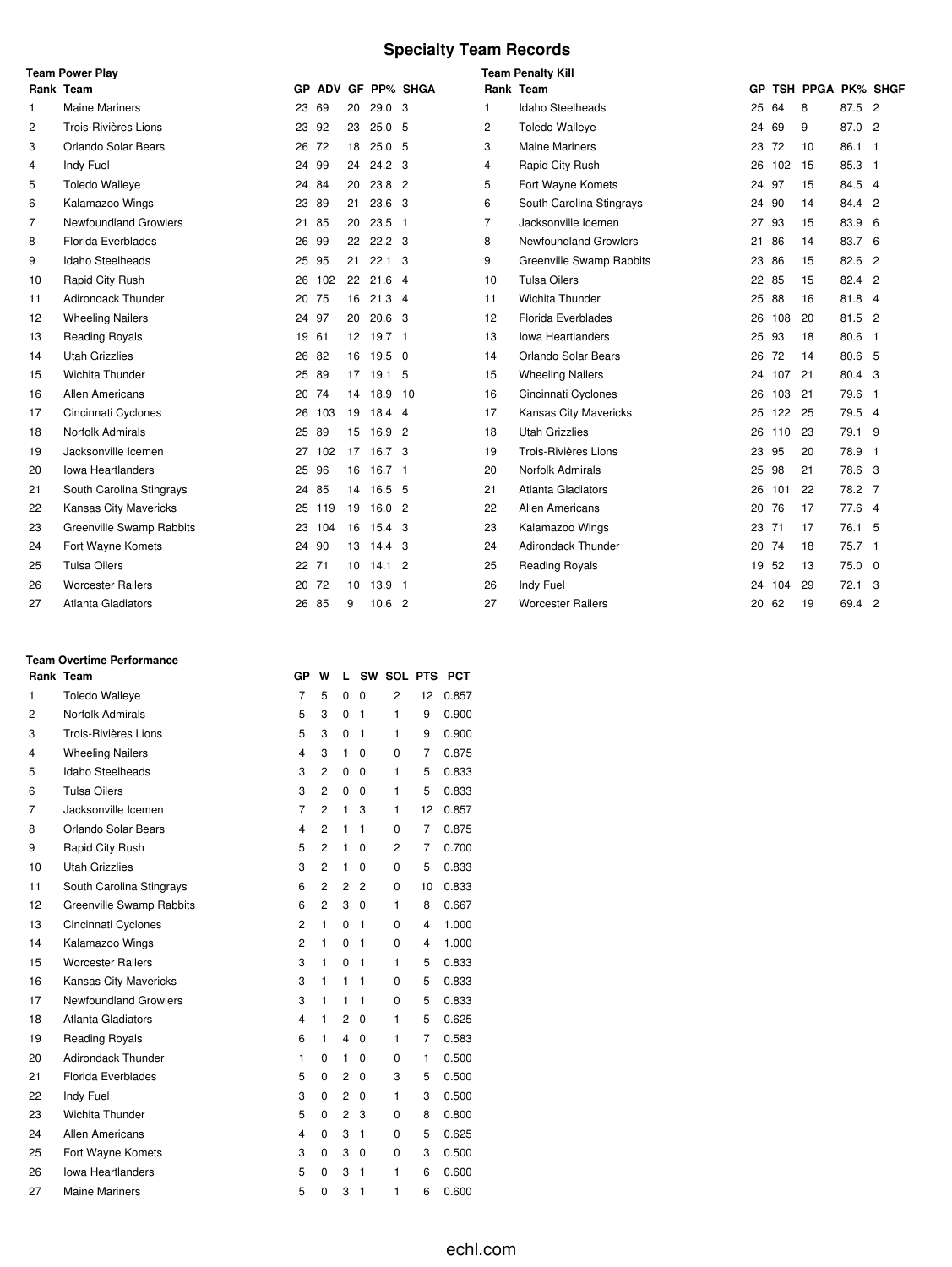# **Specialty Team Records**

|    | <b>Team Power Play</b>       |       |        |    |                   |                    |                | <b>Team Penalty Kill</b>     |       |     |                   |          |  |
|----|------------------------------|-------|--------|----|-------------------|--------------------|----------------|------------------------------|-------|-----|-------------------|----------|--|
|    | Rank Team                    |       |        |    |                   | GP ADV GF PP% SHGA |                | Rank Team                    | GP    |     | TSH PPGA PK% SHGF |          |  |
| 1  | <b>Maine Mariners</b>        | 23    | 69     | 20 | 29.0 <sub>3</sub> |                    | 1              | Idaho Steelheads             | 25    | 64  | 8                 | 87.5 2   |  |
| 2  | Trois-Rivières Lions         | 23 92 |        | 23 | 25.05             |                    | 2              | <b>Toledo Walleye</b>        | 24    | 69  | 9                 | 87.0 2   |  |
| 3  | Orlando Solar Bears          | 26    | 72     | 18 | 25.0 <sub>5</sub> |                    | 3              | <b>Maine Mariners</b>        | 23    | 72  | 10                | 86.1 1   |  |
| 4  | Indy Fuel                    | 24    | 99     | 24 | 24.2 <sup>3</sup> |                    | 4              | Rapid City Rush              | 26    | 102 | 15                | 85.3 1   |  |
| 5  | <b>Toledo Walleye</b>        | 24 84 |        | 20 | $23.8$ 2          |                    | 5              | Fort Wayne Komets            | 24 97 |     | 15                | 84.5 4   |  |
| 6  | Kalamazoo Wings              | 23    | 89     | 21 | 23.6 3            |                    | 6              | South Carolina Stingrays     | 24 90 |     | 14                | 84.4 2   |  |
| 7  | <b>Newfoundland Growlers</b> | 21    | 85     | 20 | $23.5$ 1          |                    | $\overline{7}$ | Jacksonville Icemen          | 27    | 93  | 15                | 83.9 6   |  |
| 8  | <b>Florida Everblades</b>    | 26    | 99     | 22 | 22.2 <sub>3</sub> |                    | 8              | <b>Newfoundland Growlers</b> | 21    | 86  | 14                | 83.7 6   |  |
| 9  | Idaho Steelheads             | 25    | 95     | 21 | $22.1$ 3          |                    | 9              | Greenville Swamp Rabbits     | 23 86 |     | 15                | 82.6 2   |  |
| 10 | Rapid City Rush              | 26    | 102    | 22 | $21.6$ 4          |                    | 10             | <b>Tulsa Oilers</b>          | 22    | -85 | 15                | 82.4 2   |  |
| 11 | Adirondack Thunder           | 20 75 |        | 16 | $21.3$ 4          |                    | 11             | Wichita Thunder              | 25    | 88  | 16                | 81.8 4   |  |
| 12 | <b>Wheeling Nailers</b>      | 24    | 97     | 20 | 20.6 <sup>3</sup> |                    | 12             | Florida Everblades           | 26    | 108 | 20                | 81.5 2   |  |
| 13 | <b>Reading Royals</b>        | 19 61 |        |    | 12 19.7 1         |                    | 13             | lowa Heartlanders            | 25    | 93  | 18                | 80.6 1   |  |
| 14 | <b>Utah Grizzlies</b>        | 26    | 82     | 16 | 19.5 0            |                    | 14             | Orlando Solar Bears          | 26    | 72  | 14                | 80.6 5   |  |
| 15 | Wichita Thunder              | 25 89 |        |    | 17 19.1 5         |                    | 15             | <b>Wheeling Nailers</b>      | 24    | 107 | 21                | 80.4 3   |  |
| 16 | <b>Allen Americans</b>       | 20 74 |        | 14 | 18.9 10           |                    | 16             | Cincinnati Cyclones          | 26    | 103 | 21                | 79.6 1   |  |
| 17 | Cincinnati Cyclones          | 26    | 103    | 19 | 18.44             |                    | 17             | <b>Kansas City Mavericks</b> | 25    | 122 | 25                | 79.5 4   |  |
| 18 | Norfolk Admirals             | 25 89 |        | 15 | 16.9 <sup>2</sup> |                    | 18             | <b>Utah Grizzlies</b>        | 26    | 110 | 23                | 79.1 9   |  |
| 19 | Jacksonville Icemen          | 27    | 102    | 17 | 16.7 <sup>3</sup> |                    | 19             | Trois-Rivières Lions         | 23    | 95  | 20                | 78.9 1   |  |
| 20 | lowa Heartlanders            | 25    | 96     | 16 | 16.7 <sub>1</sub> |                    | 20             | Norfolk Admirals             | 25    | 98  | 21                | 78.6 3   |  |
| 21 | South Carolina Stingrays     | 24 85 |        | 14 | 16.5 5            |                    | 21             | <b>Atlanta Gladiators</b>    | 26    | 101 | 22                | 78.2 7   |  |
| 22 | Kansas City Mavericks        |       | 25 119 | 19 | 16.02             |                    | 22             | <b>Allen Americans</b>       | 20    | 76  | 17                | 77.6 4   |  |
| 23 | Greenville Swamp Rabbits     |       | 23 104 | 16 | 15.4 <sup>3</sup> |                    | 23             | Kalamazoo Wings              | 23 71 |     | 17                | 76.1 5   |  |
| 24 | Fort Wayne Komets            | 24    | 90     | 13 | 14.4 <sup>3</sup> |                    | 24             | <b>Adirondack Thunder</b>    | 20    | -74 | 18                | $75.7$ 1 |  |
| 25 | <b>Tulsa Oilers</b>          | 22 71 |        | 10 | $14.1$ 2          |                    | 25             | <b>Reading Royals</b>        | 19    | 52  | 13                | 75.0 0   |  |
| 26 | <b>Worcester Railers</b>     | 20    | 72     | 10 | 13.9 <sub>1</sub> |                    | 26             | Indy Fuel                    | 24    | 104 | 29                | 72.1 3   |  |
| 27 | <b>Atlanta Gladiators</b>    | 26 85 |        | 9  | 10.6 <sup>2</sup> |                    | 27             | <b>Worcester Railers</b>     | 20    | 62  | 19                | 69.4 2   |  |

#### **Team Overtime Performance**

|    | Rank Team                 | GP                      | w              | L              |                | SW SOL PTS     |                | <b>PCT</b> |
|----|---------------------------|-------------------------|----------------|----------------|----------------|----------------|----------------|------------|
| 1  | <b>Toledo Walleye</b>     | $\overline{7}$          | 5              | 0              | 0              | $\overline{2}$ | 12             | 0.857      |
| 2  | Norfolk Admirals          | 5                       | 3              | 0              | $\mathbf{1}$   | 1              | 9              | 0.900      |
| 3  | Trois-Rivières Lions      | 5                       | 3              | 0              | 1              | 1              | 9              | 0.900      |
| 4  | <b>Wheeling Nailers</b>   | $\overline{\mathbf{4}}$ | 3              | $\mathbf{1}$   | 0              | 0              | 7              | 0.875      |
| 5  | Idaho Steelheads          | 3                       | $\overline{2}$ | 0              | 0              | 1              | 5              | 0.833      |
| 6  | <b>Tulsa Oilers</b>       | 3                       | $\overline{2}$ | 0              | 0              | 1              | 5              | 0.833      |
| 7  | Jacksonville Icemen       | $\overline{7}$          | $\overline{2}$ | 1              | 3              | 1              | 12             | 0.857      |
| 8  | Orlando Solar Bears       | 4                       | $\overline{2}$ | 1              | $\mathbf{1}$   | 0              | $\overline{7}$ | 0.875      |
| 9  | Rapid City Rush           | 5                       | $\overline{2}$ | $\mathbf{1}$   | $\Omega$       | $\overline{c}$ | 7              | 0.700      |
| 10 | <b>Utah Grizzlies</b>     | 3                       | 2              | 1              | 0              | 0              | 5              | 0.833      |
| 11 | South Carolina Stingrays  | 6                       | $\overline{2}$ | 2              | $\overline{2}$ | 0              | 10             | 0.833      |
| 12 | Greenville Swamp Rabbits  | 6                       | $\overline{2}$ | 3              | 0              | 1              | 8              | 0.667      |
| 13 | Cincinnati Cyclones       | 2                       | $\mathbf{1}$   | 0              | 1              | 0              | 4              | 1.000      |
| 14 | Kalamazoo Wings           | 2                       | 1              | 0              | 1              | 0              | 4              | 1.000      |
| 15 | <b>Worcester Railers</b>  | 3                       | 1              | 0              | 1              | 1              | 5              | 0.833      |
| 16 | Kansas City Mavericks     | 3                       | 1              | 1              | 1              | 0              | 5              | 0.833      |
| 17 | Newfoundland Growlers     | 3                       | 1              | 1              | 1              | 0              | 5              | 0.833      |
| 18 | <b>Atlanta Gladiators</b> | $\overline{4}$          | $\mathbf{1}$   | $\overline{2}$ | 0              | 1              | 5              | 0.625      |
| 19 | <b>Reading Royals</b>     | 6                       | 1              | 4              | 0              | 1              | 7              | 0.583      |
| 20 | Adirondack Thunder        | 1                       | 0              | $\mathbf{1}$   | 0              | 0              | 1              | 0.500      |
| 21 | Florida Everblades        | 5                       | 0              | $\overline{2}$ | 0              | 3              | 5              | 0.500      |
| 22 | Indy Fuel                 | 3                       | 0              | 2              | 0              | 1              | 3              | 0.500      |
| 23 | Wichita Thunder           | 5                       | 0              | $\overline{2}$ | 3              | 0              | 8              | 0.800      |
| 24 | <b>Allen Americans</b>    | $\overline{4}$          | 0              | 3              | $\mathbf{1}$   | 0              | 5              | 0.625      |
| 25 | Fort Wayne Komets         | 3                       | 0              | 3              | 0              | 0              | 3              | 0.500      |
| 26 | lowa Heartlanders         | 5                       | 0              | 3              | $\mathbf{1}$   | 1              | 6              | 0.600      |
| 27 | <b>Maine Mariners</b>     | 5                       | 0              | 3              | 1              | 1              | 6              | 0.600      |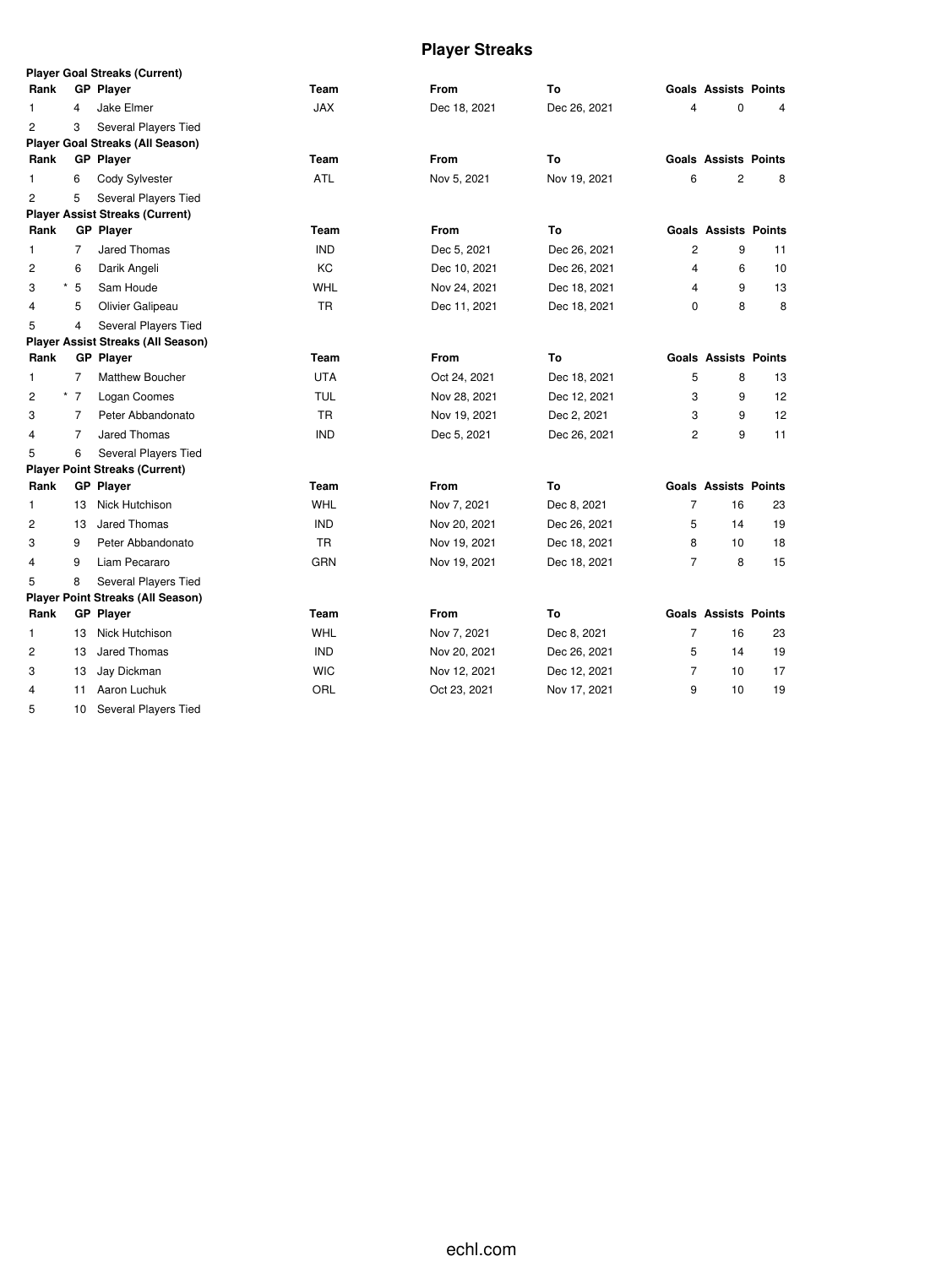# **Player Streaks**

|                |                | <b>Player Goal Streaks (Current)</b>      |            |              |              |                |                             |    |
|----------------|----------------|-------------------------------------------|------------|--------------|--------------|----------------|-----------------------------|----|
| Rank           |                | <b>GP Player</b>                          | Team       | <b>From</b>  | To           |                | <b>Goals Assists Points</b> |    |
| 1              | 4              | Jake Elmer                                | <b>JAX</b> | Dec 18, 2021 | Dec 26, 2021 | 4              | 0                           | 4  |
| $\overline{c}$ | 3              | Several Players Tied                      |            |              |              |                |                             |    |
|                |                | <b>Player Goal Streaks (All Season)</b>   |            |              |              |                |                             |    |
| Rank           |                | <b>GP Player</b>                          | Team       | <b>From</b>  | To           |                | <b>Goals Assists Points</b> |    |
| 1              | 6              | Cody Sylvester                            | <b>ATL</b> | Nov 5, 2021  | Nov 19, 2021 | 6              | 2                           | 8  |
| $\overline{c}$ | 5              | Several Players Tied                      |            |              |              |                |                             |    |
|                |                | <b>Player Assist Streaks (Current)</b>    |            |              |              |                |                             |    |
| Rank           |                | <b>GP</b> Player                          | Team       | From         | To           |                | <b>Goals Assists Points</b> |    |
| 1              | $\overline{7}$ | <b>Jared Thomas</b>                       | <b>IND</b> | Dec 5, 2021  | Dec 26, 2021 | 2              | 9                           | 11 |
| $\overline{2}$ | 6              | Darik Angeli                              | KC         | Dec 10, 2021 | Dec 26, 2021 | 4              | 6                           | 10 |
| 3<br>*         | 5              | Sam Houde                                 | <b>WHL</b> | Nov 24, 2021 | Dec 18, 2021 | 4              | 9                           | 13 |
| $\overline{4}$ | 5              | Olivier Galipeau                          | <b>TR</b>  | Dec 11, 2021 | Dec 18, 2021 | 0              | 8                           | 8  |
| 5              | 4              | Several Players Tied                      |            |              |              |                |                             |    |
|                |                | <b>Player Assist Streaks (All Season)</b> |            |              |              |                |                             |    |
| Rank           |                | <b>GP Player</b>                          | Team       | <b>From</b>  | To           |                | <b>Goals Assists Points</b> |    |
| 1              | 7              | <b>Matthew Boucher</b>                    | <b>UTA</b> | Oct 24, 2021 | Dec 18, 2021 | 5              | 8                           | 13 |
| $\overline{2}$ | $^*$ 7         | Logan Coomes                              | <b>TUL</b> | Nov 28, 2021 | Dec 12, 2021 | 3              | 9                           | 12 |
| 3              | 7              | Peter Abbandonato                         | <b>TR</b>  | Nov 19, 2021 | Dec 2, 2021  | 3              | 9                           | 12 |
| $\overline{4}$ | 7              | Jared Thomas                              | <b>IND</b> | Dec 5, 2021  | Dec 26, 2021 | 2              | 9                           | 11 |
| 5              | 6              | Several Players Tied                      |            |              |              |                |                             |    |
|                |                | <b>Player Point Streaks (Current)</b>     |            |              |              |                |                             |    |
| Rank           |                | <b>GP</b> Player                          | Team       | From         | To           |                | <b>Goals Assists Points</b> |    |
| 1              | 13             | Nick Hutchison                            | WHL        | Nov 7, 2021  | Dec 8, 2021  | $\overline{7}$ | 16                          | 23 |
| 2              | 13             | Jared Thomas                              | <b>IND</b> | Nov 20, 2021 | Dec 26, 2021 | 5              | 14                          | 19 |
| 3              | 9              | Peter Abbandonato                         | TR         | Nov 19, 2021 | Dec 18, 2021 | 8              | 10                          | 18 |
| $\overline{4}$ | 9              | Liam Pecararo                             | <b>GRN</b> | Nov 19, 2021 | Dec 18, 2021 | $\overline{7}$ | 8                           | 15 |
| 5              | 8              | Several Players Tied                      |            |              |              |                |                             |    |
|                |                | <b>Player Point Streaks (All Season)</b>  |            |              |              |                |                             |    |
| Rank           |                | <b>GP</b> Player                          | Team       | <b>From</b>  | To           |                | <b>Goals Assists Points</b> |    |
| 1              | 13             | Nick Hutchison                            | WHL        | Nov 7, 2021  | Dec 8, 2021  | $\overline{7}$ | 16                          | 23 |
| 2              | 13             | <b>Jared Thomas</b>                       | <b>IND</b> | Nov 20, 2021 | Dec 26, 2021 | 5              | 14                          | 19 |
| 3              | 13             | Jay Dickman                               | <b>WIC</b> | Nov 12, 2021 | Dec 12, 2021 | 7              | 10                          | 17 |
| 4              | 11             | Aaron Luchuk                              | ORL        | Oct 23, 2021 | Nov 17, 2021 | 9              | 10                          | 19 |

10 Several Players Tied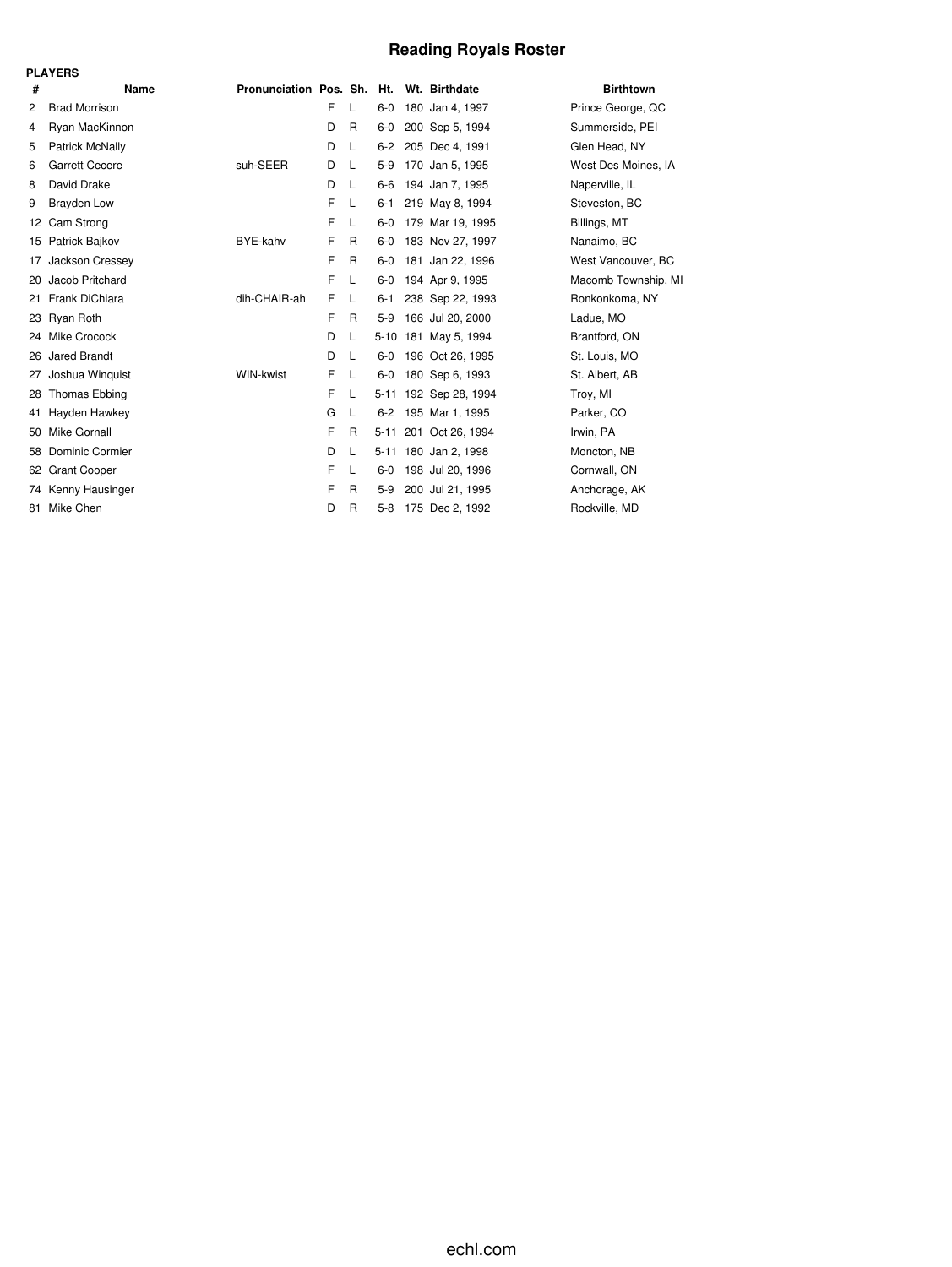# **Reading Royals Roster**

|     | <b>PLAYERS</b>         |                                          |   |              |         |                       |                     |
|-----|------------------------|------------------------------------------|---|--------------|---------|-----------------------|---------------------|
| #   | Name                   | Pronunciation Pos. Sh. Ht. Wt. Birthdate |   |              |         |                       | <b>Birthtown</b>    |
| 2   | <b>Brad Morrison</b>   |                                          | F | L            | $6-0$   | 180 Jan 4, 1997       | Prince George, QC   |
| 4   | Ryan MacKinnon         |                                          | D | R            | $6-0$   | 200 Sep 5, 1994       | Summerside, PEI     |
| 5   | Patrick McNally        |                                          | D | L            | $6 - 2$ | 205 Dec 4, 1991       | Glen Head, NY       |
| 6   | <b>Garrett Cecere</b>  | suh-SEER                                 | D | L            | $5-9$   | 170 Jan 5, 1995       | West Des Moines, IA |
| 8   | David Drake            |                                          | D | L            | 6-6     | 194 Jan 7, 1995       | Naperville, IL      |
| 9   | <b>Brayden Low</b>     |                                          | F | L            | 6-1     | 219 May 8, 1994       | Steveston, BC       |
| 12  | Cam Strong             |                                          | F | L            | $6-0$   | 179 Mar 19, 1995      | Billings, MT        |
| 15  | Patrick Bajkov         | BYE-kahv                                 | F | R            | $6-0$   | 183 Nov 27, 1997      | Nanaimo, BC         |
| 17  | Jackson Cressey        |                                          | F | R            | $6-0$   | 181 Jan 22, 1996      | West Vancouver, BC  |
| 20  | Jacob Pritchard        |                                          | F | L            | $6-0$   | 194 Apr 9, 1995       | Macomb Township, MI |
| 21. | Frank DiChiara         | dih-CHAIR-ah                             | F | L            | $6 - 1$ | 238 Sep 22, 1993      | Ronkonkoma, NY      |
| 23  | Ryan Roth              |                                          | F | R            | $5-9$   | 166 Jul 20, 2000      | Ladue, MO           |
| 24  | Mike Crocock           |                                          | D | L            |         | 5-10 181 May 5, 1994  | Brantford, ON       |
| 26  | Jared Brandt           |                                          | D | L            | 6-0     | 196 Oct 26, 1995      | St. Louis, MO       |
| 27  | Joshua Winguist        | WIN-kwist                                | F | L            | $6-0$   | 180 Sep 6, 1993       | St. Albert, AB      |
| 28  | Thomas Ebbing          |                                          | F | L            |         | 5-11 192 Sep 28, 1994 | Troy, MI            |
| 41  | Hayden Hawkey          |                                          | G | L            | $6 - 2$ | 195 Mar 1, 1995       | Parker, CO          |
| 50  | Mike Gornall           |                                          | F | R            | 5-11    | 201 Oct 26, 1994      | Irwin, PA           |
| 58  | <b>Dominic Cormier</b> |                                          | D | L            |         | 5-11 180 Jan 2, 1998  | Moncton, NB         |
| 62  | <b>Grant Cooper</b>    |                                          | F | L            | $6-0$   | 198 Jul 20, 1996      | Cornwall, ON        |
| 74  | Kenny Hausinger        |                                          | F | R            | $5-9$   | 200 Jul 21, 1995      | Anchorage, AK       |
| 81  | Mike Chen              |                                          | D | $\mathsf{R}$ | $5-8$   | 175 Dec 2, 1992       | Rockville, MD       |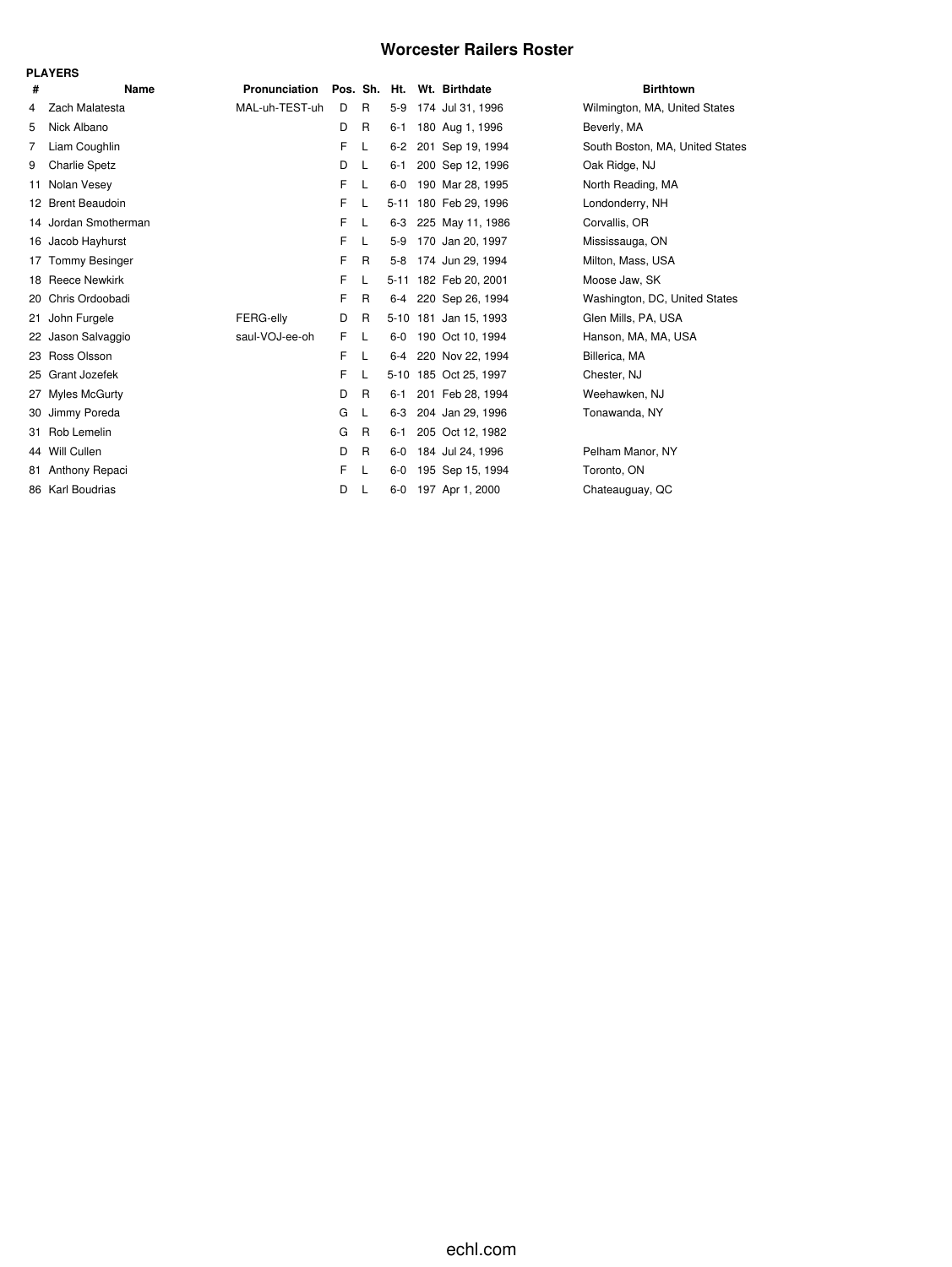### **Worcester Railers Roster**

|     | <b>PLAYERS</b>        |                            |    |              |         |                       |                                 |
|-----|-----------------------|----------------------------|----|--------------|---------|-----------------------|---------------------------------|
| #   | Name                  | Pronunciation Pos. Sh. Ht. |    |              |         | Wt. Birthdate         | <b>Birthtown</b>                |
| 4   | Zach Malatesta        | MAL-uh-TEST-uh             | D  | $\mathsf{R}$ | $5-9$   | 174 Jul 31, 1996      | Wilmington, MA, United States   |
| 5   | Nick Albano           |                            | D  | R            | $6 - 1$ | 180 Aug 1, 1996       | Beverly, MA                     |
| 7   | Liam Coughlin         |                            | F  | L            | $6 - 2$ | 201 Sep 19, 1994      | South Boston, MA, United States |
| 9   | <b>Charlie Spetz</b>  |                            | D  | L            | $6 - 1$ | 200 Sep 12, 1996      | Oak Ridge, NJ                   |
| 11  | Nolan Vesey           |                            | F  | L            | $6-0$   | 190 Mar 28, 1995      | North Reading, MA               |
|     | 12 Brent Beaudoin     |                            | F  | L            |         | 5-11 180 Feb 29, 1996 | Londonderry, NH                 |
|     | 14 Jordan Smotherman  |                            | F. | L            | $6 - 3$ | 225 May 11, 1986      | Corvallis, OR                   |
| 16  | Jacob Hayhurst        |                            | F  | L            | $5-9$   | 170 Jan 20, 1997      | Mississauga, ON                 |
| 17  | <b>Tommy Besinger</b> |                            | F  | R            | $5-8$   | 174 Jun 29, 1994      | Milton, Mass, USA               |
|     | 18 Reece Newkirk      |                            | F  | L            |         | 5-11 182 Feb 20, 2001 | Moose Jaw, SK                   |
| 20  | Chris Ordoobadi       |                            | F  | R            | $6 - 4$ | 220 Sep 26, 1994      | Washington, DC, United States   |
| 21  | John Furgele          | FERG-elly                  | D  | R            |         | 5-10 181 Jan 15, 1993 | Glen Mills, PA, USA             |
| 22  | Jason Salvaggio       | saul-VOJ-ee-oh             | F  | L            | $6-0$   | 190 Oct 10, 1994      | Hanson, MA, MA, USA             |
|     | 23 Ross Olsson        |                            | F  | L            | $6-4$   | 220 Nov 22, 1994      | Billerica, MA                   |
| 25  | Grant Jozefek         |                            | F  | L            |         | 5-10 185 Oct 25, 1997 | Chester, NJ                     |
| 27  | <b>Myles McGurty</b>  |                            | D  | R            | $6 - 1$ | 201 Feb 28, 1994      | Weehawken, NJ                   |
| 30  | Jimmy Poreda          |                            | G  | L            | $6 - 3$ | 204 Jan 29, 1996      | Tonawanda, NY                   |
| 31  | Rob Lemelin           |                            | G  | R            | $6 - 1$ | 205 Oct 12, 1982      |                                 |
| 44  | Will Cullen           |                            | D  | R            | $6-0$   | 184 Jul 24, 1996      | Pelham Manor, NY                |
| 81. | Anthony Repaci        |                            | F  | L            | $6 - 0$ | 195 Sep 15, 1994      | Toronto, ON                     |
|     | 86 Karl Boudrias      |                            | D  | L            | $6-0$   | 197 Apr 1, 2000       | Chateauguay, QC                 |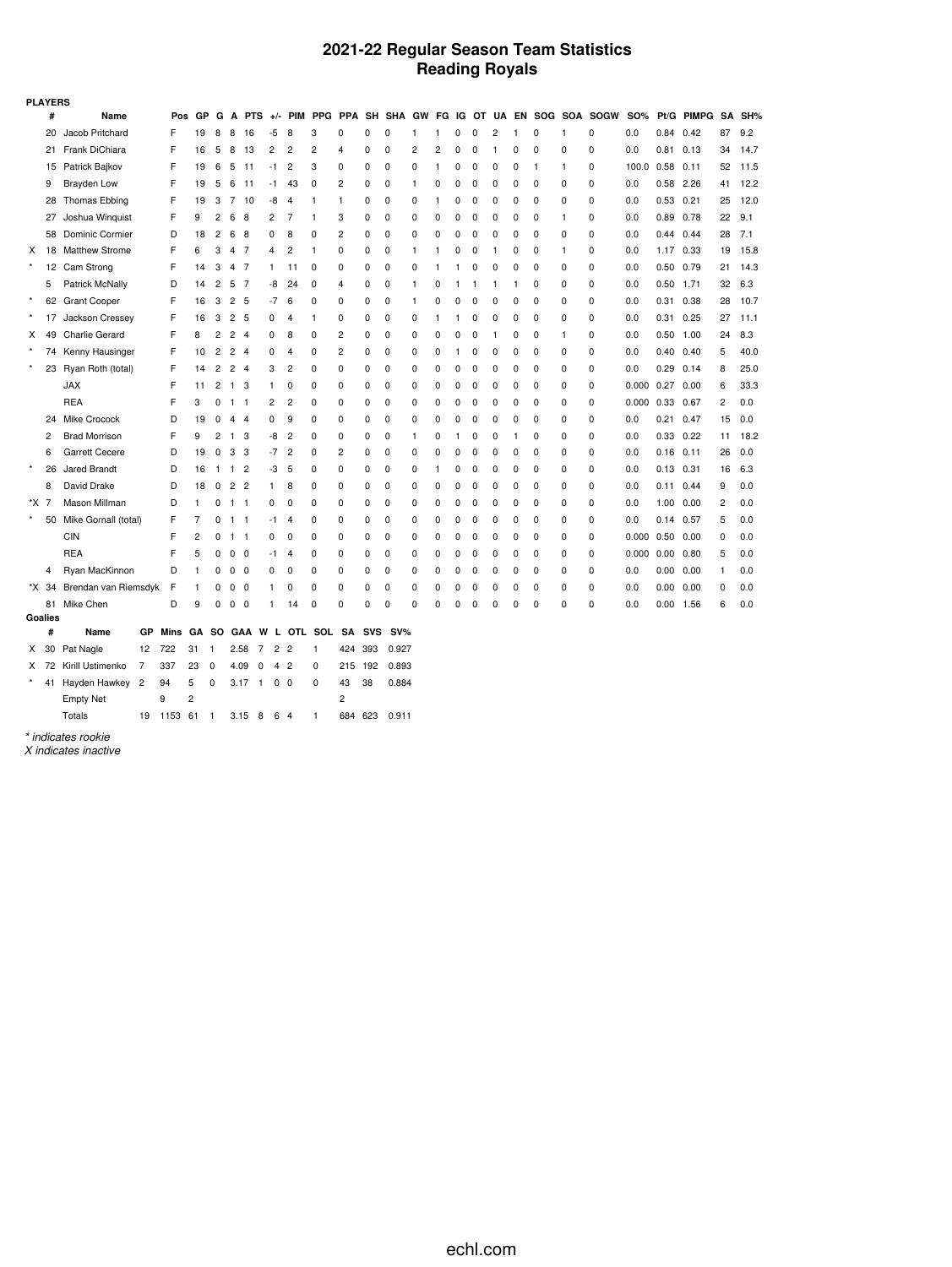#### **2021-22 Regular Season Team Statistics Reading Royals**

| <b>PLAYERS</b> |    |                       |    |      |    |                |                |                |                |                |              |              |            |          |   |          |              |   |                |   |            |          |             |                |               |              |    |        |
|----------------|----|-----------------------|----|------|----|----------------|----------------|----------------|----------------|----------------|--------------|--------------|------------|----------|---|----------|--------------|---|----------------|---|------------|----------|-------------|----------------|---------------|--------------|----|--------|
|                | #  | Name                  |    | Pos  | GP | G              | A              | <b>PTS</b>     | $+/-$          |                | PIM PPG      | <b>PPA</b>   | SH         | SHA GW   |   | FG.      | IG           |   | OT UA          |   | EN SOG SOA |          | <b>SOGW</b> | <b>SO%</b>     | Pt/G          | <b>PIMPG</b> |    | SA SH% |
|                | 20 | Jacob Pritchard       |    | F    | 19 | 8              | 8              | 16             | -5             | 8              | 3            | $\Omega$     | 0          | $\Omega$ |   | 1        | O            | 0 | $\overline{c}$ | 1 | 0          |          | 0           | 0.0            | 0.84          | 0.42         | 87 | 9.2    |
|                |    | 21 Frank DiChiara     |    | F    | 16 | 5              | 8              | 13             | 2              | 2              | 2            | 4            | 0          | 0        | 2 | 2        | 0            | 0 | 1              | 0 | 0          | 0        | 0           | 0.0            | 0.81          | 0.13         | 34 | 14.7   |
|                | 15 | Patrick Bajkov        |    | F    | 19 | 6              | 5              | -11            | -1             | $\overline{c}$ | 3            | $\mathbf 0$  | 0          | 0        | 0 | 1        | 0            | 0 | 0              | 0 | 1          | 1        | 0           | 100.0          | 0.58          | 0.11         | 52 | 11.5   |
|                | 9  | Brayden Low           |    | F    | 19 | 5              | 6              | 11             | -1             | 43             | 0            | 2            | 0          | 0        | 1 | 0        | 0            | 0 | 0              | 0 | 0          | 0        | 0           | 0.0            | 0.58          | 2.26         | 41 | 12.2   |
|                | 28 | <b>Thomas Ebbing</b>  |    | F    | 19 | 3              | 7              | 10             | -8             | 4              | $\mathbf{1}$ | $\mathbf{1}$ | 0          | 0        | 0 | 1        | $\Omega$     | 0 | 0              | 0 | 0          | 0        | 0           | 0.0            | 0.53          | 0.21         | 25 | 12.0   |
|                | 27 | Joshua Winguist       |    | F    | 9  | 2              | 6              | 8              | $\overline{2}$ | 7              | $\mathbf{1}$ | 3            | 0          | 0        | 0 | 0        | O            | 0 | 0              | 0 | 0          | 1        | 0           | 0.0            | 0.89          | 0.78         | 22 | 9.1    |
|                | 58 | Dominic Cormier       |    | D    | 18 | 2              | 6              | 8              | 0              | 8              | 0            | 2            | 0          | 0        | 0 | 0        | 0            | 0 | 0              | 0 | 0          | 0        | 0           | 0.0            | $0.44$ 0.44   |              | 28 | 7.1    |
| X              | 18 | <b>Matthew Strome</b> |    | F    | 6  | 3              | 4              | - 7            | 4              | $\overline{c}$ | $\mathbf{1}$ | 0            | 0          | 0        | 1 | 1        | 0            | 0 | $\mathbf{1}$   | 0 | 0          | 1        | 0           | 0.0            | 1.17 0.33     |              | 19 | 15.8   |
|                | 12 | Cam Strong            |    | F    | 14 | 3              | 4              | -7             | 1              | 11             | 0            | 0            | 0          | 0        | 0 | 1        | 1            | 0 | 0              | 0 | 0          | 0        | 0           | 0.0            | 0.50          | 0.79         | 21 | 14.3   |
|                | 5  | Patrick McNally       |    | D    | 14 | $\overline{c}$ | 5              | -7             | -8             | 24             | $\mathbf 0$  | 4            | 0          | 0        | 1 | 0        | 1            | 1 | 1              | 1 | 0          | 0        | 0           | 0.0            | $0.50$ 1.71   |              | 32 | 6.3    |
| $\star$        | 62 | <b>Grant Cooper</b>   |    | F    | 16 | 3              | 2              | 5              | $-7$           | 6              | 0            | 0            | 0          | 0        | 1 | 0        | $\Omega$     | 0 | 0              | 0 | 0          | 0        | 0           | 0.0            | 0.31          | 0.38         | 28 | 10.7   |
|                | 17 | Jackson Cressey       |    | F    | 16 | 3              | $\overline{2}$ | 5              | 0              | 4              | -1           | 0            | 0          | 0        | 0 | 1        | 1            | 0 | 0              | 0 | 0          | 0        | 0           | 0.0            | 0.31          | 0.25         | 27 | 11.1   |
| X              | 49 | <b>Charlie Gerard</b> |    | F    | 8  | 2              | $\overline{c}$ | $\overline{4}$ | 0              | 8              | 0            | 2            | 0          | 0        | 0 | 0        | 0            | 0 | 1              | 0 | 0          | 1        | 0           | 0.0            | 0.50          | 1.00         | 24 | 8.3    |
|                | 74 | Kenny Hausinger       |    | F    | 10 | $\overline{2}$ | $\mathbf{2}$   | $\overline{4}$ | 0              | 4              | 0            | 2            | 0          | 0        | 0 | 0        | 1            | 0 | 0              | 0 | 0          | 0        | 0           | 0.0            | 0.40          | 0.40         | 5  | 40.0   |
| $\star$        | 23 | Ryan Roth (total)     |    | F    | 14 | $\overline{c}$ | $\mathbf{2}$   | $\overline{4}$ | 3              | 2              | 0            | 0            | 0          | 0        | 0 | 0        | 0            | 0 | 0              | 0 | 0          | 0        | 0           | 0.0            | 0.29          | 0.14         | 8  | 25.0   |
|                |    | <b>JAX</b>            |    | F    | 11 | 2              | $\mathbf{1}$   | 3              | 1              | 0              | 0            | 0            | 0          | $\Omega$ | 0 | 0        | 0            | 0 | 0              | 0 | 0          | $\Omega$ | 0           | 0.000          | 0.27          | 0.00         | 6  | 33.3   |
|                |    | <b>REA</b>            |    | F    | 3  | 0              | $1 \quad 1$    |                | 2              | $\overline{c}$ | 0            | 0            | 0          | 0        | 0 | 0        | 0            | 0 | $\mathbf 0$    | 0 | 0          | 0        | 0           | 0.000          | 0.33          | 0.67         | 2  | 0.0    |
|                | 24 | Mike Crocock          |    | D    | 19 | 0              | $\overline{4}$ | $\overline{4}$ | 0              | 9              | $\mathbf 0$  | 0            | 0          | 0        | 0 | 0        | 0            | 0 | $\mathbf 0$    | 0 | 0          | 0        | 0           | 0.0            | 0.21          | 0.47         | 15 | 0.0    |
|                | 2  | <b>Brad Morrison</b>  |    | F    | 9  | 2              | $\overline{1}$ | 3              | -8             | 2              | 0            | 0            | 0          | 0        | 1 | 0        | $\mathbf{1}$ | 0 | 0              | 1 | 0          | 0        | 0           | 0.0            | 0.33          | 0.22         | 11 | 18.2   |
|                | 6  | <b>Garrett Cecere</b> |    | D    | 19 | 0              | 3              | 3              | -7             | $\overline{2}$ | 0            | 2            | 0          | 0        | 0 | 0        | $\Omega$     | 0 | 0              | 0 | 0          | 0        | 0           | 0.0            | 0.16          | 0.11         | 26 | 0.0    |
| $\star$        | 26 | Jared Brandt          |    | D    | 16 |                | $1 \quad 1$    | $\overline{2}$ | -3             | 5              | 0            | $\mathbf 0$  | 0          | 0        | 0 | 1        | 0            | 0 | 0              | 0 | 0          | 0        | 0           | 0.0            | $0.13$ $0.31$ |              | 16 | 6.3    |
|                | 8  | David Drake           |    | D    | 18 | 0              | $\overline{2}$ | $\overline{2}$ | 1              | 8              | 0            | 0            | 0          | 0        | 0 | 0        | 0            | 0 | 0              | 0 | 0          | 0        | 0           | 0.0            | 0.11          | 0.44         | 9  | 0.0    |
| *X 7           |    | Mason Millman         |    | D    | 1  | 0              | $\mathbf{1}$   | -1             | 0              | 0              | 0            | 0            | 0          | 0        | 0 | 0        | 0            | 0 | 0              | 0 | 0          | 0        | 0           | 0.0            | 1.00          | 0.00         | 2  | 0.0    |
| $\star$        | 50 | Mike Gornall (total)  |    | F    | 7  | 0              | $\overline{1}$ | $\overline{1}$ | -1             | 4              | 0            | 0            | 0          | 0        | 0 | 0        | 0            | 0 | 0              | 0 | 0          | 0        | 0           | 0.0            | 0.14          | 0.57         | 5  | 0.0    |
|                |    | <b>CIN</b>            |    | F    | 2  | 0              | 1 1            |                | 0              | 0              | $\mathbf 0$  | 0            | 0          | 0        | 0 | 0        | O            | 0 | 0              | 0 | 0          | 0        | 0           | 0.000          | 0.50          | 0.00         | 0  | 0.0    |
|                |    | <b>REA</b>            |    | F    | 5  | 0              | $0\quad 0$     |                | -1             | 4              | 0            | 0            | 0          | 0        | 0 | 0        | 0            | 0 | 0              | 0 | 0          | 0        | 0           | $0.000$ $0.00$ |               | 0.80         | 5  | 0.0    |
|                | 4  | Ryan MacKinnon        |    | D    | 1  | 0              | $0\quad 0$     |                | 0              | 0              | $\mathbf 0$  | 0            | 0          | 0        | 0 | 0        | 0            | 0 | 0              | 0 | 0          | 0        | 0           | 0.0            | 0.00          | 0.00         | 1  | 0.0    |
| *X 34          |    | Brendan van Riemsdyk  |    | F    | 1  | 0              | $0\quad 0$     |                | 1              | 0              | 0            | 0            | 0          | 0        | 0 | 0        | $\Omega$     | 0 | 0              | 0 | 0          | 0        | 0           | 0.0            | 0.00          | 0.00         | 0  | 0.0    |
|                | 81 | Mike Chen             |    | D    | 9  | 0              | $0\quad 0$     |                | 1              | 14             | 0            | 0            | 0          | 0        | 0 | $\Omega$ | 0            | 0 | $\Omega$       | 0 | 0          | 0        | 0           | 0.0            | 0.00          | 1.56         | 6  | 0.0    |
| Goalies        | #  | Name                  | GР | Mins | GА | so             | <b>GAA</b>     |                | W<br>L.        | <b>OTL</b>     | SOL          | SA           | <b>SVS</b> | $SV\%$   |   |          |              |   |                |   |            |          |             |                |               |              |    |        |
| X              | 30 | Pat Nagle             | 12 | 722  | 31 | -1             | 2.58           | 7              | $\overline{2}$ | $\overline{2}$ | 1            | 424          | 393        | 0.927    |   |          |              |   |                |   |            |          |             |                |               |              |    |        |
| X              | 72 | Kirill Ustimenko      | 7  | 337  | 23 | 0              | 4.09           | 0              | 4              | $\overline{2}$ | 0            | 215          | 192        | 0.893    |   |          |              |   |                |   |            |          |             |                |               |              |    |        |
| $^\star$       |    |                       |    |      |    |                |                |                |                |                |              |              |            |          |   |          |              |   |                |   |            |          |             |                |               |              |    |        |

*\* indicates rookie*

*X indicates inactive*

Empty Net  $9 \t 2$  2

Totals 19 1153 61 1 3.15 8 6 4 1 684 623 0.911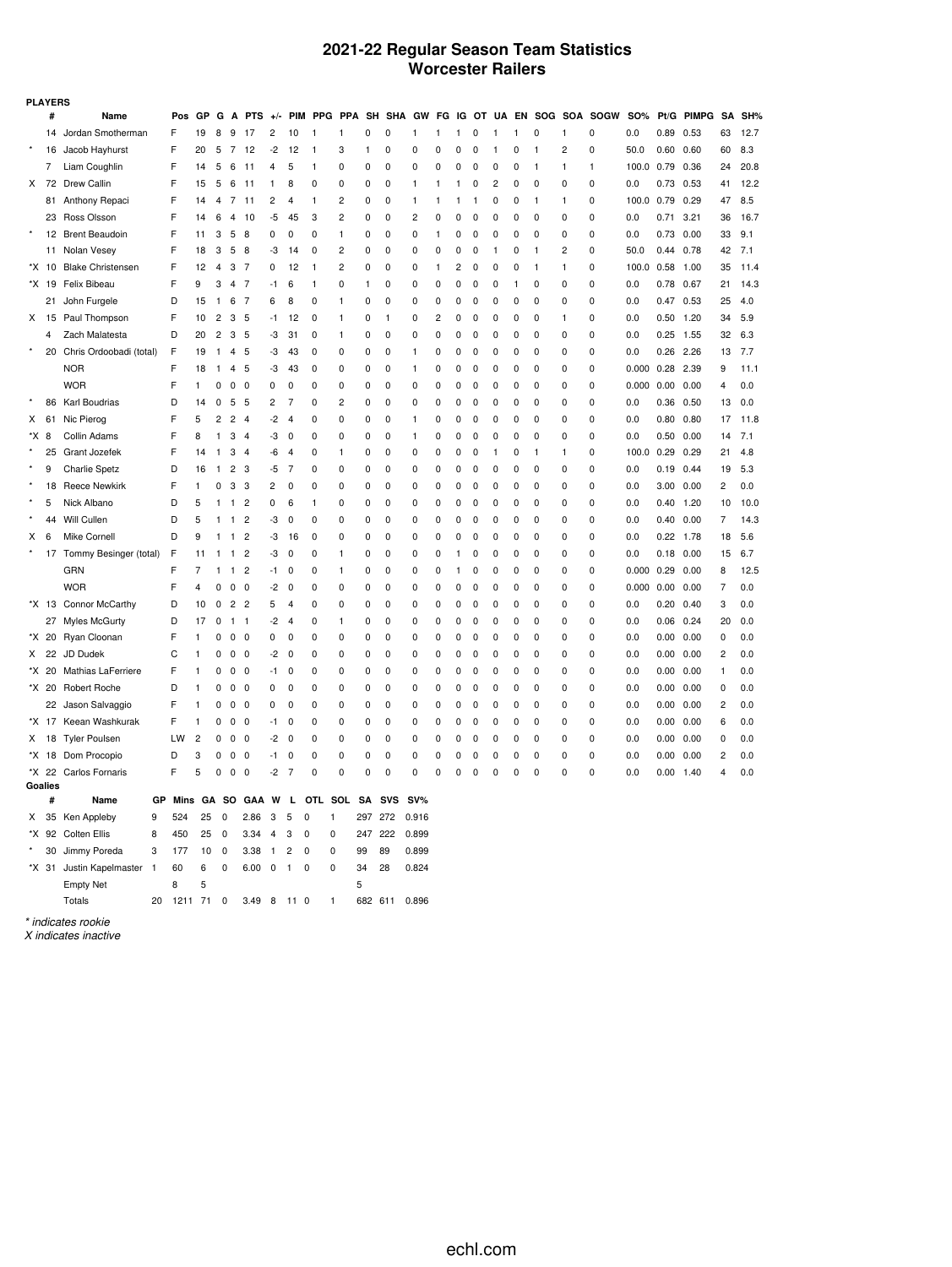#### **2021-22 Regular Season Team Statistics Worcester Railers**

|      | <b>PLAYERS</b> |                          |              |         |    |                |                |                |                |                               |              |                |         |            |                |             |                |             |              |           |   |                |                             |            |      |               |                |      |
|------|----------------|--------------------------|--------------|---------|----|----------------|----------------|----------------|----------------|-------------------------------|--------------|----------------|---------|------------|----------------|-------------|----------------|-------------|--------------|-----------|---|----------------|-----------------------------|------------|------|---------------|----------------|------|
|      | #              | Name                     |              | Pos     | GP | G              | А              | <b>PTS</b>     | $+/-$          |                               | PIM PPG PPA  |                |         | SH SHA GW  |                |             |                |             |              |           |   |                | FG IG OT UA EN SOG SOA SOGW | <b>SO%</b> |      | Pt/G PIMPG SA |                | SH%  |
|      |                | 14 Jordan Smotherman     |              | F       | 19 | 8              | 9              | 17             | 2              | 10                            | 1            | 1              | 0       | 0          | 1              | 1           | 1              | 0           | 1            | 1         | 0 | 1              | 0                           | 0.0        | 0.89 | 0.53          | 63             | 12.7 |
|      | 16             | Jacob Hayhurst           |              | F       | 20 | 5              | 7              | 12             | -2             | 12                            | $\mathbf{1}$ | 3              | 1       | 0          | 0              | 0           | 0              | 0           | $\mathbf{1}$ | 0         | 1 | 2              | 0                           | 50.0       | 0.60 | 0.60          | 60             | 8.3  |
|      | 7              | Liam Coughlin            |              | F       | 14 | 5              | 6              | 11             | 4              | 5                             | 1            | 0              | 0       | 0          | 0              | 0           | 0              | 0           | 0            | 0         | 1 | 1              | 1                           | 100.0      | 0.79 | 0.36          | 24             | 20.8 |
| X    | 72             | Drew Callin              |              | F       | 15 | 5              | 6              | 11             | 1              | 8                             | $\Omega$     | 0              | 0       | 0          | 1              | 1           | 1              | 0           | 2            | 0         | 0 | $\Omega$       | 0                           | 0.0        | 0.73 | 0.53          | 41             | 12.2 |
|      | 81             | Anthony Repaci           |              | F       | 14 | 4              | 7              | 11             | 2              | 4                             | 1            | 2              | 0       | 0          | $\mathbf{1}$   | 1           | 1              | 1           | 0            | 0         | 1 | 1              | 0                           | 100.0      | 0.79 | 0.29          | 47             | 8.5  |
|      |                | 23 Ross Olsson           |              | F       | 14 | 6              | $\overline{4}$ | 10             | -5             | 45                            | 3            | 2              | 0       | 0          | $\overline{c}$ | 0           | $\Omega$       | $\Omega$    | 0            | 0         | 0 | $\Omega$       | 0                           | 0.0        | 0.71 | 3.21          | 36             | 16.7 |
|      | 12             | <b>Brent Beaudoin</b>    |              | F       | 11 | 3              | 5              | 8              | 0              | 0                             | 0            | 1              | 0       | 0          | 0              | 1           | 0              | 0           | 0            | 0         | 0 | 0              | 0                           | 0.0        | 0.73 | 0.00          | 33             | 9.1  |
|      |                | 11 Nolan Vesey           |              | F       | 18 | 3              | 5              | 8              | -3             | 14                            | 0            | $\overline{c}$ | 0       | 0          | $\mathbf 0$    | 0           | 0              | 0           | $\mathbf{1}$ | 0         | 1 | $\overline{c}$ | 0                           | 50.0       | 0.44 | 0.78          | 42             | 7.1  |
|      | *X 10          | <b>Blake Christensen</b> |              | F       | 12 | 4              | 3              | $\overline{7}$ | $\Omega$       | 12                            | $\mathbf{1}$ | $\overline{c}$ | 0       | 0          | 0              | 1           | $\overline{c}$ | 0           | 0            | 0         | 1 | 1              | 0                           | 100.0      | 0.58 | 1.00          | 35             | 11.4 |
|      | *X 19          | Felix Bibeau             |              | F       | 9  | 3              | 4              | $\overline{7}$ | $-1$           | 6                             | $\mathbf{1}$ | 0              | 1       | 0          | 0              | 0           | 0              | 0           | 0            | 1         | 0 | 0              | 0                           | 0.0        | 0.78 | 0.67          | 21             | 14.3 |
|      | 21             | John Furgele             |              | D       | 15 | $\mathbf{1}$   | 6              | $\overline{7}$ | 6              | 8                             | 0            | 1              | 0       | 0          | 0              | 0           | 0              | 0           | 0            | 0         | 0 | 0              | 0                           | 0.0        | 0.47 | 0.53          | 25             | 4.0  |
| Χ    | 15             | Paul Thompson            |              | F       | 10 | $\overline{2}$ | 3              | 5              | $-1$           | 12                            | 0            | 1              | 0       | 1          | 0              | 2           | 0              | 0           | 0            | 0         | 0 | 1              | 0                           | 0.0        | 0.50 | 1.20          | 34             | 5.9  |
|      | 4              | Zach Malatesta           |              | D       | 20 | $\overline{c}$ | 3              | 5              | -3             | 31                            | 0            | 1              | 0       | 0          | 0              | 0           | 0              | 0           | 0            | 0         | 0 | 0              | 0                           | 0.0        | 0.25 | 1.55          | 32             | 6.3  |
|      | 20             | Chris Ordoobadi (total)  |              | F       | 19 | $\mathbf{1}$   | 4              | -5             | -3             | 43                            | 0            | 0              | 0       | 0          | $\mathbf{1}$   | 0           | 0              | 0           | 0            | 0         | 0 | 0              | 0                           | 0.0        | 0.26 | 2.26          | 13             | 7.7  |
|      |                | <b>NOR</b>               |              | F       | 18 | $\mathbf{1}$   | 4              | -5             | -3             | 43                            | $\mathbf 0$  | 0              | 0       | 0          | 1              | 0           | 0              | 0           | 0            | 0         | 0 | $\Omega$       | 0                           | 0.000      | 0.28 | 2.39          | 9              | 11.1 |
|      |                | <b>WOR</b>               |              | F       | 1  | $\mathbf 0$    | 0              | $\mathbf 0$    | 0              | 0                             | $\mathbf 0$  | 0              | 0       | 0          | $\mathbf 0$    | 0           | 0              | 0           | 0            | 0         | 0 | 0              | 0                           | 0.000      | 0.00 | 0.00          | $\overline{4}$ | 0.0  |
|      | 86             | Karl Boudrias            |              | D       | 14 | 0              | 5              | 5              | $\overline{c}$ | $\overline{7}$                | 0            | $\overline{2}$ | 0       | 0          | $\mathbf 0$    | 0           | 0              | $\Omega$    | 0            | 0         | 0 | 0              | 0                           | 0.0        | 0.36 | 0.50          | 13             | 0.0  |
| X    | 61             | Nic Pierog               |              | F       | 5  | $\overline{c}$ | $\overline{c}$ | $\overline{4}$ | $-2$           | $\overline{4}$                | 0            | 0              | 0       | 0          | $\mathbf{1}$   | 0           | 0              | $\Omega$    | 0            | 0         | 0 | $\mathbf 0$    | 0                           | 0.0        | 0.80 | 0.80          | 17             | 11.8 |
| *X   | 8              | Collin Adams             |              | F       | 8  | $\mathbf{1}$   | 3              | $\overline{4}$ | -3             | $\mathbf 0$                   | 0            | $\Omega$       | 0       | 0          | $\mathbf{1}$   | 0           | 0              | 0           | 0            | $\pmb{0}$ | 0 | $\Omega$       | 0                           | 0.0        | 0.50 | 0.00          | 14             | 7.1  |
|      | 25             | Grant Jozefek            |              | F       | 14 | $\mathbf{1}$   | 3              | $\overline{4}$ | -6             | $\overline{4}$                | 0            | 1              | 0       | 0          | $\mathbf 0$    | 0           | 0              | 0           | $\mathbf{1}$ | 0         | 1 | 1              | $\mathbf 0$                 | 100.0      | 0.29 | 0.29          | 21             | 4.8  |
|      | 9              | <b>Charlie Spetz</b>     |              | D       | 16 | $\mathbf{1}$   | $\overline{c}$ | 3              | -5             | $\overline{7}$                | 0            | 0              | 0       | 0          | $\pmb{0}$      | 0           | 0              | 0           | 0            | 0         | 0 | 0              | 0                           | 0.0        | 0.19 | 0.44          | 19             | 5.3  |
|      | 18             | <b>Reece Newkirk</b>     |              | F       | 1  | 0              | 3              | 3              | 2              | 0                             | 0            | 0              | 0       | 0          | $\pmb{0}$      | 0           | 0              | 0           | 0            | 0         | 0 | 0              | 0                           | 0.0        | 3.00 | 0.00          | $\overline{c}$ | 0.0  |
|      | 5              | Nick Albano              |              | D       | 5  | 1              | $\mathbf{1}$   | $\overline{c}$ | 0              | 6                             | 1            | 0              | 0       | 0          | 0              | 0           | 0              | 0           | 0            | 0         | 0 | 0              | 0                           | 0.0        | 0.40 | 1.20          | 10             | 10.0 |
|      | 44             | Will Cullen              |              | D       | 5  | 1              | $\mathbf{1}$   | $\overline{c}$ | -3             | 0                             | 0            | 0              | 0       | 0          | 0              | 0           | 0              | 0           | 0            | 0         | 0 | 0              | 0                           | 0.0        | 0.40 | 0.00          | 7              | 14.3 |
| х    | 6              | Mike Cornell             |              | D       | 9  | $\mathbf{1}$   | 1              | $\overline{c}$ | -3             | 16                            | $\mathbf 0$  | 0              | 0       | 0          | 0              | 0           | 0              | 0           | 0            | 0         | 0 | 0              | 0                           | 0.0        | 0.22 | 1.78          | 18             | 5.6  |
|      | 17             | Tommy Besinger (total)   |              | F       | 11 | $\mathbf{1}$   | 1              | $\overline{2}$ | -3             | 0                             | 0            | 1              | 0       | $\pmb{0}$  | 0              | 0           | 1              | 0           | 0            | 0         | 0 | 0              | $\pmb{0}$                   | 0.0        | 0.18 | 0.00          | 15             | 6.7  |
|      |                | GRN                      |              | F       | 7  | 1              | 1              | $\overline{c}$ | -1             | 0                             | 0            | 1              | 0       | 0          | 0              | 0           | 1              | 0           | 0            | 0         | 0 | 0              | 0                           | 0.000      | 0.29 | 0.00          | 8              | 12.5 |
|      |                | <b>WOR</b>               |              | F       | 4  | 0              | 0              | 0              | -2             | 0                             | 0            | 0              | 0       | 0          | 0              | 0           | 0              | 0           | 0            | 0         | 0 | 0              | 0                           | 0.000      | 0.00 | 0.00          | 7              | 0.0  |
|      | *X 13          | Connor McCarthy          |              | D       | 10 | 0              | 2              | $\overline{c}$ | 5              | $\overline{4}$                | 0            | 0              | 0       | 0          | 0              | 0           | 0              | 0           | 0            | 0         | 0 | 0              | 0                           | 0.0        | 0.20 | 0.40          | 3              | 0.0  |
|      | 27             | Myles McGurty            |              | D       | 17 | 0              | 1              | $\overline{1}$ | -2             | 4                             | 0            | 1              | 0       | 0          | 0              | 0           | 0              | 0           | 0            | 0         | 0 | 0              | 0                           | 0.0        | 0.06 | 0.24          | 20             | 0.0  |
| *X.  | 20             | Ryan Cloonan             |              | F       | 1  | 0              | 0              | $\mathbf 0$    | 0              | 0                             | 0            | 0              | 0       | 0          | 0              | 0           | 0              | 0           | 0            | 0         | 0 | 0              | 0                           | 0.0        | 0.00 | 0.00          | 0              | 0.0  |
| X    | 22             | JD Dudek                 |              | C       | 1  | 0              | 0              | $\mathbf 0$    | -2             | 0                             | 0            | 0              | 0       | 0          | 0              | 0           | 0              | 0           | 0            | 0         | 0 | 0              | 0                           | 0.0        | 0.00 | 0.00          | 2              | 0.0  |
| *X   | 20             | Mathias LaFerriere       |              | F       |    | 0              | 0              | 0              | -1             | 0                             | 0            | 0              | 0       | 0          | 0              | 0           | 0              | 0           | 0            | 0         | 0 | 0              | 0                           | 0.0        | 0.00 | 0.00          | 1              | 0.0  |
|      | *X 20          | Robert Roche             |              | D       | 1  | 0              | 0              | $\mathbf 0$    | 0              | 0                             | 0            | 0              | 0       | 0          | 0              | 0           | 0              | 0           | 0            | 0         | 0 | 0              | 0                           | 0.0        | 0.00 | 0.00          | 0              | 0.0  |
|      | 22             | Jason Salvaggio          |              | F       |    | 0              | 0              | 0              | 0              | 0                             | $\Omega$     | $\Omega$       | 0       | 0          | 0              | 0           | 0              | 0           | 0            | 0         | 0 | $\Omega$       | 0                           | 0.0        | 0.00 | 0.00          | 2              | 0.0  |
|      | *X 17          | Keean Washkurak          |              | F       |    | 0              | 0              | $\mathbf 0$    | -1             | 0                             | $\Omega$     | $\Omega$       | 0       | 0          | 0              | 0           | 0              | 0           | 0            | 0         | 0 | $\Omega$       | 0                           | 0.0        | 0.00 | 0.00          | 6              | 0.0  |
| x    | 18             | <b>Tyler Poulsen</b>     |              | LW      | 2  | 0              | 0              | 0              | -2             | $\Omega$                      | $\Omega$     | $\Omega$       | 0       | 0          | 0              | 0           | 0              | 0           | 0            | 0         | 0 | 0              | 0                           | 0.0        | 0.00 | 0.00          | 0              | 0.0  |
|      | *X 18          | Dom Procopio             |              | D       | 3  | 0              | 0              | $\mathbf 0$    | $-1$           | O                             | 0            | $\overline{0}$ | 0       | 0          | 0              | 0           | 0              | $\Omega$    | 0            | 0         | 0 | 0              | 0                           | 0.0        | 0.00 | 0.00          | 2              | 0.0  |
| *X · | 22             | Carlos Fornaris          |              | F       | 5  | 0              | 0              | $\Omega$       | $-2$           | 7                             | $\Omega$     | $\overline{0}$ | 0       | 0          | 0              | $\mathbf 0$ | $\mathbf 0$    | $\mathbf 0$ | $\mathbf 0$  | 0         | 0 | $\Omega$       | 0                           | 0.0        | 0.00 | 1.40          | $\overline{4}$ | 0.0  |
|      | Goalies        |                          |              |         |    |                |                |                |                |                               |              |                |         |            |                |             |                |             |              |           |   |                |                             |            |      |               |                |      |
|      | #              | Name                     | GР           | Mins    | GА |                | so             | GAA            | W              | т.                            | OTL          | SOL            | SΑ      | <b>SVS</b> | SV%            |             |                |             |              |           |   |                |                             |            |      |               |                |      |
| x    | 35             | Ken Appleby              | 9            | 524     | 25 | 0              |                | 2.86           | 3              | 5<br>$\Omega$                 | 1            |                | 297     | 272        | 0.916          |             |                |             |              |           |   |                |                             |            |      |               |                |      |
| *X.  | 92             | <b>Colten Ellis</b>      | 8            | 450     | 25 | $\mathbf 0$    |                | 3.34           | $\overline{4}$ | 3<br>0                        | 0            |                | 247     | 222        | 0.899          |             |                |             |              |           |   |                |                             |            |      |               |                |      |
|      | 30             | Jimmy Poreda             | 3            | 177     | 10 | $\mathbf 0$    |                | 3.38           | $\mathbf{1}$   | 2<br>0                        | 0            |                | 99      | 89         | 0.899          |             |                |             |              |           |   |                |                             |            |      |               |                |      |
|      | *X 31          | Justin Kapelmaster       | $\mathbf{1}$ | 60      | 6  | $\mathbf 0$    |                | 6.00           | $\mathbf 0$    | $\mathbf 0$<br>$\overline{1}$ | 0            |                | 34      | 28         | 0.824          |             |                |             |              |           |   |                |                             |            |      |               |                |      |
|      |                | <b>Empty Net</b>         |              | 8       | 5  |                |                |                |                |                               |              |                | 5       |            |                |             |                |             |              |           |   |                |                             |            |      |               |                |      |
|      |                | Totals                   | 20           | 1211 71 |    | $\mathbf 0$    |                | 3.49           | 8              | 11 0                          | $\mathbf{1}$ |                | 682 611 |            | 0.896          |             |                |             |              |           |   |                |                             |            |      |               |                |      |
|      |                | * indicates rookie       |              |         |    |                |                |                |                |                               |              |                |         |            |                |             |                |             |              |           |   |                |                             |            |      |               |                |      |

*X indicates inactive*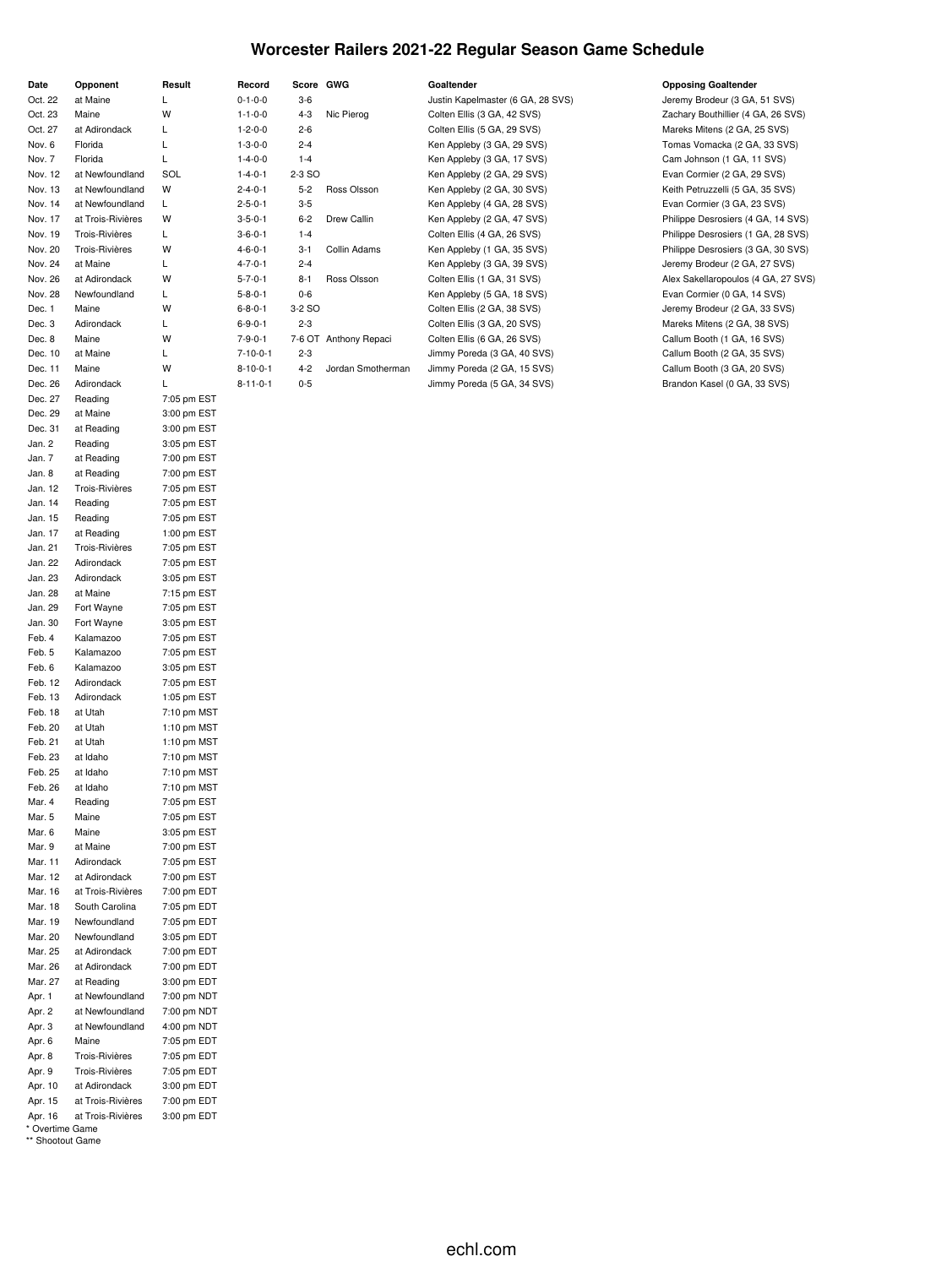#### **Worcester Railers 2021-22 Regular Season Game Schedule**

| Date               | Opponent                 | Result                     |
|--------------------|--------------------------|----------------------------|
| Oct. 22            | at Maine                 | L                          |
| Oct. 23            | Maine                    | W                          |
| Oct. 27            | at Adirondack            | L                          |
| Nov. 6             | Florida                  | L                          |
| Nov. 7             | Florida                  | L                          |
| Nov. 12            | at Newfoundland          | SOL                        |
| Nov. 13            | at Newfoundland          | W                          |
| Nov. 14            | at Newfoundland          | Г                          |
| Nov. 17            | at Trois-Rivières        | W                          |
| Nov. 19            | Trois-Rivières           | L                          |
| Nov. 20            | Trois-Rivières           | W                          |
| Nov. 24            | at Maine                 | L.                         |
| Nov. 26            | at Adirondack            | W                          |
| Nov. 28            | Newfoundland             | Г                          |
| Dec. 1             | Maine                    | W                          |
| Dec. 3             | Adirondack               | Г                          |
| Dec. 8             | Maine                    | W                          |
| Dec. 10            | at Maine                 | L                          |
| Dec. 11            | Maine                    | W                          |
| Dec. 26            | Adirondack               | L                          |
| Dec. 27            | Reading                  | 7:05 pm EST                |
| Dec. 29            | at Maine                 | 3:00 pm EST                |
| Dec. 31            | at Reading               | 3:00 pm EST                |
| Jan. 2             | Reading                  | 3:05 pm EST                |
| Jan. 7             | at Reading               | 7:00 pm EST                |
| Jan. 8             | at Reading               | 7:00 pm EST                |
| Jan. 12            | Trois-Rivières           | 7:05 pm EST                |
| Jan. 14            | Reading                  | 7:05 pm EST                |
| Jan. 15            | Reading                  | 7:05 pm EST                |
| Jan. 17            | at Reading               | 1:00 pm EST                |
| Jan. 21            | <b>Trois-Rivières</b>    | 7:05 pm EST                |
| Jan. 22<br>Jan. 23 | Adirondack<br>Adirondack | 7:05 pm EST<br>3:05 pm EST |
| Jan. 28            | at Maine                 | 7:15 pm EST                |
| Jan. 29            | Fort Wayne               | 7:05 pm EST                |
| Jan. 30            | Fort Wayne               | 3:05 pm EST                |
| Feb. 4             | Kalamazoo                | 7:05 pm EST                |
| Feb. 5             | Kalamazoo                | 7:05 pm EST                |
| Feb. 6             | Kalamazoo                | 3:05 pm EST                |
| Feb. 12            | Adirondack               | 7:05 pm EST                |
| Feb. 13            | Adirondack               | 1:05 pm EST                |
| Feb. 18            | at Utah                  | 7:10 pm MST                |
| Feb. 20            | at Utah                  | 1:10 pm MST                |
| Feb. 21            | at Utah                  | 1:10 pm MST                |
| Feb. 23            | at Idaho                 | 7:10 pm MST                |
| Feb. 25            | at Idaho                 | 7:10 pm MST                |
| Feb. 26            | at Idaho                 | 7:10 pm MST                |
| Mar. 4             | Reading                  | 7:05 pm EST                |
| Mar. 5             | Maine                    | 7:05 pm EST                |
| Mar. 6             | Maine                    | 3:05 pm EST                |
| Mar. 9             | at Maine                 | 7:00 pm EST                |
| Mar. 11            | Adirondack               | 7:05 pm EST                |
| Mar. 12            | at Adirondack            | 7:00 pm EST                |
| Mar. 16            | at Trois-Rivières        | 7:00 pm EDT                |
| Mar. 18            | South Carolina           | 7:05 pm EDT                |
| Mar. 19            | Newfoundland             | 7:05 pm EDT                |
| Mar. 20            | Newfoundland             | 3:05 pm EDT                |
| Mar. 25            | at Adirondack            | 7:00 pm EDT                |
| Mar. 26            | at Adirondack            | 7:00 pm EDT                |
| Mar. 27            | at Reading               | 3:00 pm EDT                |
| Apr. 1             | at Newfoundland          | 7:00 pm NDT                |
| Apr. 2             | at Newfoundland          | 7:00 pm NDT                |
| Apr. 3             | at Newfoundland<br>Maine | 4:00 pm NDT<br>7:05 pm EDT |
| Apr. 6<br>Apr. 8   | Trois-Rivières           | 7:05 pm EDT                |
| Apr. 9             | Trois-Rivières           | 7:05 pm EDT                |
| Apr. 10            | at Adirondack            | 3:00 pm EDT                |
| Apr. 15            | at Trois-Rivières        | 7:00 pm EDT                |
| Apr. 16            | at Trois-Rivières        | 3:00 pm EDT                |
| * Overtime Game    |                          |                            |

\*\* Shootout Game

#### **Date Opponent Result Record Score GWG Goaltender Opposing Goaltender**

O-1-0-0 3-6 Justin Kapelmaster (6 GA, 28 SVS) Jeremy Brodeur (3 GA, 51 SVS) 1-1-0-0 4-3 Nic Pierog Colten Ellis (3 GA, 42 SVS) Zachary Bouthillier (4 GA, 26 SVS) 1-2-0-0 2-6 Colten Ellis (5 GA, 29 SVS) Mareks Mitens (2 GA, 25 SVS) 1-3-0-0 2-4 Ken Appleby (3 GA, 29 SVS) Tomas Vomacka (2 GA, 33 SVS) 1-4-0-0 1-4 Ken Appleby (3 GA, 17 SVS) Cam Johnson (1 GA, 11 SVS) 1-4-0-1 2-3 SO Ken Appleby (2 GA, 29 SVS) Evan Cormier (2 GA, 29 SVS) 2-4-0-1 5-2 Ross Olsson Ken Appleby (2 GA, 30 SVS) Keith Petruzzelli (5 GA, 35 SVS) 2-5-0-1 3-5 Ken Appleby (4 GA, 28 SVS) Evan Cormier (3 GA, 23 SVS) 3-5-0-1 6-2 Drew Callin Ken Appleby (2 GA, 47 SVS) Philippe Desrosiers (4 GA, 14 SVS) Nov. 19 Trois-Rivières L 3-6-0-1 1-4 Colten Ellis (4 GA, 26 SVS) Philippe Desrosiers (1 GA, 28 SVS) Nov. 20 Trois-Rivières W 4-6-0-1 3-1 Collin Adams Ken Appleby (1 GA, 35 SVS) Philippe Desrosiers (3 GA, 30 SVS) 4-7-0-1 2-4 2-4 Ken Appleby (3 GA, 39 SVS) 3 Jeremy Brodeur (2 GA, 27 SVS) 5-7-0-1 8-1 Ross Olsson Colten Ellis (1 GA, 31 SVS) Alex Sakellaropoulos (4 GA, 27 SVS) 5-8-0-1 0-6 Ken Appleby (5 GA, 18 SVS) Evan Cormier (0 GA, 14 SVS) 6-8-0-1 3-2 SO Colten Ellis (2 GA, 38 SVS) Jeremy Brodeur (2 GA, 33 SVS) 6-9-0-1 2-3 Colten Ellis (3 GA, 20 SVS) Mareks Mitens (2 GA, 38 SVS) 7-9-0-1 7-6 OT Anthony Repaci Colten Ellis (6 GA, 26 SVS) Callum Booth (1 GA, 16 SVS) 7-10-0-1 2-3 Jimmy Poreda (3 GA, 40 SVS) Callum Booth (2 GA, 35 SVS) 8-10-0-1 4-2 Jordan Smotherman Jimmy Poreda (2 GA, 15 SVS) Callum Booth (3 GA, 20 SVS) 8-11-0-1 0-5 Jimmy Poreda (5 GA, 34 SVS) Brandon Kasel (0 GA, 33 SVS)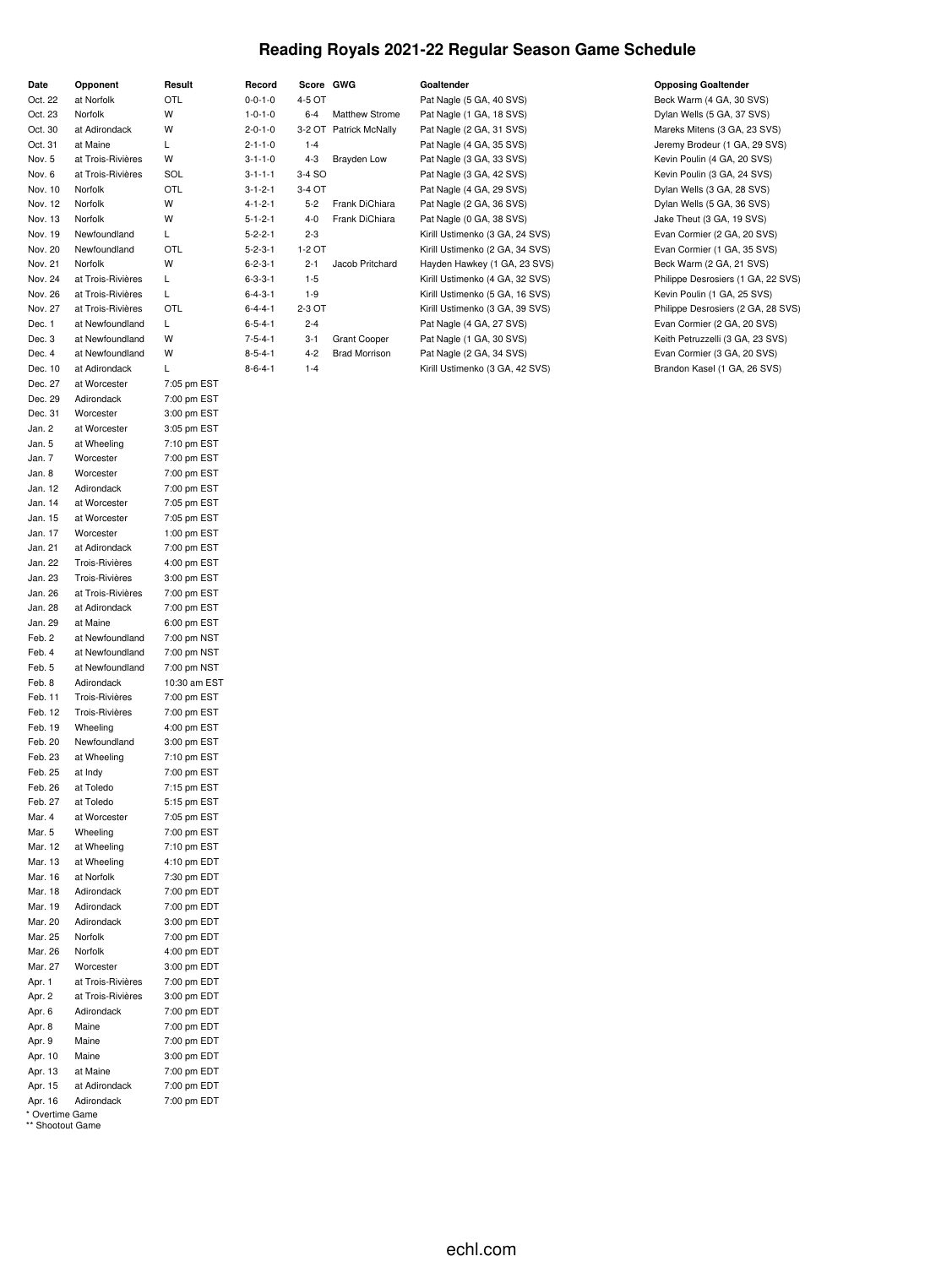#### **Reading Royals 2021-22 Regular Season Game Schedule**

| Date                                | Opponent                                       | Result                     |
|-------------------------------------|------------------------------------------------|----------------------------|
| Oct. 22                             | at Norfolk                                     | OTL                        |
| Oct. 23                             | Norfolk                                        | W<br>W                     |
| Oct. 30                             | at Adirondack<br>at Maine                      | Г                          |
| Oct. 31<br>Nov. 5                   | at Trois-Rivières                              | W                          |
| Nov. 6                              | at Trois-Rivières                              | SOL                        |
| Nov. 10                             | Norfolk                                        | OTL                        |
| Nov. 12                             | Norfolk                                        | W                          |
| Nov. 13                             | Norfolk                                        | W                          |
| Nov. 19                             | Newfoundland                                   | Г                          |
| Nov. 20                             | Newfoundland                                   | OTL                        |
| Nov. 21                             | Norfolk                                        | W                          |
| Nov. 24                             | at Trois-Rivières                              | L                          |
| Nov. 26                             | at Trois-Rivières                              | L                          |
| Nov. 27                             | at Trois-Rivières                              | OTL                        |
| Dec. 1                              | at Newfoundland                                | L                          |
| Dec. 3                              | at Newfoundland                                | W                          |
| Dec. 4                              | at Newfoundland                                | W                          |
| Dec. 10                             | at Adirondack                                  | Г                          |
| Dec. 27                             | at Worcester                                   | 7:05 pm EST                |
| Dec. 29                             | Adirondack                                     | 7:00 pm EST                |
| Dec. 31                             | Worcester                                      | 3:00 pm EST                |
| Jan. 2                              | at Worcester                                   | 3:05 pm EST                |
| Jan. 5                              | at Wheeling                                    | 7:10 pm EST                |
| Jan. 7                              | Worcester                                      | 7:00 pm EST                |
| Jan. 8                              | Worcester                                      | 7:00 pm EST                |
| Jan. 12                             | Adirondack                                     | 7:00 pm EST                |
| Jan. 14                             | at Worcester                                   | 7:05 pm EST                |
| Jan. 15                             | at Worcester                                   | 7:05 pm EST                |
| Jan. 17                             | Worcester                                      | 1:00 pm EST                |
| Jan. 21                             | at Adirondack                                  | 7:00 pm EST                |
| Jan. 22                             | <b>Trois-Rivières</b>                          | 4:00 pm EST                |
| Jan. 23                             | <b>Trois-Rivières</b>                          | 3:00 pm EST                |
| Jan. 26                             | at Trois-Rivières                              | 7:00 pm EST                |
| Jan. 28                             | at Adirondack                                  | 7:00 pm EST                |
| Jan. 29                             | at Maine                                       | 6:00 pm EST                |
| Feb. 2                              | at Newfoundland                                | 7:00 pm NST                |
| Feb. 4                              | at Newfoundland                                | 7:00 pm NST                |
| Feb. 5                              | at Newfoundland                                | 7:00 pm NST                |
| Feb. 8<br>Feb. 11                   | Adirondack                                     | 10:30 am EST               |
| Feb. 12                             | <b>Trois-Rivières</b><br><b>Trois-Rivières</b> | 7:00 pm EST<br>7:00 pm EST |
| Feb. 19                             | Wheeling                                       | 4:00 pm EST                |
| Feb. 20                             | Newfoundland                                   | 3:00 pm EST                |
| Feb. 23                             | at Wheeling                                    | 7:10 pm EST                |
| Feb. 25                             | at Indy                                        | 7:00 pm EST                |
| Feb. 26                             | at Toledo                                      | 7:15 pm EST                |
| Feb. 27                             | at Toledo                                      | 5:15 pm EST                |
| Mar. 4                              | at Worcester                                   | 7:05 pm EST                |
| Mar. 5                              | Wheeling                                       | 7:00 pm EST                |
| Mar. 12                             | at Wheeling                                    | 7:10 pm EST                |
| Mar. 13                             | at Wheeling                                    | 4:10 pm EDT                |
| Mar. 16                             | at Norfolk                                     | 7:30 pm EDT                |
| Mar. 18                             | Adirondack                                     | 7:00 pm EDT                |
| Mar. 19                             | Adirondack                                     | 7:00 pm EDT                |
| Mar. 20                             | Adirondack                                     | 3:00 pm EDT                |
| Mar. 25                             | Norfolk                                        | 7:00 pm EDT                |
| Mar. 26                             | Norfolk                                        | 4:00 pm EDT                |
| Mar. 27                             | Worcester                                      | 3:00 pm EDT                |
| Apr. 1                              | at Trois-Rivières                              | 7:00 pm EDT                |
| Apr. 2                              | at Trois-Rivières                              | 3:00 pm EDT                |
| Apr. 6                              | Adirondack                                     | 7:00 pm EDT                |
| Apr. 8                              | Maine                                          | 7:00 pm EDT                |
| Apr. 9                              | Maine                                          | 7:00 pm EDT                |
| Apr. 10                             | Maine                                          | 3:00 pm EDT                |
| Apr. 13                             | at Maine                                       | 7:00 pm EDT                |
| Apr. 15                             | at Adirondack                                  | 7:00 pm EDT                |
| Apr. 16                             | Adirondack                                     | 7:00 pm EDT                |
| * Overtime Game<br>** Shootout Game |                                                |                            |

**Date Opponent Result Record Score GWG Goaltender Opposing Goaltender**

#### 0-0-1-0 4-5 OT Pat Nagle (5 GA, 40 SVS) Beck Warm (4 GA, 30 SVS) 1-0-1-0 6-4 Matthew Strome Pat Nagle (1 GA, 18 SVS) Dylan Wells (5 GA, 37 SVS) 2-0-1-0 3-2 OT Patrick McNally Pat Nagle (2 GA, 31 SVS) Mareks Mitens (3 GA, 23 SVS) Oct. 31 at Maine L 2-1-1-0 1-4 Pat Nagle (4 GA, 35 SVS) Jeremy Brodeur (1 GA, 29 SVS) 3-1-1-0 4-3 Brayden Low Pat Nagle (3 GA, 33 SVS) Kevin Poulin (4 GA, 20 SVS) 3-1-1-1 3-4 SO **Pat Nagle (3 GA, 42 SVS)** Kevin Poulin (3 GA, 24 SVS) 3-1-2-1 3-4 OT Pat Nagle (4 GA, 29 SVS) Dylan Wells (3 GA, 28 SVS) Nov. 12 Norfolk W 4-1-2-1 5-2 Frank DiChiara Pat Nagle (2 GA, 36 SVS) Dylan Wells (5 GA, 36 SVS) 5-1-2-1 4-0 Frank DiChiara Pat Nagle (0 GA, 38 SVS) Jake Theut (3 GA, 19 SVS) 5-2-2-1 2-3 Kirill Ustimenko (3 GA, 24 SVS) Evan Cormier (2 GA, 20 SVS) 5-2-3-1 1-2 OT Kirill Ustimenko (2 GA, 34 SVS) Evan Cormier (1 GA, 35 SVS) 6-2-3-1 2-1 Jacob Pritchard Hayden Hawkey (1 GA, 23 SVS) Beck Warm (2 GA, 21 SVS) 6-3-3-1 1-5 Kirill Ustimenko (4 GA, 32 SVS) Philippe Desrosiers (1 GA, 22 SVS) 6-4-3-1 1-9 Kirill Ustimenko (5 GA, 16 SVS) Kevin Poulin (1 GA, 25 SVS) Nov. 27 at Trois-Rivières OTL 6-4-4-1 2-3 OT Kirill Ustimenko (3 GA, 39 SVS) Philippe Desrosiers (2 GA, 28 SVS) 6-5-4-1 2-4 Pat Nagle (4 GA, 27 SVS) Evan Cormier (2 GA, 20 SVS) 7-5-4-1 3-1 Grant Cooper Pat Nagle (1 GA, 30 SVS) Keith Petruzzelli (3 GA, 23 SVS) 8-5-4-1 4-2 Brad Morrison Pat Nagle (2 GA, 34 SVS) Evan Cormier (3 GA, 20 SVS) 8-6-4-1 1-4 Kirill Ustimenko (3 GA, 42 SVS) Brandon Kasel (1 GA, 26 SVS)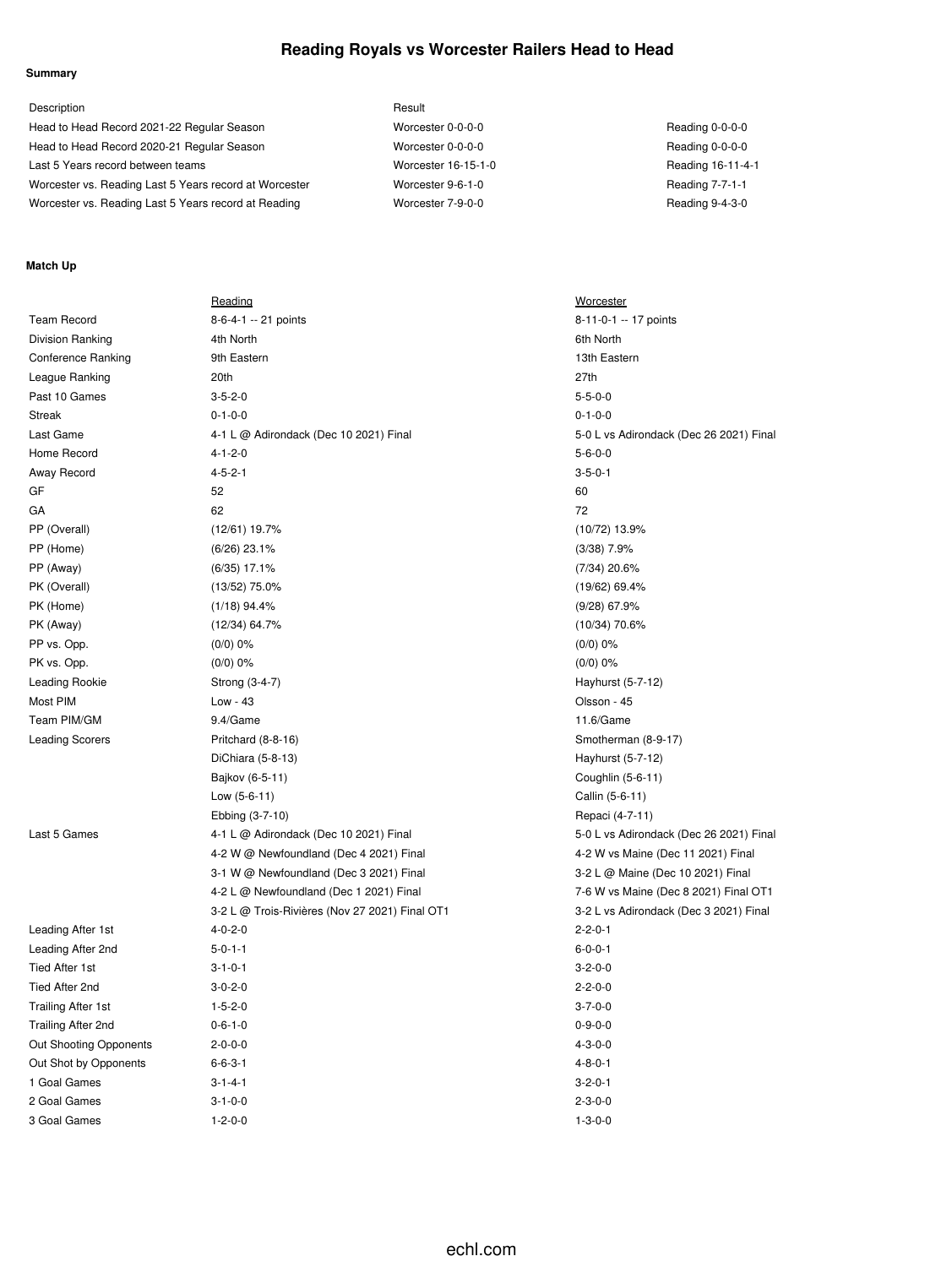#### **Reading Royals vs Worcester Railers Head to Head**

#### **Summary**

| Description                                            | Result              |                   |
|--------------------------------------------------------|---------------------|-------------------|
| Head to Head Record 2021-22 Regular Season             | Worcester 0-0-0-0   | Reading 0-0-0-0   |
| Head to Head Record 2020-21 Regular Season             | Worcester 0-0-0-0   | Reading 0-0-0-0   |
| Last 5 Years record between teams                      | Worcester 16-15-1-0 | Reading 16-11-4-1 |
| Worcester vs. Reading Last 5 Years record at Worcester | Worcester 9-6-1-0   | Reading 7-7-1-1   |
| Worcester vs. Reading Last 5 Years record at Reading   | Worcester 7-9-0-0   | Reading 9-4-3-0   |

#### **Match Up**

|                           | Reading                                        | Worcester          |
|---------------------------|------------------------------------------------|--------------------|
| <b>Team Record</b>        | 8-6-4-1 -- 21 points                           | $8 - 11 - 0 - 1 -$ |
| Division Ranking          | 4th North                                      | 6th North          |
| Conference Ranking        | 9th Eastern                                    | 13th Easter        |
| League Ranking            | 20th                                           | 27th               |
| Past 10 Games             | $3 - 5 - 2 - 0$                                | $5 - 5 - 0 - 0$    |
| <b>Streak</b>             | $0 - 1 - 0 - 0$                                | $0 - 1 - 0 - 0$    |
| Last Game                 | 4-1 L @ Adirondack (Dec 10 2021) Final         | 5-0 L vs Ad        |
| Home Record               | $4 - 1 - 2 - 0$                                | $5 - 6 - 0 - 0$    |
| Away Record               | $4 - 5 - 2 - 1$                                | $3 - 5 - 0 - 1$    |
| GF                        | 52                                             | 60                 |
| GA                        | 62                                             | 72                 |
| PP (Overall)              | $(12/61)$ 19.7%                                | $(10/72)$ 13.9     |
| PP (Home)                 | $(6/26)$ 23.1%                                 | $(3/38)$ 7.9%      |
| PP (Away)                 | $(6/35)$ 17.1%                                 | $(7/34)$ 20.6%     |
| PK (Overall)              | $(13/52)$ 75.0%                                | $(19/62)$ 69.4     |
| PK (Home)                 | $(1/18)$ 94.4%                                 | $(9/28)$ 67.9%     |
| PK (Away)                 | $(12/34)$ 64.7%                                | $(10/34)$ 70.6     |
| PP vs. Opp.               | $(0/0)$ 0%                                     | $(0/0)$ 0%         |
| PK vs. Opp.               | (0/0) 0%                                       | (0/0) 0%           |
| Leading Rookie            | Strong (3-4-7)                                 | Hayhurst (5        |
| Most PIM                  | Low - 43                                       | Olsson - 45        |
| Team PIM/GM               | 9.4/Game                                       | 11.6/Game          |
| <b>Leading Scorers</b>    | Pritchard (8-8-16)                             | Smotherma          |
|                           | DiChiara (5-8-13)                              | Hayhurst (5        |
|                           | Bajkov (6-5-11)                                | Coughlin (5        |
|                           | Low (5-6-11)                                   | Callin (5-6-1      |
|                           | Ebbing (3-7-10)                                | Repaci (4-7        |
| Last 5 Games              | 4-1 L @ Adirondack (Dec 10 2021) Final         | 5-0 L vs Ad        |
|                           | 4-2 W @ Newfoundland (Dec 4 2021) Final        | 4-2 W vs M         |
|                           | 3-1 W @ Newfoundland (Dec 3 2021) Final        | 3-2 L @ Ma         |
|                           | 4-2 L @ Newfoundland (Dec 1 2021) Final        | 7-6 W vs M         |
|                           | 3-2 L @ Trois-Rivières (Nov 27 2021) Final OT1 | 3-2 L vs Ad        |
| Leading After 1st         | $4 - 0 - 2 - 0$                                | $2 - 2 - 0 - 1$    |
| Leading After 2nd         | $5 - 0 - 1 - 1$                                | $6 - 0 - 0 - 1$    |
| <b>Tied After 1st</b>     | $3 - 1 - 0 - 1$                                | $3 - 2 - 0 - 0$    |
| Tied After 2nd            | $3 - 0 - 2 - 0$                                | $2 - 2 - 0 - 0$    |
| <b>Trailing After 1st</b> | $1 - 5 - 2 - 0$                                | $3 - 7 - 0 - 0$    |
| Trailing After 2nd        | $0 - 6 - 1 - 0$                                | $0 - 9 - 0 - 0$    |
| Out Shooting Opponents    | $2 - 0 - 0 - 0$                                | $4 - 3 - 0 - 0$    |
| Out Shot by Opponents     | $6 - 6 - 3 - 1$                                | $4 - 8 - 0 - 1$    |
| 1 Goal Games              | $3 - 1 - 4 - 1$                                | $3 - 2 - 0 - 1$    |
| 2 Goal Games              | $3 - 1 - 0 - 0$                                | $2 - 3 - 0 - 0$    |
| 3 Goal Games              | $1 - 2 - 0 - 0$                                | $1 - 3 - 0 - 0$    |

Worcester 8-11-0-1 -- 17 points 13th Eastern 5-0 L vs Adirondack (Dec 26 2021) Final  $(10/72)$  13.9%  $(7/34)$  20.6%  $(19/62)$  69.4%  $(9/28)$  67.9%  $(10/34)$  70.6% Hayhurst (5-7-12) Smotherman (8-9-17) Hayhurst (5-7-12) Coughlin (5-6-11) Callin (5-6-11) Repaci (4-7-11) 5-0 L vs Adirondack (Dec 26 2021) Final 4-2 W vs Maine (Dec 11 2021) Final 3-2 L @ Maine (Dec 10 2021) Final 7-6 W vs Maine (Dec 8 2021) Final OT1 3-2 L vs Adirondack (Dec 3 2021) Final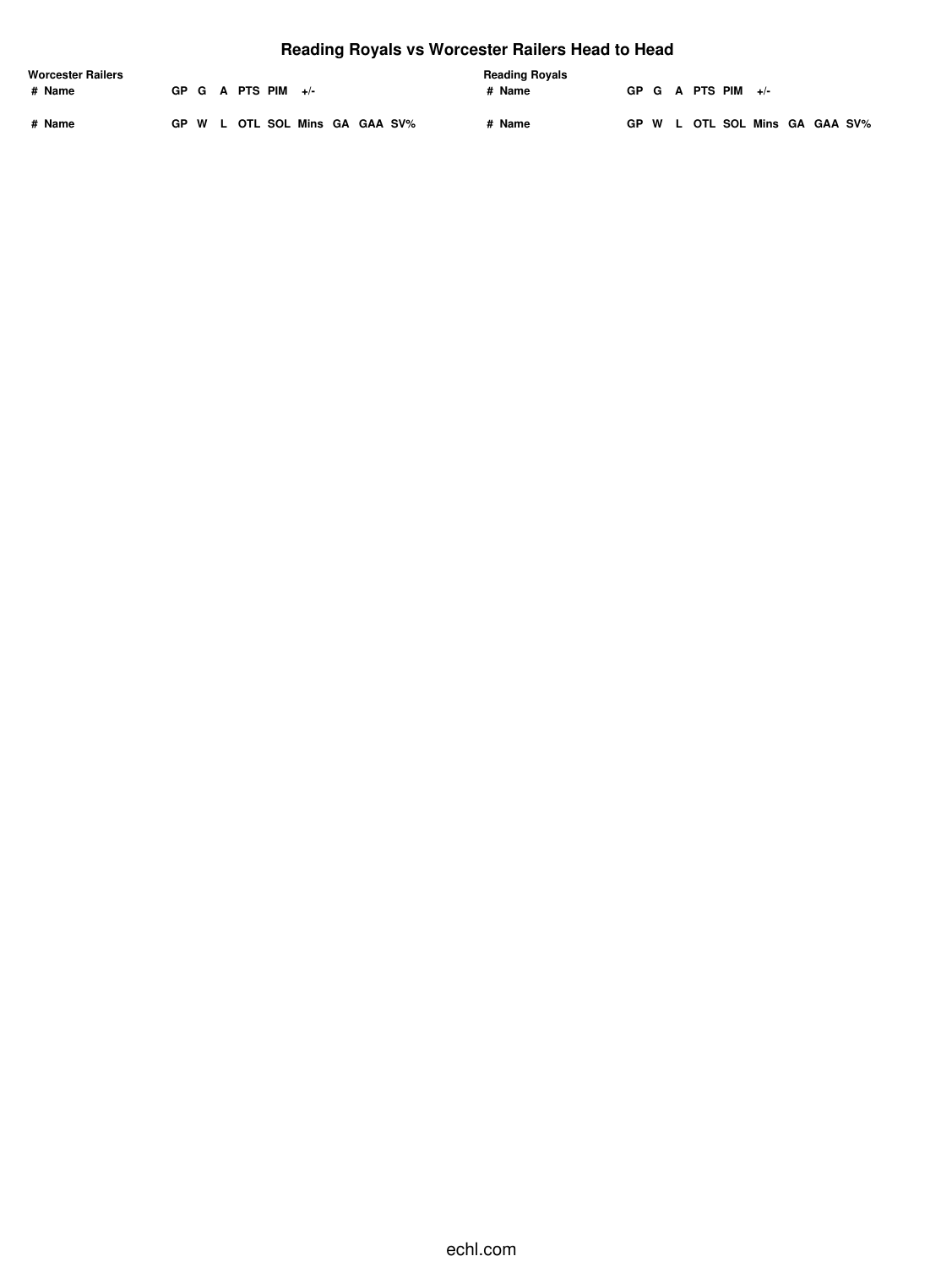# **Reading Royals vs Worcester Railers Head to Head**

| <b>Worcester Railers</b> |  |  |  |                      | <b>Reading Royals</b>          |  |  |        |  |  |                      |                                |  |  |
|--------------------------|--|--|--|----------------------|--------------------------------|--|--|--------|--|--|----------------------|--------------------------------|--|--|
| # Name                   |  |  |  | GP G A PTS PIM $+/-$ |                                |  |  | # Name |  |  | GP G A PTS PIM $+/-$ |                                |  |  |
| # Name                   |  |  |  |                      | GP W L OTL SOL Mins GA GAA SV% |  |  | # Name |  |  |                      | GP W L OTL SOL Mins GA GAA SV% |  |  |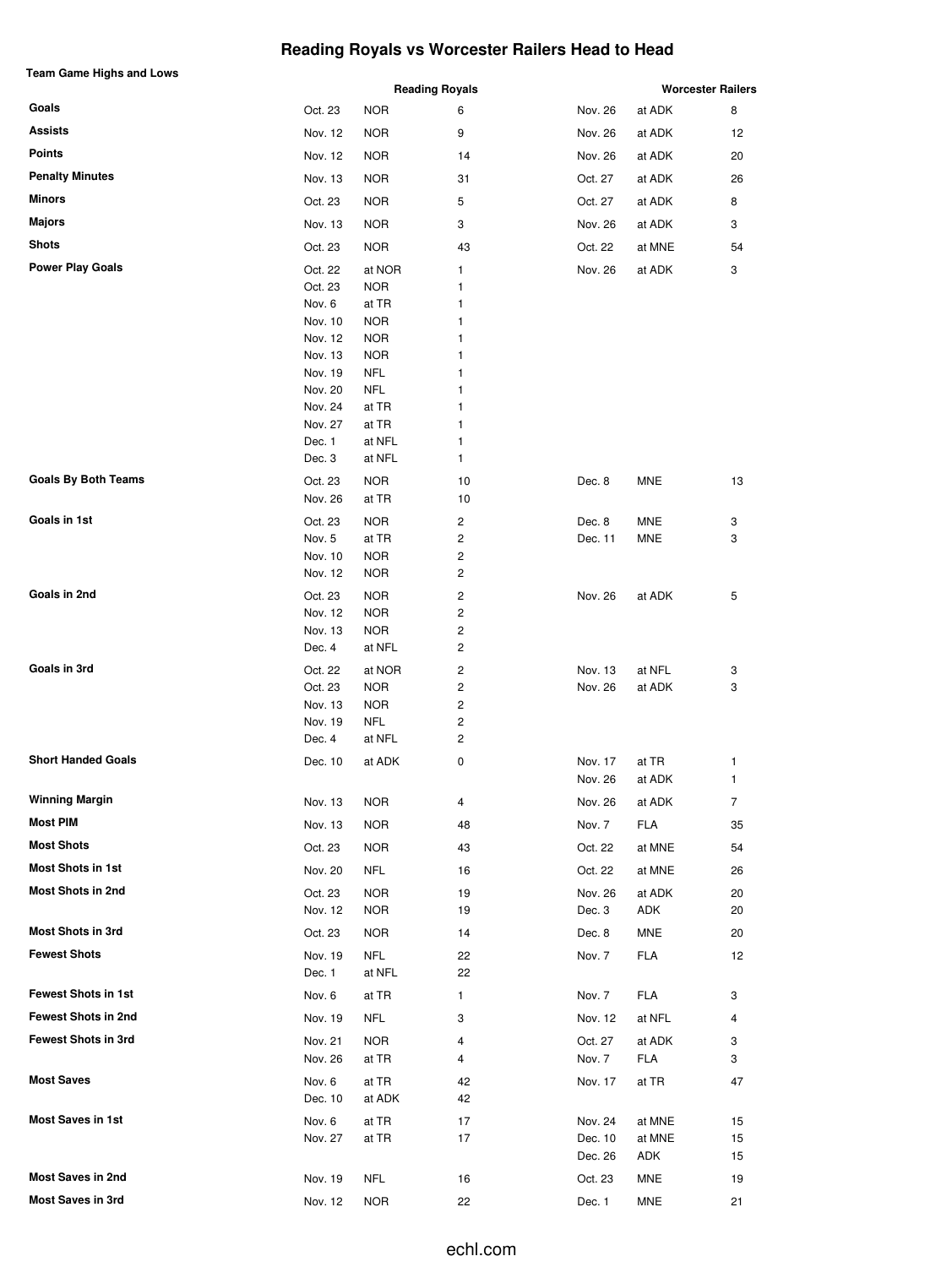# **Reading Royals vs Worcester Railers Head to Head**

| <b>Team Game Highs and Lows</b> |                    |                          |                            | <b>Worcester Railers</b> |               |          |  |
|---------------------------------|--------------------|--------------------------|----------------------------|--------------------------|---------------|----------|--|
| Goals                           | Oct. 23            | <b>NOR</b>               | <b>Reading Royals</b><br>6 | Nov. 26                  | at ADK        | 8        |  |
| <b>Assists</b>                  | Nov. 12            | <b>NOR</b>               | 9                          | Nov. 26                  | at ADK        | 12       |  |
| Points                          | Nov. 12            | <b>NOR</b>               | 14                         | Nov. 26                  | at ADK        | 20       |  |
| <b>Penalty Minutes</b>          | Nov. 13            | <b>NOR</b>               | 31                         | Oct. 27                  | at ADK        | 26       |  |
| Minors                          | Oct. 23            | <b>NOR</b>               | 5                          | Oct. 27                  | at ADK        | 8        |  |
| <b>Majors</b>                   | Nov. 13            | <b>NOR</b>               | 3                          | Nov. 26                  | at ADK        | 3        |  |
| <b>Shots</b>                    | Oct. 23            | <b>NOR</b>               | 43                         | Oct. 22                  | at MNE        | 54       |  |
| <b>Power Play Goals</b>         |                    | at NOR                   | 1                          |                          |               | 3        |  |
|                                 | Oct. 22<br>Oct. 23 | <b>NOR</b>               | 1                          | Nov. 26                  | at ADK        |          |  |
|                                 | Nov. 6             | at TR                    | 1                          |                          |               |          |  |
|                                 | Nov. 10            | <b>NOR</b>               | 1                          |                          |               |          |  |
|                                 | Nov. 12<br>Nov. 13 | <b>NOR</b><br><b>NOR</b> | 1<br>1                     |                          |               |          |  |
|                                 | Nov. 19            | NFL                      | 1                          |                          |               |          |  |
|                                 | Nov. 20            | <b>NFL</b>               | 1                          |                          |               |          |  |
|                                 | Nov. 24            | at TR                    | 1                          |                          |               |          |  |
|                                 | Nov. 27            | at TR<br>at NFL          | 1<br>1                     |                          |               |          |  |
|                                 | Dec. 1<br>Dec. 3   | at NFL                   | 1                          |                          |               |          |  |
| <b>Goals By Both Teams</b>      | Oct. 23            | <b>NOR</b>               | 10                         | Dec. 8                   | MNE           | 13       |  |
|                                 | Nov. 26            | at TR                    | 10                         |                          |               |          |  |
| Goals in 1st                    | Oct. 23            | <b>NOR</b>               | 2                          | Dec. 8                   | MNE           | 3        |  |
|                                 | Nov. 5             | at TR                    | 2                          | Dec. 11                  | <b>MNE</b>    | 3        |  |
|                                 | Nov. 10            | <b>NOR</b>               | 2                          |                          |               |          |  |
|                                 | Nov. 12            | <b>NOR</b>               | 2                          |                          |               |          |  |
| Goals in 2nd                    | Oct. 23            | <b>NOR</b>               | 2                          | Nov. 26                  | at ADK        | 5        |  |
|                                 | Nov. 12<br>Nov. 13 | <b>NOR</b><br><b>NOR</b> | 2<br>2                     |                          |               |          |  |
|                                 | Dec. 4             | at NFL                   | 2                          |                          |               |          |  |
| Goals in 3rd                    | Oct. 22            | at NOR                   | 2                          | Nov. 13                  | at NFL        | 3        |  |
|                                 | Oct. 23            | <b>NOR</b>               | 2                          | Nov. 26                  | at ADK        | 3        |  |
|                                 | Nov. 13            | <b>NOR</b>               | 2                          |                          |               |          |  |
|                                 | Nov. 19<br>Dec. 4  | NFL<br>at NFL            | 2<br>2                     |                          |               |          |  |
| <b>Short Handed Goals</b>       | Dec. 10            | at ADK                   | 0                          | Nov. 17                  | at TR         | 1        |  |
|                                 |                    |                          |                            | Nov. 26                  | at ADK        | 1        |  |
| <b>Winning Margin</b>           | Nov. 13            | <b>NOR</b>               | 4                          | Nov. 26                  | at ADK        | 7        |  |
| Most PIM                        | Nov. 13            | <b>NOR</b>               | 48                         | Nov. 7                   | <b>FLA</b>    | 35       |  |
| <b>Most Shots</b>               | Oct. 23            | <b>NOR</b>               | 43                         | Oct. 22                  | at MNE        | 54       |  |
| <b>Most Shots in 1st</b>        | Nov. 20            | NFL                      | 16                         | Oct. 22                  | at MNE        | 26       |  |
| <b>Most Shots in 2nd</b>        | Oct. 23            | <b>NOR</b>               | 19                         | Nov. 26                  | at ADK        | 20       |  |
|                                 | Nov. 12            | <b>NOR</b>               | 19                         | Dec. 3                   | ADK           | 20       |  |
| Most Shots in 3rd               | Oct. 23            | <b>NOR</b>               | 14                         | Dec. 8                   | MNE           | 20       |  |
| <b>Fewest Shots</b>             | Nov. 19            | <b>NFL</b>               | 22                         | Nov. 7                   | FLA           | 12       |  |
|                                 | Dec. 1             | at NFL                   | 22                         |                          |               |          |  |
| <b>Fewest Shots in 1st</b>      | Nov. 6             | at TR                    | 1                          | Nov. 7                   | FLA           | 3        |  |
| <b>Fewest Shots in 2nd</b>      | Nov. 19            | <b>NFL</b>               | 3                          | Nov. 12                  | at NFL        | 4        |  |
| <b>Fewest Shots in 3rd</b>      | Nov. 21            | <b>NOR</b>               | 4                          | Oct. 27                  | at ADK        | 3        |  |
|                                 | Nov. 26            | at TR                    | 4                          | Nov. 7                   | <b>FLA</b>    | 3        |  |
| <b>Most Saves</b>               | Nov. 6             | at TR                    | 42                         | Nov. 17                  | at TR         | 47       |  |
|                                 | Dec. 10            | at ADK                   | 42                         |                          |               |          |  |
| <b>Most Saves in 1st</b>        | Nov. 6             | at TR                    | 17                         | Nov. 24                  | at MNE        | 15       |  |
|                                 | Nov. 27            | at TR                    | 17                         | Dec. 10<br>Dec. 26       | at MNE<br>ADK | 15<br>15 |  |
| <b>Most Saves in 2nd</b>        | Nov. 19            | <b>NFL</b>               | 16                         | Oct. 23                  | MNE           | 19       |  |
| <b>Most Saves in 3rd</b>        | Nov. 12            | <b>NOR</b>               | 22                         | Dec. 1                   | <b>MNE</b>    | 21       |  |
|                                 |                    |                          |                            |                          |               |          |  |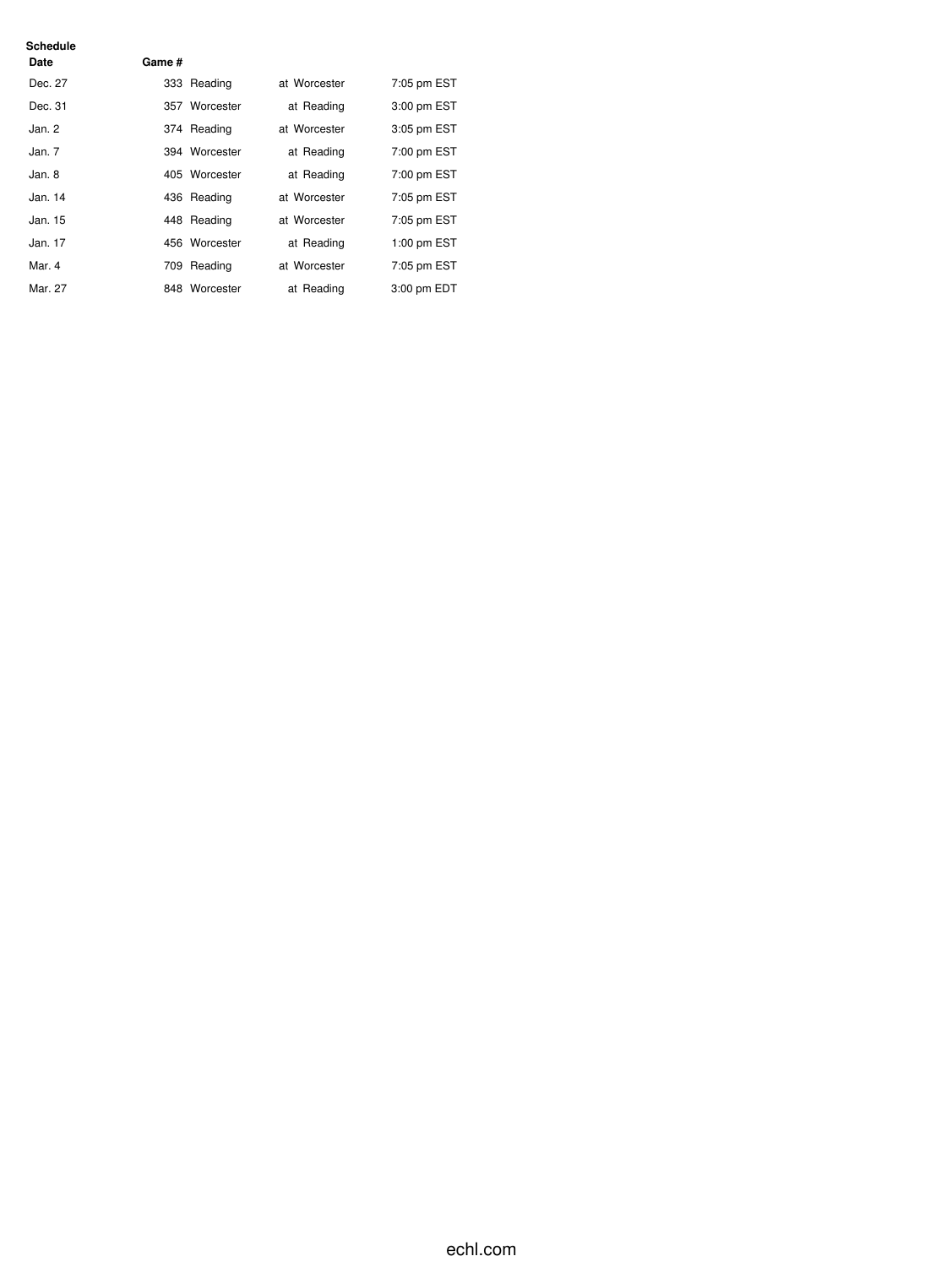| Schedule<br>Date | Game # |               |              |             |
|------------------|--------|---------------|--------------|-------------|
| Dec. 27          |        | 333 Reading   | at Worcester | 7:05 pm EST |
| Dec. 31          |        | 357 Worcester | at Reading   | 3:00 pm EST |
| Jan.2            |        | 374 Reading   | at Worcester | 3:05 pm EST |
| Jan.7            |        | 394 Worcester | at Reading   | 7:00 pm EST |
| Jan. 8           |        | 405 Worcester | at Reading   | 7:00 pm EST |
| Jan. 14          |        | 436 Reading   | at Worcester | 7:05 pm EST |
| Jan. 15          |        | 448 Reading   | at Worcester | 7:05 pm EST |
| Jan. 17          |        | 456 Worcester | at Reading   | 1:00 pm EST |
| Mar. 4           |        | 709 Reading   | at Worcester | 7:05 pm EST |
| Mar. 27          |        | 848 Worcester | at Reading   | 3:00 pm EDT |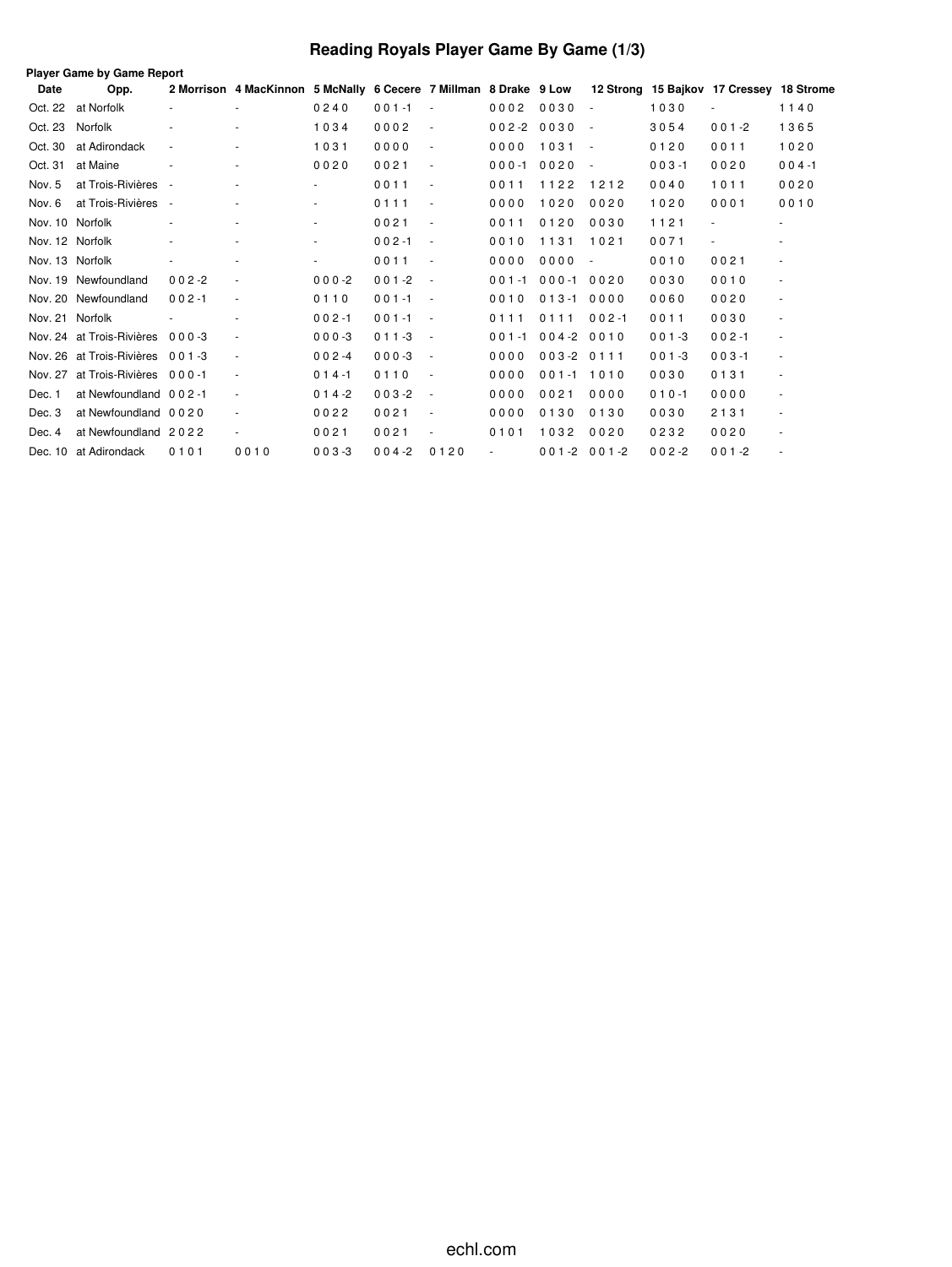# **Reading Royals Player Game By Game (1/3)**

|                 | Player Game by Game Report      |                          |                                                                   |           |           |                          |           |                  |                          |           |                                          |                          |  |
|-----------------|---------------------------------|--------------------------|-------------------------------------------------------------------|-----------|-----------|--------------------------|-----------|------------------|--------------------------|-----------|------------------------------------------|--------------------------|--|
| Date            | Opp.                            |                          | 2 Morrison 4 MacKinnon 5 McNally 6 Cecere 7 Millman 8 Drake 9 Low |           |           |                          |           |                  |                          |           | 12 Strong 15 Bajkov 17 Cressey 18 Strome |                          |  |
| Oct. 22         | at Norfolk                      |                          |                                                                   | 0240      | $001 - 1$ |                          | 0002      | 0030             | $\sim$                   | 1030      |                                          | 1140                     |  |
| Oct. 23         | Norfolk                         | ٠                        | $\overline{\phantom{a}}$                                          | 1034      | 0002      | $\overline{\phantom{a}}$ | $002 - 2$ | 0030             | $\overline{\phantom{a}}$ | 3054      | $001 - 2$                                | 1365                     |  |
| Oct. 30         | at Adirondack                   | $\overline{\phantom{a}}$ |                                                                   | 1031      | 0000      | $\sim$                   | 0000      | 1031             | $\overline{\phantom{a}}$ | 0120      | 0011                                     | 1020                     |  |
| Oct. 31         | at Maine                        |                          |                                                                   | 0020      | 0021      | $\overline{\phantom{a}}$ | $000 - 1$ | 0020             | $\overline{\phantom{a}}$ | $003 - 1$ | 0020                                     | $004 - 1$                |  |
| Nov. 5          | at Trois-Rivières               | $\overline{\phantom{a}}$ |                                                                   |           | 0011      | $\overline{\phantom{a}}$ | 0011      | 1122             | 1212                     | 0040      | 1011                                     | 0020                     |  |
| Nov. 6          | at Trois-Rivières               | $\overline{\phantom{a}}$ |                                                                   |           | 0111      | $\overline{\phantom{a}}$ | 0000      | 1020             | 0020                     | 1020      | 0001                                     | 0010                     |  |
| Nov. 10 Norfolk |                                 |                          |                                                                   |           | 0021      | $\overline{\phantom{a}}$ | 0011      | 0120             | 0030                     | 1121      | ä,                                       |                          |  |
| Nov. 12 Norfolk |                                 | $\overline{\phantom{a}}$ | $\overline{\phantom{a}}$                                          |           | $002 - 1$ | $\overline{\phantom{a}}$ | 0010      | 1131             | 1021                     | 0071      | $\overline{\phantom{a}}$                 | $\blacksquare$           |  |
| Nov. 13 Norfolk |                                 | $\overline{\phantom{a}}$ |                                                                   |           | 0011      | $\overline{\phantom{a}}$ | 0000      | 0000             | $\overline{\phantom{a}}$ | 0010      | 0021                                     | $\blacksquare$           |  |
|                 | Nov. 19 Newfoundland            | $002 - 2$                |                                                                   | $000-2$   | $001 - 2$ | ÷,                       | $001 - 1$ | $000 - 1$        | 0020                     | 0030      | 0010                                     | $\overline{\phantom{a}}$ |  |
|                 | Nov. 20 Newfoundland            | $002 - 1$                | $\overline{\phantom{a}}$                                          | 0110      | $001 - 1$ | $\overline{\phantom{a}}$ | 0010      | $013 - 1$        | 0000                     | 0060      | 0020                                     | $\blacksquare$           |  |
| Nov. 21 Norfolk |                                 |                          |                                                                   | $002 - 1$ | $001 - 1$ | $\overline{\phantom{a}}$ | 0111      | 0111             | $002 - 1$                | 0011      | 0030                                     | $\overline{\phantom{a}}$ |  |
|                 | Nov. 24 at Trois-Rivières       | $000 - 3$                |                                                                   | $000 - 3$ | $011 - 3$ | $\overline{\phantom{a}}$ | $001 - 1$ | $004 - 2$        | 0010                     | $001 - 3$ | $002 - 1$                                | ٠                        |  |
|                 | Nov. 26 at Trois-Rivières 001-3 |                          | $\blacksquare$                                                    | $002 -4$  | $000-3$   | $\overline{\phantom{a}}$ | 0000      | $003 - 20111$    |                          | $001 - 3$ | $003 - 1$                                | $\overline{\phantom{a}}$ |  |
| Nov. 27         | at Trois-Rivières 000-1         |                          | $\sim$                                                            | $014 - 1$ | 0110      | $\overline{\phantom{a}}$ | 0000      | $001 - 1$        | 1010                     | 0030      | 0131                                     | $\overline{\phantom{a}}$ |  |
| Dec. 1          | at Newfoundland 002-1           |                          |                                                                   | $014 - 2$ | $003 - 2$ | $\overline{\phantom{a}}$ | 0000      | 0021             | 0000                     | $010 - 1$ | 0000                                     | $\blacksquare$           |  |
| Dec. 3          | at Newfoundland 0020            |                          | $\blacksquare$                                                    | 0022      | 0021      | $\sim$                   | 0000      | 0130             | 0130                     | 0030      | 2131                                     | $\blacksquare$           |  |
| Dec. 4          | at Newfoundland 2022            |                          |                                                                   | 0021      | 0021      | $\overline{\phantom{a}}$ | 0101      | 1032             | 0020                     | 0232      | 0020                                     | $\overline{\phantom{a}}$ |  |
|                 | Dec. 10 at Adirondack           | 0101                     | 0010                                                              | $003 - 3$ | $004 - 2$ | 0120                     |           | $001 - 2001 - 2$ |                          | $002 - 2$ | $001 - 2$                                |                          |  |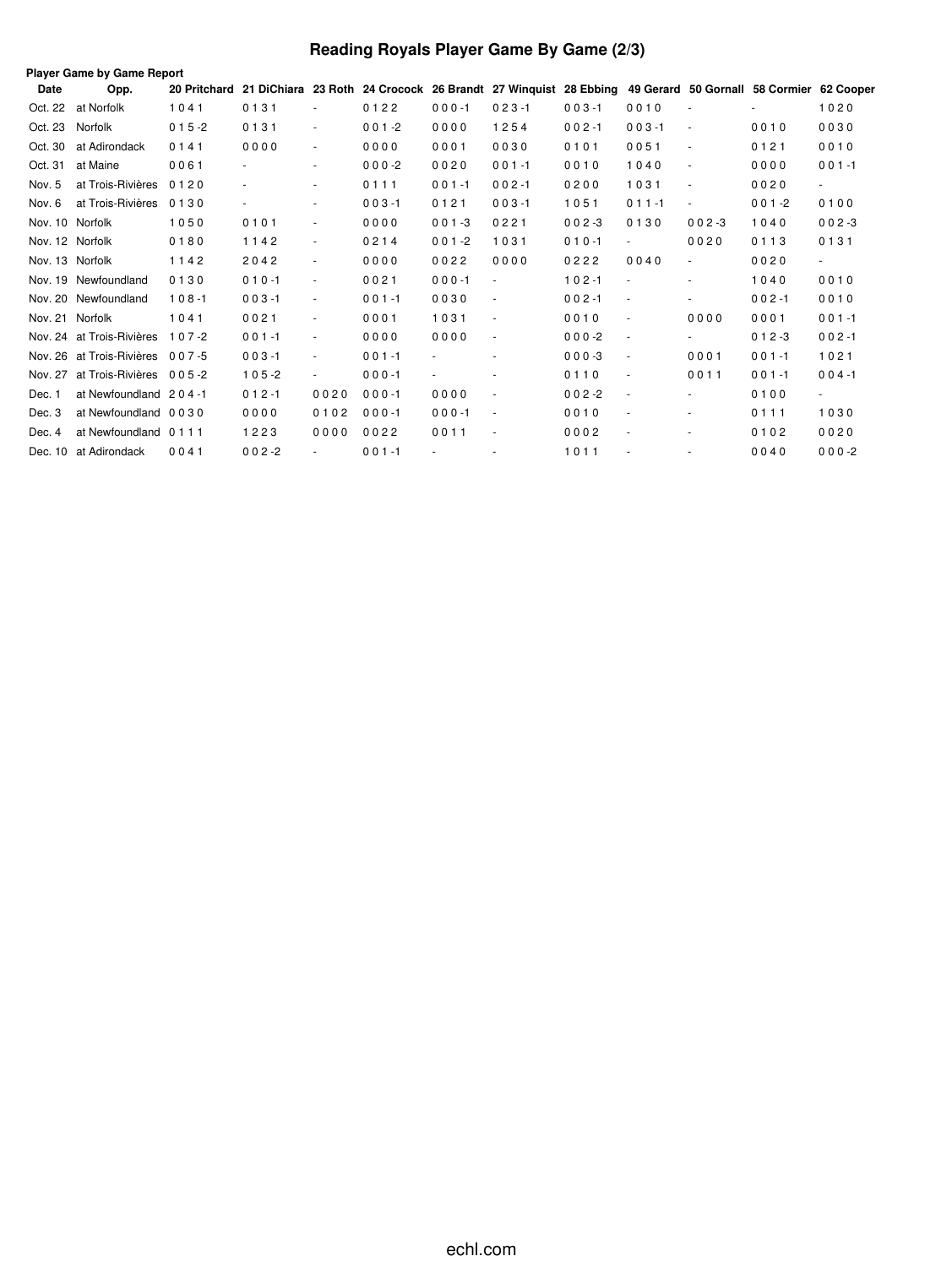# **Reading Royals Player Game By Game (2/3)**

|                 | <b>Player Game by Game Report</b> |              |                          |                          |           |                |                                                                                                          |           |                          |                          |           |                          |
|-----------------|-----------------------------------|--------------|--------------------------|--------------------------|-----------|----------------|----------------------------------------------------------------------------------------------------------|-----------|--------------------------|--------------------------|-----------|--------------------------|
| Date            | Opp.                              | 20 Pritchard |                          |                          |           |                | 21 DiChiara 23 Roth 24 Crocock 26 Brandt 27 Winquist 28 Ebbing 49 Gerard 50 Gornall 58 Cormier 62 Cooper |           |                          |                          |           |                          |
| Oct. 22         | at Norfolk                        | 1041         | 0131                     | $\overline{\phantom{a}}$ | 0122      | $000 - 1$      | $023 - 1$                                                                                                | $003 - 1$ | 0010                     | $\overline{\phantom{a}}$ | ٠         | 1020                     |
| Oct. 23         | Norfolk                           | $015 - 2$    | 0131                     | $\overline{\phantom{a}}$ | $001 - 2$ | 0000           | 1254                                                                                                     | $002 - 1$ | $003 - 1$                | $\overline{\phantom{a}}$ | 0010      | 0030                     |
| Oct. 30         | at Adirondack                     | 0141         | 0000                     | $\overline{\phantom{a}}$ | 0000      | 0001           | 0030                                                                                                     | 0101      | 0051                     | $\overline{\phantom{a}}$ | 0121      | 0010                     |
| Oct. 31         | at Maine                          | 0061         |                          | $\overline{\phantom{a}}$ | $000-2$   | 0020           | $001 - 1$                                                                                                | 0010      | 1040                     | $\overline{\phantom{a}}$ | 0000      | $001 - 1$                |
| Nov. 5          | at Trois-Rivières                 | 0120         | $\overline{\phantom{a}}$ | $\overline{\phantom{a}}$ | 0111      | $001 - 1$      | $002 - 1$                                                                                                | 0200      | 1031                     | $\overline{\phantom{a}}$ | 0020      | $\sim$                   |
| Nov. 6          | at Trois-Rivières                 | 0130         | $\frac{1}{2}$            | $\overline{\phantom{a}}$ | $003 - 1$ | 0121           | $003 - 1$                                                                                                | 1051      | $011 - 1$                | $\overline{\phantom{a}}$ | $001 - 2$ | 0100                     |
| Nov. 10 Norfolk |                                   | 1050         | 0101                     | $\sim$                   | 0000      | $001 - 3$      | 0221                                                                                                     | $002 - 3$ | 0130                     | $002 - 3$                | 1040      | $002 - 3$                |
|                 | Nov. 12 Norfolk                   | 0180         | 1142                     | $\overline{\phantom{a}}$ | 0214      | $001 - 2$      | 1031                                                                                                     | $010 - 1$ | $\blacksquare$           | 0020                     | 0113      | 0131                     |
| Nov. 13 Norfolk |                                   | 1142         | 2042                     | $\overline{\phantom{a}}$ | 0000      | 0022           | 0000                                                                                                     | 0222      | 0040                     |                          | 0020      | $\overline{\phantom{a}}$ |
|                 | Nov. 19 Newfoundland              | 0130         | $010 - 1$                | $\overline{\phantom{a}}$ | 0021      | $000 - 1$      | ÷,                                                                                                       | $102 - 1$ |                          | ä,                       | 1040      | 0010                     |
|                 | Nov. 20 Newfoundland              | $108 - 1$    | $003 - 1$                | $\overline{\phantom{a}}$ | $001 - 1$ | 0030           | ÷,                                                                                                       | $002 - 1$ | $\sim$                   |                          | $002 - 1$ | 0010                     |
| Nov. 21 Norfolk |                                   | 1041         | 0021                     | $\blacksquare$           | 0001      | 1031           | ä,                                                                                                       | 0010      | ÷,                       | 0000                     | 0001      | $001 - 1$                |
| Nov. 24         | at Trois-Rivières                 | $107 - 2$    | $001 - 1$                | $\overline{\phantom{a}}$ | 0000      | 0000           | ÷,                                                                                                       | $000-2$   | $\sim$                   |                          | $012 - 3$ | $002 - 1$                |
|                 | Nov. 26 at Trois-Rivières 007-5   |              | $003 - 1$                | $\blacksquare$           | $001 - 1$ |                | ٠                                                                                                        | $000-3$   | $\overline{\phantom{a}}$ | 0001                     | $001 - 1$ | 1021                     |
| Nov. 27         | at Trois-Rivières 005-2           |              | $105 - 2$                | $\sim$                   | $000 - 1$ | $\blacksquare$ | ٠                                                                                                        | 0110      | $\sim$                   | 0011                     | $001 - 1$ | $004 - 1$                |
| Dec. 1          | at Newfoundland 204-1             |              | $012 - 1$                | 0020                     | $000 - 1$ | 0000           | $\overline{\phantom{a}}$                                                                                 | $002 - 2$ | $\sim$                   |                          | 0100      | $\blacksquare$           |
| Dec. 3          | at Newfoundland 0030              |              | 0000                     | 0102                     | $000 - 1$ | $000 - 1$      | ä,                                                                                                       | 0010      | $\ddot{\phantom{1}}$     | ٠                        | 0111      | 1030                     |
| Dec. 4          | at Newfoundland 0111              |              | 1223                     | 0000                     | 0022      | 0011           | $\sim$                                                                                                   | 0002      | $\sim$                   | ٠                        | 0102      | 0020                     |
|                 | Dec. 10 at Adirondack             | 0041         | $002 - 2$                |                          | $001 - 1$ |                |                                                                                                          | 1011      |                          |                          | 0040      | $000-2$                  |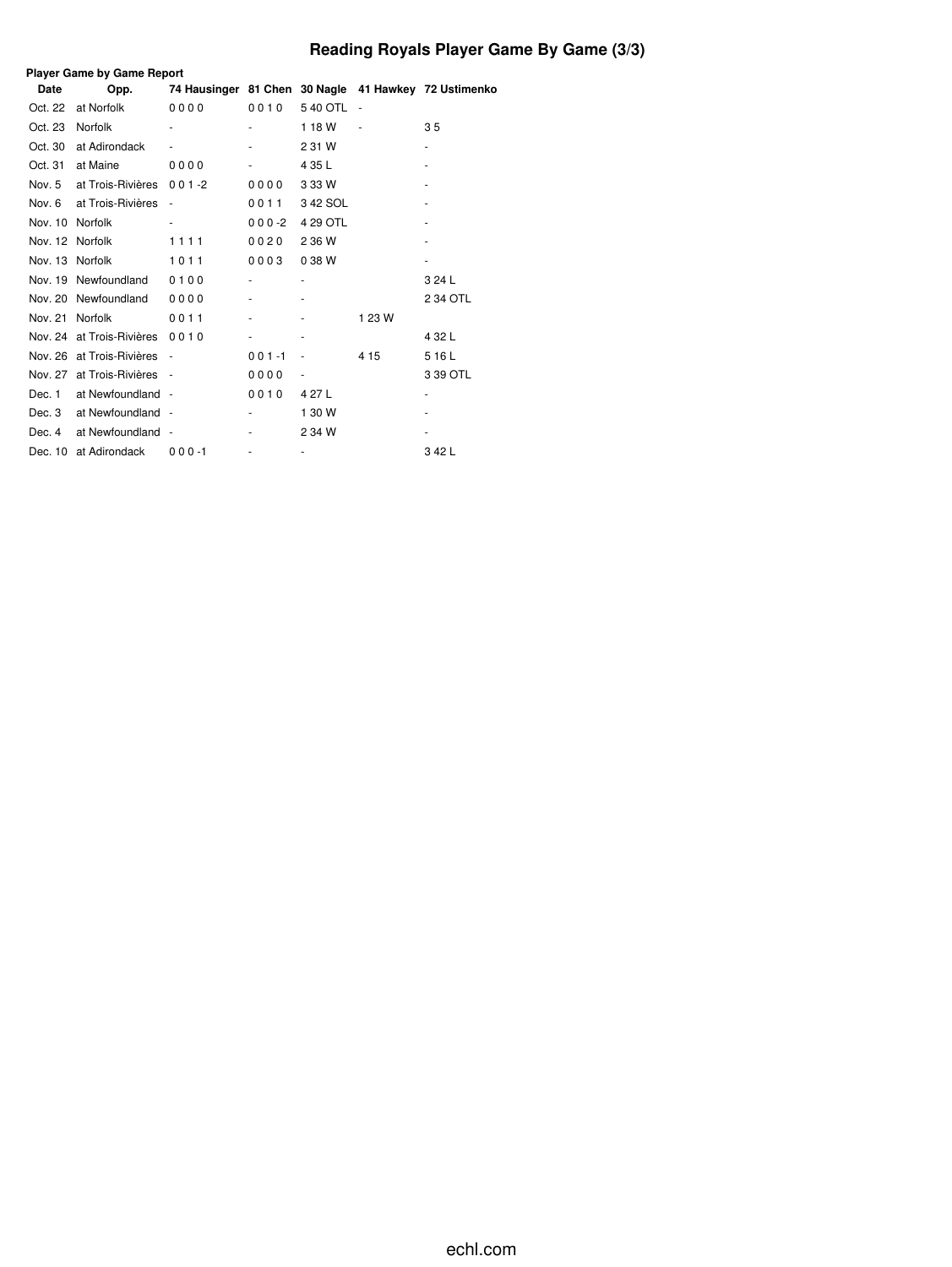# **Reading Royals Player Game By Game (3/3)**

| <b>Player Game by Game Report</b> |                           |                          |           |                     |        |                                                      |  |  |  |  |  |
|-----------------------------------|---------------------------|--------------------------|-----------|---------------------|--------|------------------------------------------------------|--|--|--|--|--|
| <b>Date</b>                       | Opp.                      |                          |           |                     |        | 74 Hausinger 81 Chen 30 Nagle 41 Hawkey 72 Ustimenko |  |  |  |  |  |
| Oct. 22                           | at Norfolk                | 0000                     | 0010      | 540 OTL             |        |                                                      |  |  |  |  |  |
| Oct. 23                           | Norfolk                   | $\overline{\phantom{a}}$ |           | 118W                | ÷,     | 3 <sub>5</sub>                                       |  |  |  |  |  |
| Oct. 30                           | at Adirondack             |                          |           | 2 31 W              |        |                                                      |  |  |  |  |  |
| Oct. 31                           | at Maine                  | 0000                     |           | 4 35 L              |        |                                                      |  |  |  |  |  |
| Nov. 5                            | at Trois-Rivières         | $001 - 2$                | 0000      | 3 3 3 W             |        |                                                      |  |  |  |  |  |
| Nov. 6                            | at Trois-Rivières         |                          | 0011      | 342 SOL             |        |                                                      |  |  |  |  |  |
| Nov. 10                           | Norfolk                   |                          | $000-2$   | 4 29 OTL            |        |                                                      |  |  |  |  |  |
| Nov. 12 Norfolk                   |                           | 1111                     | 0020      | 2 36 W              |        |                                                      |  |  |  |  |  |
| Nov. 13 Norfolk                   |                           | 1011                     | 0003      | 038W                |        |                                                      |  |  |  |  |  |
|                                   | Nov. 19 Newfoundland      | 0100                     |           |                     |        | 3 24 L                                               |  |  |  |  |  |
| Nov. 20                           | Newfoundland              | 0000                     |           |                     |        | 2 34 OTL                                             |  |  |  |  |  |
| Nov. 21                           | Norfolk                   | 0011                     |           |                     | 1 23 W |                                                      |  |  |  |  |  |
|                                   | Nov. 24 at Trois-Rivières | 0010                     |           |                     |        | 4 32 L                                               |  |  |  |  |  |
|                                   | Nov. 26 at Trois-Rivières |                          | $001 - 1$ | ٠                   | 4 15   | 516L                                                 |  |  |  |  |  |
| Nov. 27                           | at Trois-Rivières         |                          | 0000      | ٠                   |        | 3 39 OTL                                             |  |  |  |  |  |
| Dec. 1                            | at Newfoundland -         |                          | 0010      | 4 27 L              |        |                                                      |  |  |  |  |  |
| Dec. 3                            | at Newfoundland -         |                          |           | 1 30 W              |        |                                                      |  |  |  |  |  |
| Dec. 4                            | at Newfoundland           |                          |           | 2 34 W              |        |                                                      |  |  |  |  |  |
|                                   | Dec. 10 at Adirondack     | $000 - 1$                |           | $\bar{\phantom{a}}$ |        | 342L                                                 |  |  |  |  |  |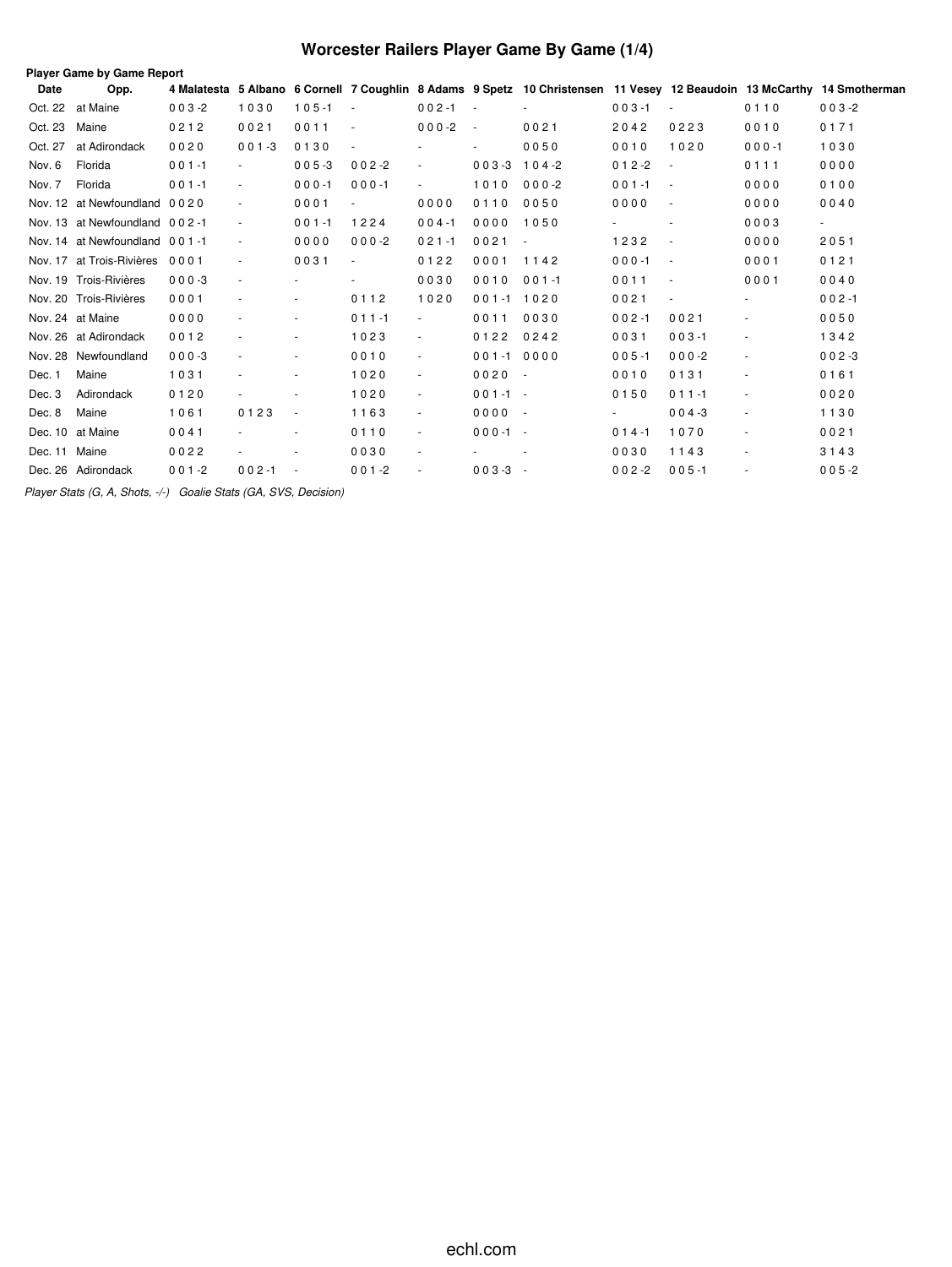# **Worcester Railers Player Game By Game (1/4)**

|               | <b>Player Game by Game Report</b> |           |                          |           |                          |                          |                          |                          |           |                |                |                                                                                                                         |
|---------------|-----------------------------------|-----------|--------------------------|-----------|--------------------------|--------------------------|--------------------------|--------------------------|-----------|----------------|----------------|-------------------------------------------------------------------------------------------------------------------------|
| Date          | Opp.                              |           |                          |           |                          |                          |                          |                          |           |                |                | 4 Malatesta 5 Albano 6 Cornell 7 Coughlin 8 Adams 9 Spetz 10 Christensen 11 Vesey 12 Beaudoin 13 McCarthy 14 Smotherman |
|               | Oct. 22 at Maine                  | $003 - 2$ | 1030                     | $105 - 1$ | $\sim$                   | $002 - 1$                | $\sim$                   |                          | $003 - 1$ |                | 0110           | $003 - 2$                                                                                                               |
| Oct. 23       | Maine                             | 0212      | 0021                     | 0011      | $\overline{\phantom{a}}$ | $000-2$                  | $\overline{\phantom{a}}$ | 0021                     | 2042      | 0223           | 0010           | 0171                                                                                                                    |
| Oct. 27       | at Adirondack                     | 0020      | $001 - 3$                | 0130      |                          |                          |                          | 0050                     | 0010      | 1020           | $000 - 1$      | 1030                                                                                                                    |
| Nov. 6        | Florida                           | $001 - 1$ |                          | $005 - 3$ | $002 - 2$                |                          | $003 - 3$                | $104 - 2$                | $012 - 2$ |                | 0111           | 0000                                                                                                                    |
| Nov. 7        | Florida                           | $001 - 1$ | $\overline{\phantom{a}}$ | $000 - 1$ | $000 - 1$                | $\blacksquare$           | 1010                     | $000 - 2$                | $001 - 1$ | $\sim$ $-$     | 0000           | 0100                                                                                                                    |
|               | Nov. 12 at Newfoundland 0020      |           |                          | 0001      |                          | 0000                     | 0110                     | 0050                     | 0000      | $\sim$         | 0000           | 0040                                                                                                                    |
|               | Nov. 13 at Newfoundland 002-1     |           | $\overline{\phantom{a}}$ | $001 - 1$ | 1224                     | $004 - 1$                | 0000                     | 1050                     |           | $\sim$         | 0003           | $\overline{\phantom{a}}$                                                                                                |
|               | Nov. 14 at Newfoundland 001-1     |           | $\blacksquare$           | 0000      | $000-2$                  | $021 - 1$                | 0021                     | $\overline{\phantom{a}}$ | 1232      | $\sim$         | 0000           | 2051                                                                                                                    |
|               | Nov. 17 at Trois-Rivières         | 0001      | $\overline{\phantom{a}}$ | 0031      | $\overline{\phantom{a}}$ | 0122                     | 0001                     | 1142                     | $000 - 1$ | $\sim$         | 0001           | 0121                                                                                                                    |
|               | Nov. 19 Trois-Rivières            | $000 - 3$ | $\overline{\phantom{a}}$ |           | $\overline{\phantom{a}}$ | 0030                     | 0010                     | $001 - 1$                | 0011      | $\sim$         | 0001           | 0040                                                                                                                    |
|               | Nov. 20 Trois-Rivières            | 0001      |                          | $\sim$    | 0112                     | 1020                     | $001 - 1 1020$           |                          | 0021      | $\blacksquare$ | $\sim$         | $002 - 1$                                                                                                               |
|               | Nov. 24 at Maine                  | 0000      |                          | $\sim$    | $011 - 1$                | $\sim$                   | 0011                     | 0030                     | $002 - 1$ | 0021           | $\blacksquare$ | 0050                                                                                                                    |
|               | Nov. 26 at Adirondack             | 0012      |                          | $\sim$    | 1023                     | $\overline{\phantom{a}}$ | 0122                     | 0242                     | 0031      | $003 - 1$      | $\sim$         | 1342                                                                                                                    |
|               | Nov. 28 Newfoundland              | $000 - 3$ |                          | $\sim$    | 0010                     | $\blacksquare$           | $001 - 1$                | 0000                     | $005 - 1$ | $000-2$        | $\sim$         | $002 - 3$                                                                                                               |
| Dec. 1        | Maine                             | 1031      |                          | $\sim$    | 1020                     | $\blacksquare$           | $0020 -$                 |                          | 0010      | 0131           |                | 0161                                                                                                                    |
| Dec. 3        | Adirondack                        | 0120      |                          |           | 1020                     | $\blacksquare$           | $001 - 1 -$              |                          | 0150      | $011 - 1$      | $\sim$         | 0020                                                                                                                    |
| Dec. 8        | Maine                             | 1061      | 0123                     | $\sim$    | 1163                     | $\sim$                   | $0000 -$                 |                          |           | $004 - 3$      | $\sim$         | 1130                                                                                                                    |
|               | Dec. 10 at Maine                  | 0041      |                          | $\sim$    | 0110                     | $\blacksquare$           | $000 - 1 -$              |                          | $014 - 1$ | 1070           | $\sim$         | 0021                                                                                                                    |
| Dec. 11 Maine |                                   | 0022      |                          |           | 0030                     | $\blacksquare$           |                          |                          | 0030      | 1143           | $\sim$         | 3143                                                                                                                    |
|               | Dec. 26 Adirondack                | $001 - 2$ | $002 - 1$                |           | $001 - 2$                |                          | $003-3 -$                |                          | $002 - 2$ | $005 - 1$      |                | $005 - 2$                                                                                                               |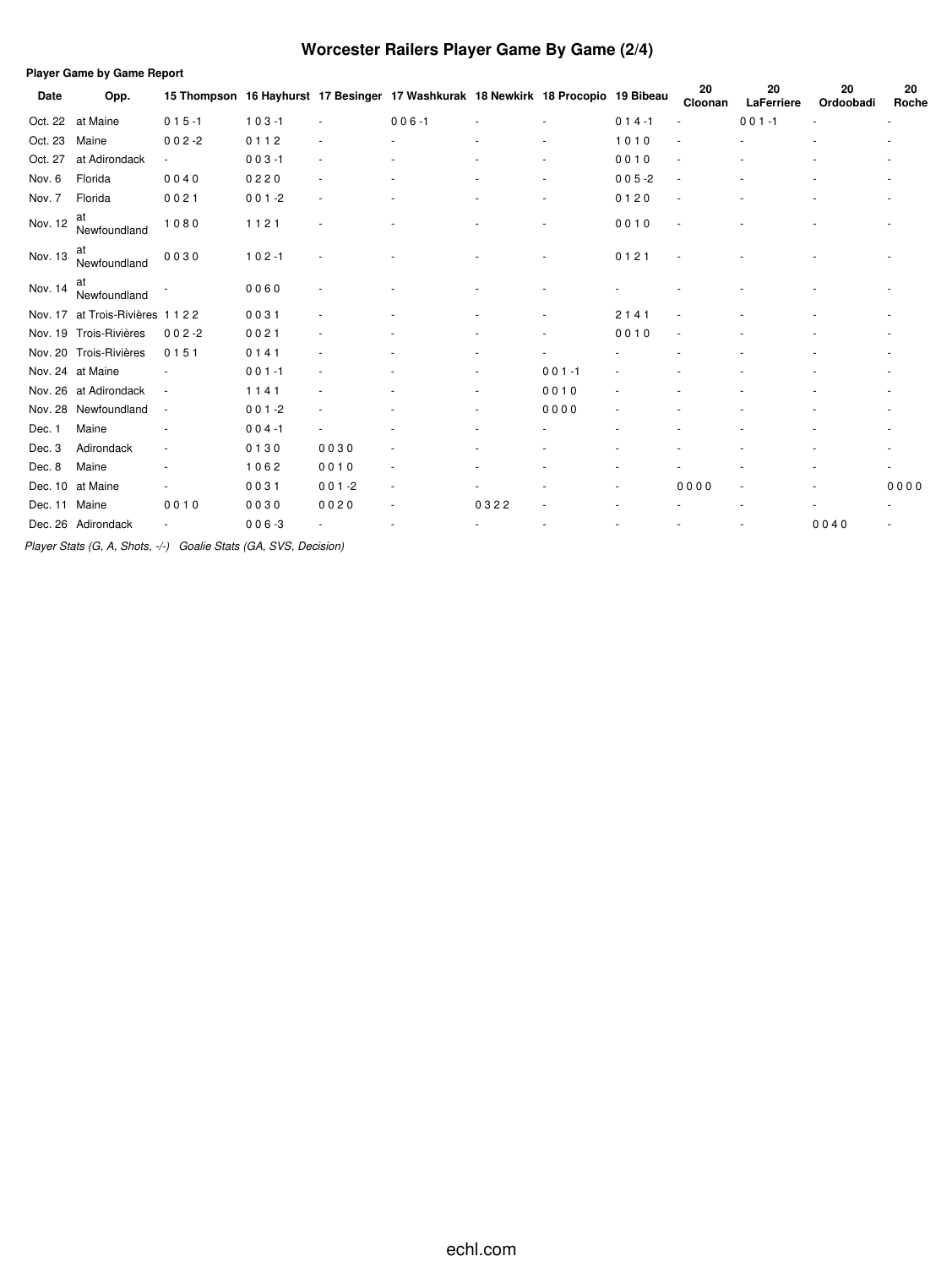# **Worcester Railers Player Game By Game (2/4)**

| <b>Player Game by Game Report</b> |                        |                          |           |                          |                                                                                   |      |           |           |               |                  |                 |             |
|-----------------------------------|------------------------|--------------------------|-----------|--------------------------|-----------------------------------------------------------------------------------|------|-----------|-----------|---------------|------------------|-----------------|-------------|
| Date                              | Opp.                   |                          |           |                          | 15 Thompson 16 Hayhurst 17 Besinger 17 Washkurak 18 Newkirk 18 Procopio 19 Bibeau |      |           |           | 20<br>Cloonan | 20<br>LaFerriere | 20<br>Ordoobadi | 20<br>Roche |
| Oct. 22                           | at Maine               | $015 - 1$                | $103 - 1$ | $\overline{\phantom{a}}$ | $006 - 1$                                                                         |      |           | $014 - 1$ |               | $001 - 1$        |                 | ٠           |
| Oct. 23                           | Maine                  | $002 - 2$                | 0112      |                          |                                                                                   |      |           | 1010      |               |                  |                 |             |
| Oct. 27                           | at Adirondack          | $\overline{\phantom{a}}$ | $003 - 1$ | $\sim$                   |                                                                                   |      |           | 0010      |               |                  |                 |             |
| Nov. 6                            | Florida                | 0040                     | 0220      | ٠                        |                                                                                   |      |           | $005 - 2$ |               |                  |                 |             |
| Nov. 7                            | Florida                | 0021                     | $001 - 2$ | ٠                        |                                                                                   |      |           | 0120      |               |                  |                 |             |
| Nov. 12                           | at<br>Newfoundland     | 1080                     | 1121      |                          |                                                                                   |      |           | 0010      |               |                  |                 |             |
| Nov. 13                           | at<br>Newfoundland     | 0030                     | $102 - 1$ |                          |                                                                                   |      |           | 0121      |               |                  |                 |             |
| Nov. 14                           | at<br>Newfoundland     |                          | 0060      |                          |                                                                                   |      |           |           |               |                  |                 |             |
| Nov. 17                           | at Trois-Rivières 1122 |                          | 0031      |                          |                                                                                   |      |           | 2141      |               |                  |                 |             |
|                                   | Nov. 19 Trois-Rivières | $002 - 2$                | 0021      |                          |                                                                                   |      |           | 0010      |               |                  |                 |             |
| Nov. 20                           | Trois-Rivières         | 0151                     | 0141      |                          |                                                                                   |      |           |           |               |                  |                 |             |
|                                   | Nov. 24 at Maine       |                          | $001 - 1$ |                          |                                                                                   |      | $001 - 1$ |           |               |                  |                 |             |
| Nov. 26                           | at Adirondack          | $\overline{\phantom{a}}$ | 1141      |                          |                                                                                   |      | 0010      |           |               |                  |                 |             |
| Nov. 28                           | Newfoundland           | $\sim$                   | $001 - 2$ |                          |                                                                                   |      | 0000      |           |               |                  |                 |             |
| Dec. 1                            | Maine                  |                          | $004 - 1$ |                          |                                                                                   |      |           |           |               |                  |                 |             |
| Dec. 3                            | Adirondack             |                          | 0130      | 0030                     |                                                                                   |      |           |           |               |                  |                 |             |
| Dec. 8                            | Maine                  |                          | 1062      | 0010                     | ٠                                                                                 |      |           |           |               |                  |                 |             |
| Dec. 10                           | at Maine               |                          | 0031      | $001 - 2$                | ٠                                                                                 |      |           |           | 0000          |                  |                 | 0000        |
| Dec. 11                           | Maine                  | 0010                     | 0030      | 0020                     |                                                                                   | 0322 |           |           |               |                  |                 |             |
|                                   | Dec. 26 Adirondack     |                          | $006 - 3$ |                          |                                                                                   |      |           |           |               |                  | 0040            |             |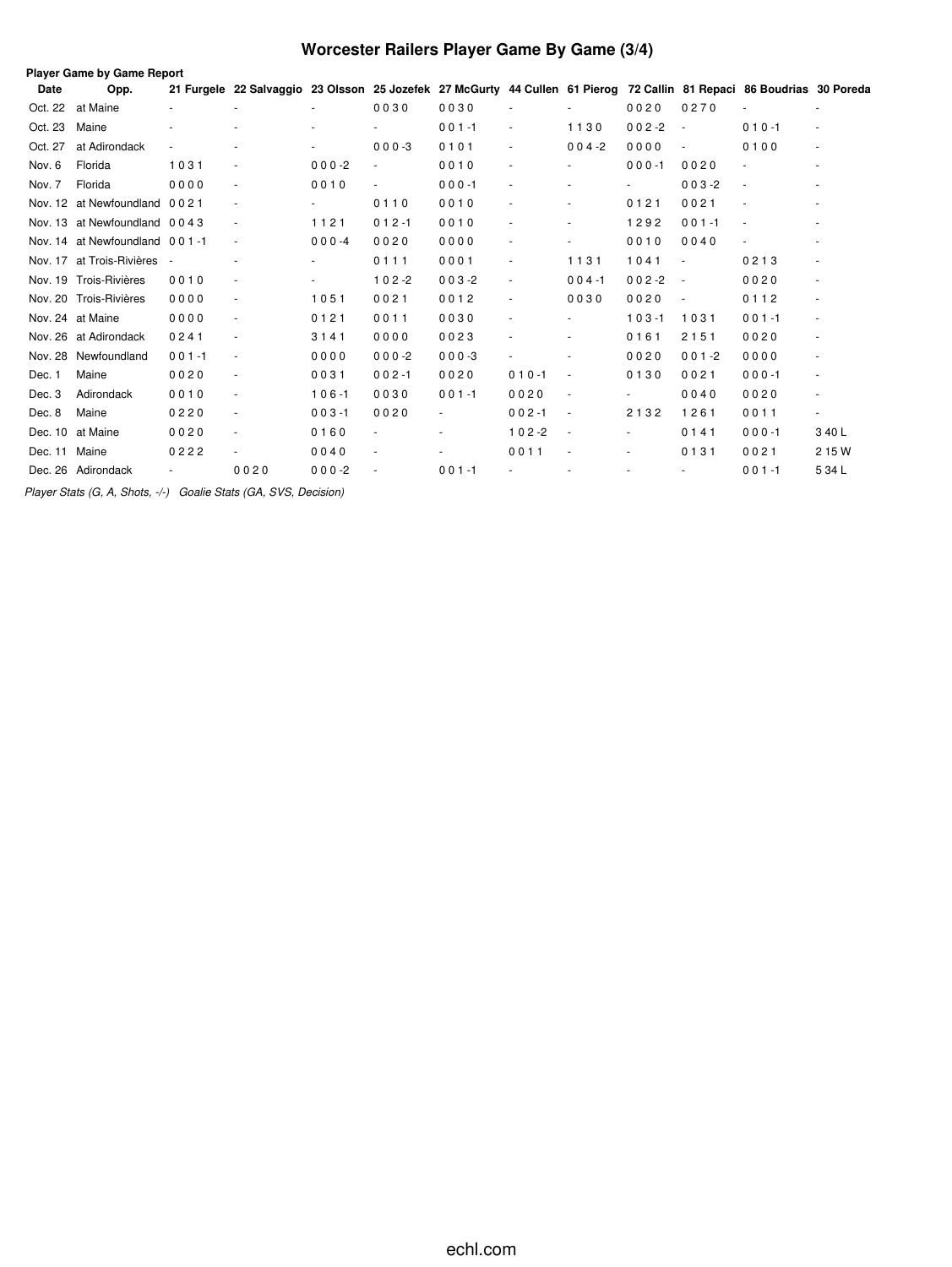# **Worcester Railers Player Game By Game (3/4)**

|         | Player Game by Game Report    |           |                                                                                                                       |                          |           |           |                          |                          |                |                          |                          |                          |
|---------|-------------------------------|-----------|-----------------------------------------------------------------------------------------------------------------------|--------------------------|-----------|-----------|--------------------------|--------------------------|----------------|--------------------------|--------------------------|--------------------------|
| Date    | Opp.                          |           | 21 Furgele 22 Salvaggio 23 Olsson 25 Jozefek 27 McGurty 44 Cullen 61 Pierog 72 Callin 81 Repaci 86 Boudrias 30 Poreda |                          |           |           |                          |                          |                |                          |                          |                          |
| Oct. 22 | at Maine                      |           |                                                                                                                       |                          | 0030      | 0030      |                          |                          | 0020           | 0270                     |                          |                          |
| Oct. 23 | Maine                         |           | ٠                                                                                                                     |                          |           | $001 - 1$ | $\sim$                   | 1130                     | $002 - 2$      | $\overline{\phantom{a}}$ | $010 - 1$                | $\blacksquare$           |
| Oct. 27 | at Adirondack                 |           | $\overline{\phantom{m}}$                                                                                              |                          | $000 - 3$ | 0101      |                          | $004 - 2$                | 0000           | $\overline{\phantom{a}}$ | 0100                     | $\blacksquare$           |
| Nov. 6  | Florida                       | 1031      |                                                                                                                       | $000 - 2$                |           | 0010      |                          |                          | $000 - 1$      | 0020                     |                          | ٠                        |
| Nov. 7  | Florida                       | 0000      | $\overline{\phantom{a}}$                                                                                              | 0010                     |           | $000 - 1$ |                          |                          | $\sim$         | $003 - 2$                | $\sim$                   |                          |
| Nov. 12 | at Newfoundland               | 0021      | $\overline{\phantom{a}}$                                                                                              | $\overline{\phantom{a}}$ | 0110      | 0010      |                          | $\overline{\phantom{a}}$ | 0121           | 0021                     |                          | $\sim$                   |
|         | Nov. 13 at Newfoundland 0043  |           | $\overline{\phantom{a}}$                                                                                              | 1121                     | $012 - 1$ | 0010      |                          |                          | 1292           | $001 - 1$                | $\sim$                   |                          |
|         | Nov. 14 at Newfoundland 001-1 |           | $\blacksquare$                                                                                                        | $000 -4$                 | 0020      | 0000      |                          |                          | 0010           | 0040                     | $\overline{\phantom{a}}$ |                          |
|         | Nov. 17 at Trois-Rivières -   |           |                                                                                                                       | $\overline{\phantom{a}}$ | 0111      | 0001      |                          | 1131                     | 1041           | $\overline{\phantom{a}}$ | 0213                     | $\blacksquare$           |
|         | Nov. 19 Trois-Rivières        | 0010      | $\overline{\phantom{a}}$                                                                                              |                          | $102 - 2$ | $003 - 2$ | $\overline{\phantom{a}}$ | $004 - 1$                | $002 - 2$      | $\overline{\phantom{a}}$ | 0020                     | $\overline{\phantom{a}}$ |
|         | Nov. 20 Trois-Rivières        | 0000      | $\overline{\phantom{a}}$                                                                                              | 1051                     | 0021      | 0012      |                          | 0030                     | 0020           | $\overline{\phantom{a}}$ | 0112                     | $\blacksquare$           |
|         | Nov. 24 at Maine              | 0000      | $\overline{\phantom{a}}$                                                                                              | 0121                     | 0011      | 0030      |                          |                          | $103 - 1$      | 1031                     | $001 - 1$                | $\blacksquare$           |
|         | Nov. 26 at Adirondack         | 0241      | $\overline{\phantom{a}}$                                                                                              | 3141                     | 0000      | 0023      |                          |                          | 0161           | 2151                     | 0020                     |                          |
| Nov. 28 | Newfoundland                  | $001 - 1$ | $\overline{\phantom{a}}$                                                                                              | 0000                     | $000-2$   | $000-3$   |                          |                          | 0020           | $001 - 2$                | 0000                     | ٠                        |
| Dec. 1  | Maine                         | 0020      | $\overline{\phantom{a}}$                                                                                              | 0031                     | $002 - 1$ | 0020      | $010 - 1$                | $\overline{\phantom{a}}$ | 0130           | 0021                     | $000 - 1$                | $\blacksquare$           |
| Dec. 3  | Adirondack                    | 0010      | $\overline{\phantom{a}}$                                                                                              | $106 - 1$                | 0030      | $001 - 1$ | 0020                     | $\overline{\phantom{a}}$ | $\blacksquare$ | 0040                     | 0020                     | $\overline{\phantom{a}}$ |
| Dec. 8  | Maine                         | 0220      | $\overline{\phantom{a}}$                                                                                              | $003 - 1$                | 0020      |           | $002 - 1$                | $\overline{\phantom{a}}$ | 2132           | 1261                     | 0011                     | ٠                        |
| Dec. 10 | at Maine                      | 0020      | $\overline{\phantom{a}}$                                                                                              | 0160                     |           |           | $102 - 2$                | $\overline{\phantom{a}}$ | $\blacksquare$ | 0141                     | $000 - 1$                | 3 40 L                   |
| Dec. 11 | Maine                         | 0222      | $\overline{\phantom{a}}$                                                                                              | 0040                     |           |           | 0011                     |                          |                | 0131                     | 0021                     | 2 15 W                   |
|         | Dec. 26 Adirondack            |           | 0020                                                                                                                  | $000-2$                  |           | $001 - 1$ |                          |                          |                | $\overline{\phantom{a}}$ | $001 - 1$                | 5 34 L                   |